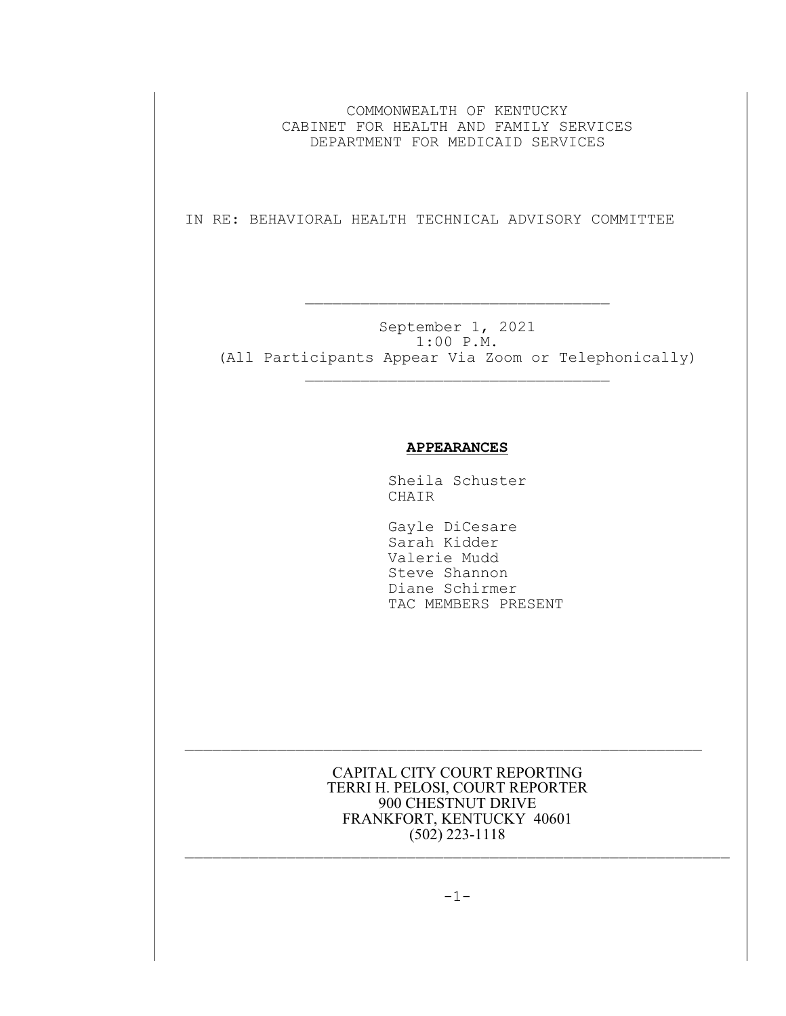COMMONWEALTH OF KENTUCKY CABINET FOR HEALTH AND FAMILY SERVICES DEPARTMENT FOR MEDICAID SERVICES

IN RE: BEHAVIORAL HEALTH TECHNICAL ADVISORY COMMITTEE

 $\mathcal{L}_\text{max}$  and the contract of the contract of the contract of the contract of the contract of the contract of the contract of the contract of the contract of the contract of the contract of the contract of the contrac

September 1, 2021 1:00 P.M. (All Participants Appear Via Zoom or Telephonically)  $\mathcal{L}_\text{max}$ 

## **APPEARANCES**

Sheila Schuster CHAIR

 Gayle DiCesare Sarah Kidder Valerie Mudd Steve Shannon Diane Schirmer TAC MEMBERS PRESENT

CAPITAL CITY COURT REPORTING TERRI H. PELOSI, COURT REPORTER 900 CHESTNUT DRIVE FRANKFORT, KENTUCKY 40601 (502) 223-1118

 $\mathcal{L}_\text{max}$  and the contract of the contract of the contract of the contract of the contract of the contract of

 $\mathcal{L}_\text{max}$  and the contract of the contract of the contract of the contract of the contract of the contract of

 $-1-$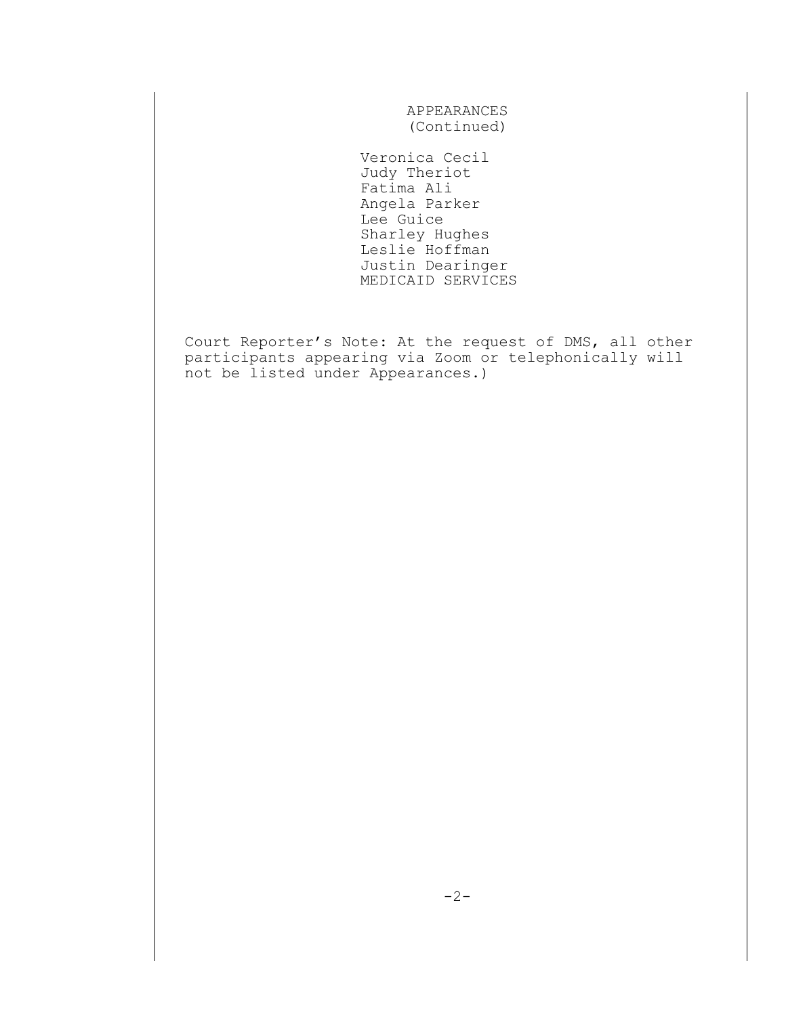APPEARANCES (Continued)

 Veronica Cecil Judy Theriot Fatima Ali Angela Parker Lee Guice Sharley Hughes Leslie Hoffman Justin Dearinger MEDICAID SERVICES

Court Reporter's Note: At the request of DMS, all other participants appearing via Zoom or telephonically will not be listed under Appearances.)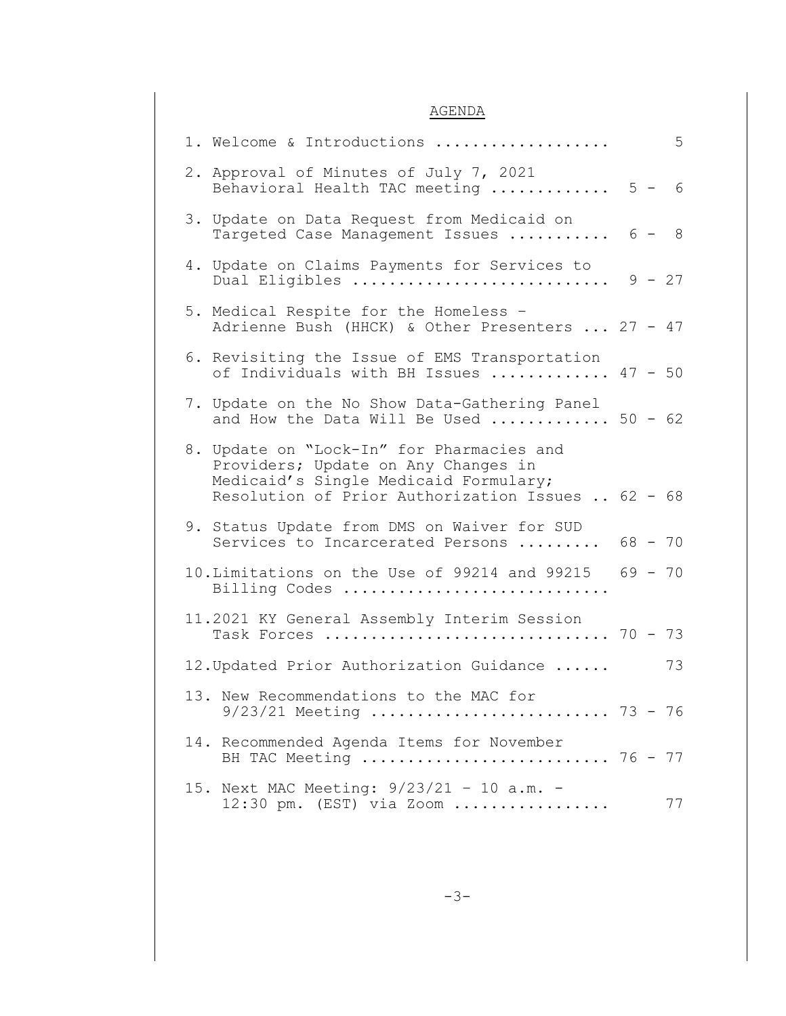## AGENDA

| 5<br>1. Welcome & Introductions                                                                                                                                                |
|--------------------------------------------------------------------------------------------------------------------------------------------------------------------------------|
| 2. Approval of Minutes of July 7, 2021<br>Behavioral Health TAC meeting  5 - 6                                                                                                 |
| 3. Update on Data Request from Medicaid on<br>Targeted Case Management Issues  6 - 8                                                                                           |
| 4. Update on Claims Payments for Services to<br>Dual Eligibles $9 - 27$                                                                                                        |
| 5. Medical Respite for the Homeless -<br>Adrienne Bush (HHCK) & Other Presenters  27 - 47                                                                                      |
| 6. Revisiting the Issue of EMS Transportation<br>of Individuals with BH Issues  47 - 50                                                                                        |
| 7. Update on the No Show Data-Gathering Panel<br>and How the Data Will Be Used  50 - 62                                                                                        |
| 8. Update on "Lock-In" for Pharmacies and<br>Providers; Update on Any Changes in<br>Medicaid's Single Medicaid Formulary;<br>Resolution of Prior Authorization Issues  62 - 68 |
| 9. Status Update from DMS on Waiver for SUD<br>Services to Incarcerated Persons  68 - 70                                                                                       |
| 10. Limitations on the Use of 99214 and 99215 69 - 70<br>Billing Codes                                                                                                         |
| 11.2021 KY General Assembly Interim Session<br>Task Forces  70 - 73                                                                                                            |
| 73<br>12. Updated Prior Authorization Guidance                                                                                                                                 |
| 13. New Recommendations to the MAC for<br>$9/23/21$ Meeting  73 - 76                                                                                                           |
| 14. Recommended Agenda Items for November<br>BH TAC Meeting  76 - 77                                                                                                           |
| 15. Next MAC Meeting: 9/23/21 - 10 a.m. -<br>$12:30$ pm. (EST) via Zoom<br>77                                                                                                  |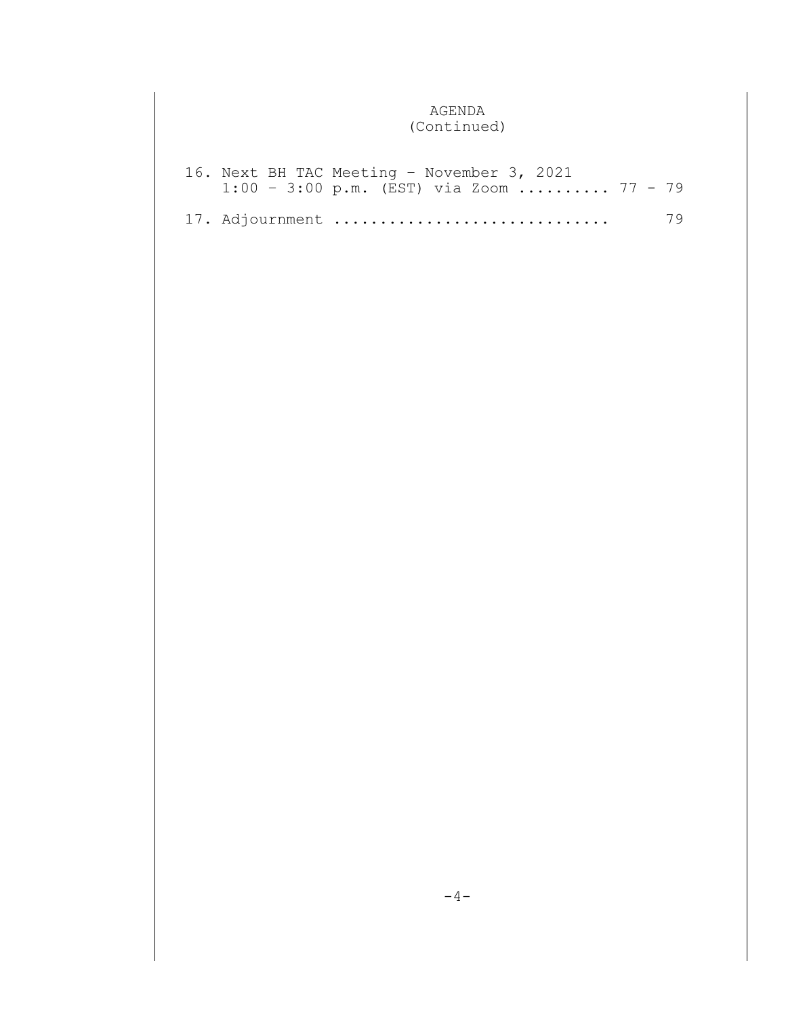## AGENDA (Continued)

|  | 16. Next BH TAC Meeting - November 3, 2021         |    |
|--|----------------------------------------------------|----|
|  | $1:00 - 3:00 \text{ p.m.}$ (EST) via Zoom  77 - 79 |    |
|  |                                                    |    |
|  | 17. Adjournment                                    | 79 |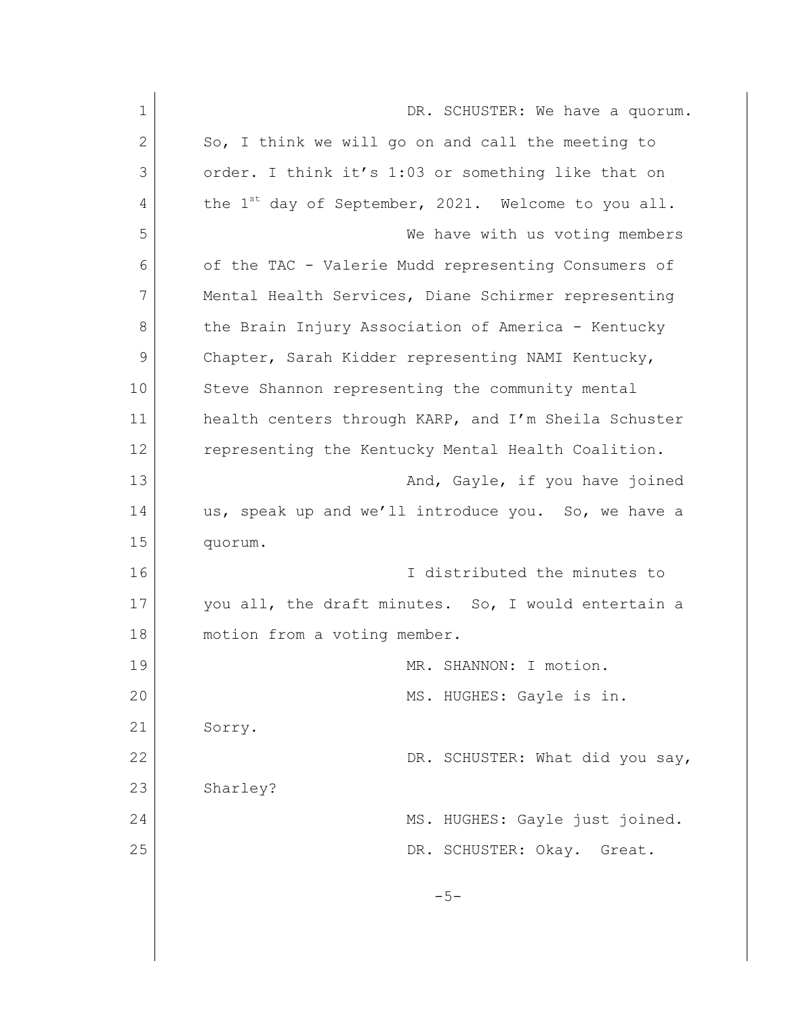| $\mathbf 1$ | DR. SCHUSTER: We have a quorum.                                 |
|-------------|-----------------------------------------------------------------|
| 2           | So, I think we will go on and call the meeting to               |
| 3           | order. I think it's 1:03 or something like that on              |
| 4           | the 1 <sup>st</sup> day of September, 2021. Welcome to you all. |
| 5           | We have with us voting members                                  |
| 6           | of the TAC - Valerie Mudd representing Consumers of             |
| 7           | Mental Health Services, Diane Schirmer representing             |
| 8           | the Brain Injury Association of America - Kentucky              |
| 9           | Chapter, Sarah Kidder representing NAMI Kentucky,               |
| 10          | Steve Shannon representing the community mental                 |
| 11          | health centers through KARP, and I'm Sheila Schuster            |
| 12          | representing the Kentucky Mental Health Coalition.              |
| 13          | And, Gayle, if you have joined                                  |
| 14          | us, speak up and we'll introduce you. So, we have a             |
| 15          | quorum.                                                         |
| 16          | I distributed the minutes to                                    |
| 17          | you all, the draft minutes. So, I would entertain a             |
| 18          | motion from a voting member.                                    |
| 19          | MR. SHANNON: I motion.                                          |
| 20          | MS. HUGHES: Gayle is in.                                        |
| 21          | Sorry.                                                          |
| 22          | DR. SCHUSTER: What did you say,                                 |
| 23          | Sharley?                                                        |
| 24          | MS. HUGHES: Gayle just joined.                                  |
| 25          | DR. SCHUSTER: Okay.<br>Great.                                   |
|             |                                                                 |
|             | $-5-$                                                           |
|             |                                                                 |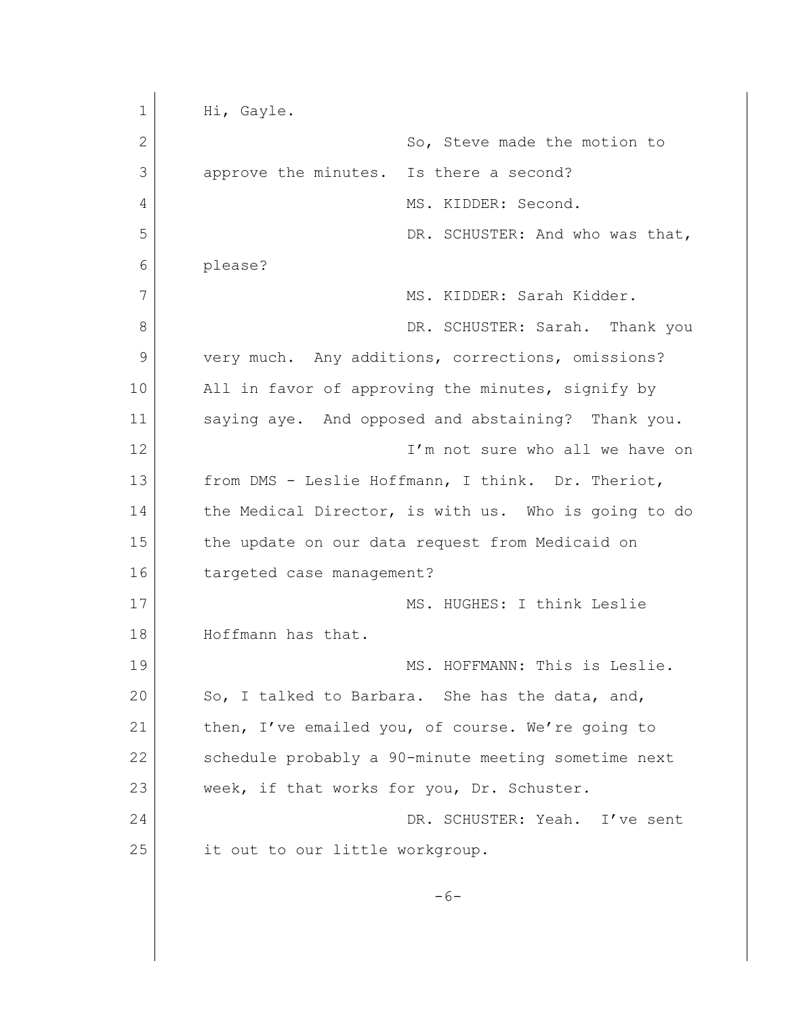1 Hi, Gayle. 2 So, Steve made the motion to 3 approve the minutes. Is there a second? 4 MS. KIDDER: Second. 5 DR. SCHUSTER: And who was that, 6 please? 7 MS. KIDDER: Sarah Kidder. 8 DR. SCHUSTER: Sarah. Thank you 9 very much. Any additions, corrections, omissions? 10 All in favor of approving the minutes, signify by 11 saying aye. And opposed and abstaining? Thank you. 12 **I'm not sure who all we have on** 13 from DMS - Leslie Hoffmann, I think. Dr. Theriot, 14 the Medical Director, is with us. Who is going to do 15 the update on our data request from Medicaid on 16 targeted case management? 17 MS. HUGHES: I think Leslie 18 Hoffmann has that. 19 MS. HOFFMANN: This is Leslie. 20 So, I talked to Barbara. She has the data, and, 21 then, I've emailed you, of course. We're going to 22 schedule probably a 90-minute meeting sometime next 23 week, if that works for you, Dr. Schuster. 24 DR. SCHUSTER: Yeah. I've sent 25 it out to our little workgroup.  $-6-$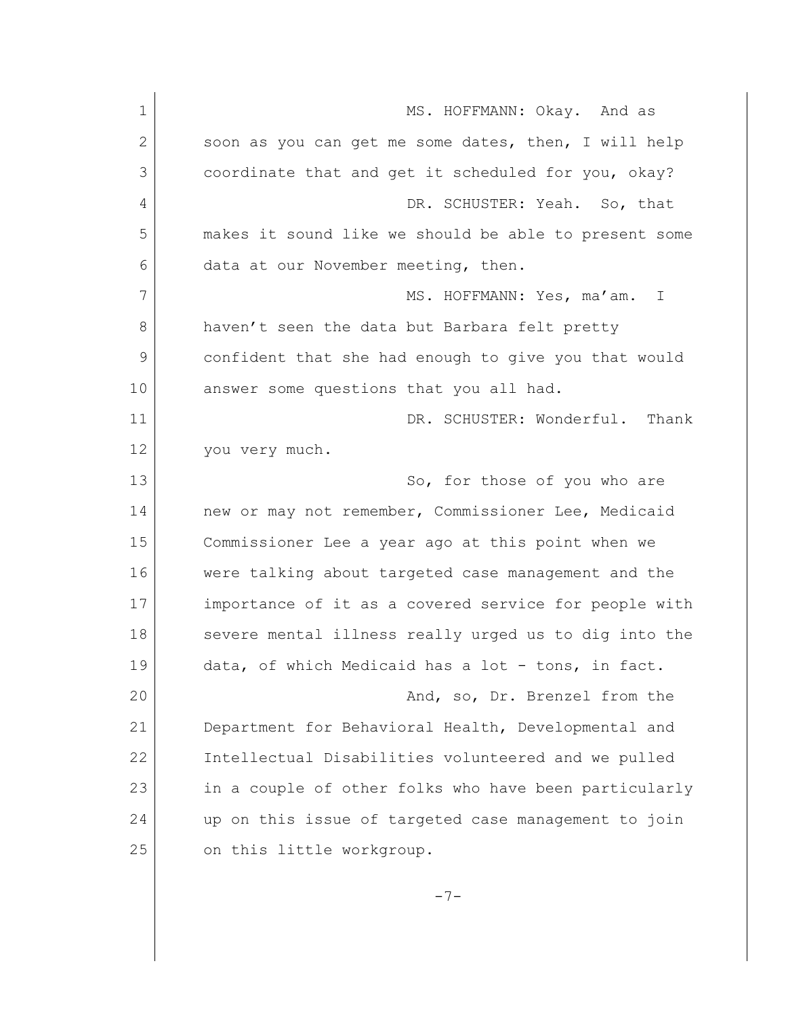| $\mathbf 1$  | MS. HOFFMANN: Okay. And as                            |
|--------------|-------------------------------------------------------|
| $\mathbf{2}$ | soon as you can get me some dates, then, I will help  |
| 3            | coordinate that and get it scheduled for you, okay?   |
| 4            | DR. SCHUSTER: Yeah. So, that                          |
| 5            | makes it sound like we should be able to present some |
| 6            | data at our November meeting, then.                   |
| 7            | MS. HOFFMANN: Yes, ma'am.<br>$\perp$                  |
| 8            | haven't seen the data but Barbara felt pretty         |
| 9            | confident that she had enough to give you that would  |
| 10           | answer some questions that you all had.               |
| 11           | DR. SCHUSTER: Wonderful.<br>Thank                     |
| 12           | you very much.                                        |
| 13           | So, for those of you who are                          |
| 14           | new or may not remember, Commissioner Lee, Medicaid   |
| 15           | Commissioner Lee a year ago at this point when we     |
| 16           | were talking about targeted case management and the   |
| 17           | importance of it as a covered service for people with |
| 18           | severe mental illness really urged us to dig into the |
| 19           | data, of which Medicaid has a lot - tons, in fact.    |
| 20           | And, so, Dr. Brenzel from the                         |
| 21           | Department for Behavioral Health, Developmental and   |
| 22           | Intellectual Disabilities volunteered and we pulled   |
| 23           | in a couple of other folks who have been particularly |
| 24           | up on this issue of targeted case management to join  |
| 25           | on this little workgroup.                             |
|              |                                                       |

-7-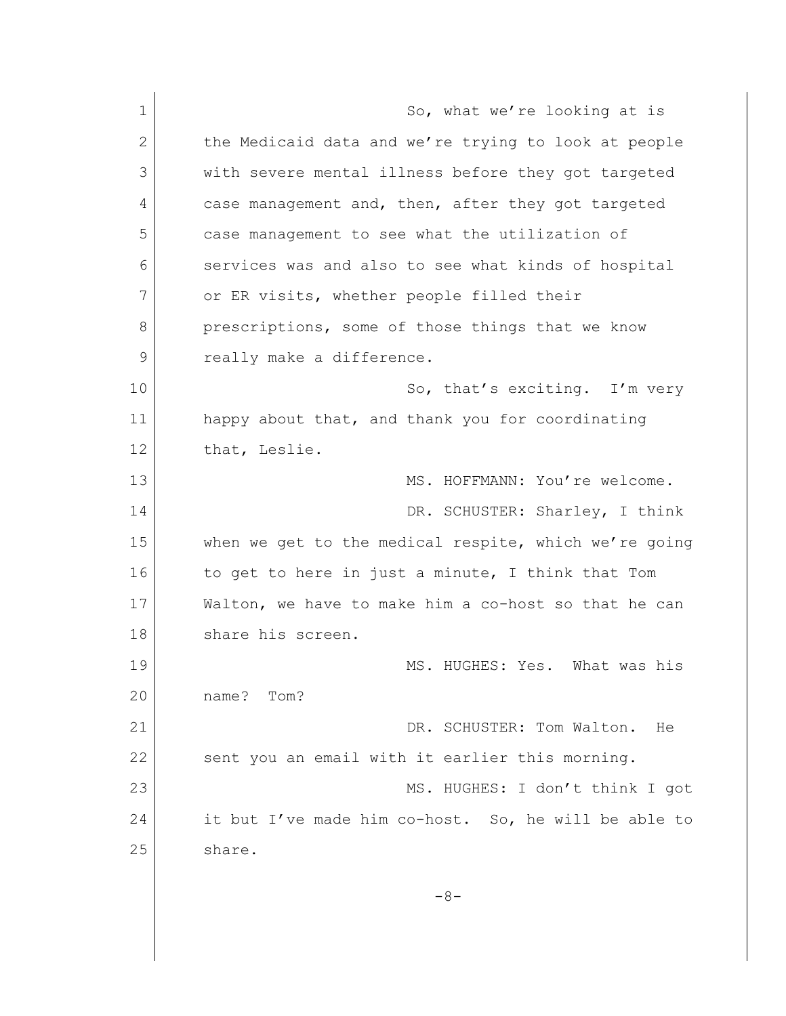| $\mathbf 1$ | So, what we're looking at is                          |
|-------------|-------------------------------------------------------|
| 2           | the Medicaid data and we're trying to look at people  |
| 3           | with severe mental illness before they got targeted   |
| 4           | case management and, then, after they got targeted    |
| 5           | case management to see what the utilization of        |
| 6           | services was and also to see what kinds of hospital   |
| 7           | or ER visits, whether people filled their             |
| 8           | prescriptions, some of those things that we know      |
| 9           | really make a difference.                             |
| 10          | So, that's exciting. I'm very                         |
| 11          | happy about that, and thank you for coordinating      |
| 12          | that, Leslie.                                         |
| 13          | MS. HOFFMANN: You're welcome.                         |
| 14          | DR. SCHUSTER: Sharley, I think                        |
| 15          | when we get to the medical respite, which we're going |
| 16          | to get to here in just a minute, I think that Tom     |
| 17          | Walton, we have to make him a co-host so that he can  |
| 18          | share his screen.                                     |
| 19          | MS. HUGHES: Yes. What was his                         |
| 20          | name?<br>Tom?                                         |
| 21          | DR. SCHUSTER: Tom Walton.<br>He                       |
| 22          | sent you an email with it earlier this morning.       |
| 23          | MS. HUGHES: I don't think I got                       |
| 24          | it but I've made him co-host. So, he will be able to  |
| 25          | share.                                                |
|             |                                                       |
|             | $-8-$                                                 |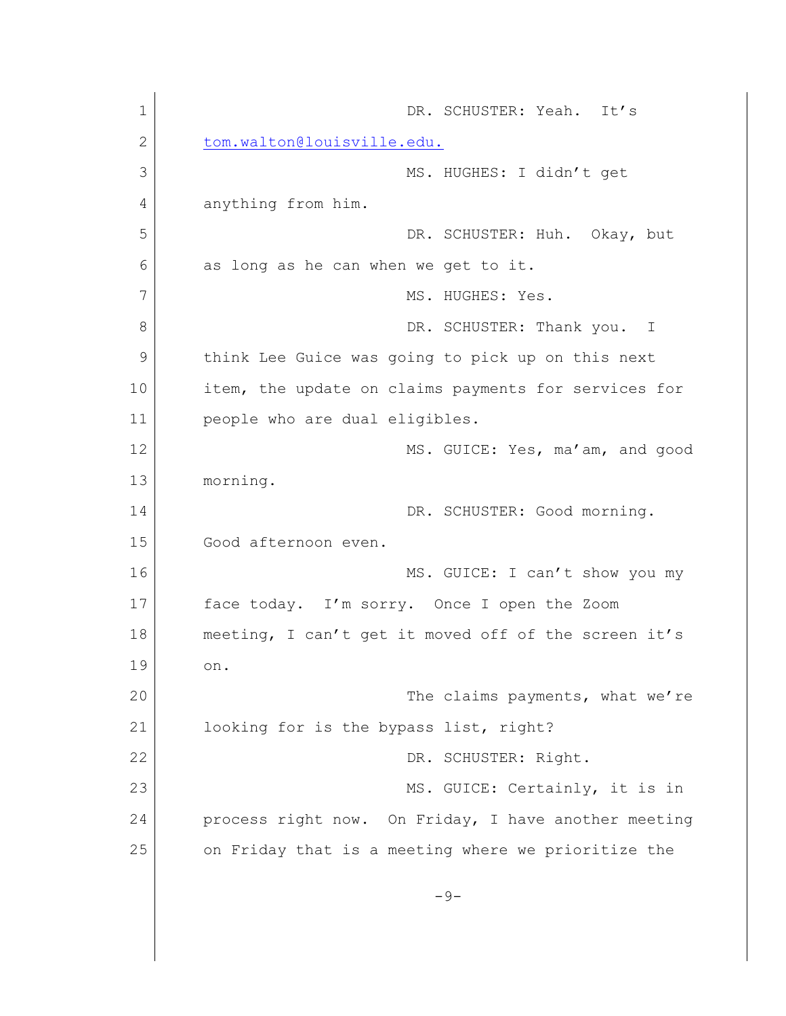1 DR. SCHUSTER: Yeah. It's 2 [tom.walton@louisville.edu.](mailto:tom.walton@louisville.edu.) 3 MS. HUGHES: I didn't get 4 anything from him. 5 DR. SCHUSTER: Huh. Okay, but 6 as long as he can when we get to it. 7 MS. HUGHES: Yes. 8 DR. SCHUSTER: Thank you. I 9 think Lee Guice was going to pick up on this next 10 item, the update on claims payments for services for 11 people who are dual eligibles. 12 MS. GUICE: Yes, ma'am, and good 13 morning. 14 DR. SCHUSTER: Good morning. 15 Good afternoon even. 16 MS. GUICE: I can't show you my 17 face today. I'm sorry. Once I open the Zoom 18 meeting, I can't get it moved off of the screen it's 19 on. 20 The claims payments, what we're 21 looking for is the bypass list, right? 22 DR. SCHUSTER: Right. 23 MS. GUICE: Certainly, it is in 24 process right now. On Friday, I have another meeting 25 on Friday that is a meeting where we prioritize the  $-9-$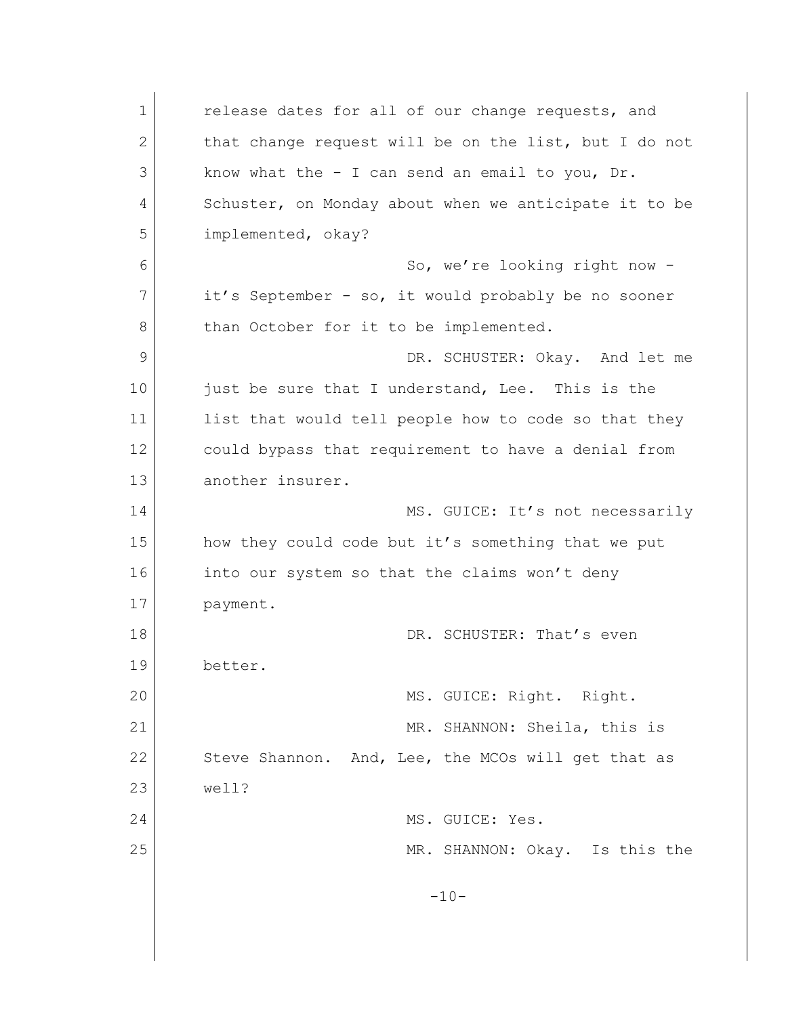1 **c** release dates for all of our change requests, and 2 that change request will be on the list, but I do not 3 know what the - I can send an email to you, Dr. 4 Schuster, on Monday about when we anticipate it to be 5 implemented, okay? 6 So, we're looking right now -7 it's September - so, it would probably be no sooner 8 than October for it to be implemented. 9 DR. SCHUSTER: Okay. And let me 10 just be sure that I understand, Lee. This is the 11 list that would tell people how to code so that they 12 could bypass that requirement to have a denial from 13 another insurer. 14 MS. GUICE: It's not necessarily 15 how they could code but it's something that we put 16 into our system so that the claims won't deny 17 payment. 18 DR. SCHUSTER: That's even 19 better. 20 MS. GUICE: Right. Right. 21 MR. SHANNON: Sheila, this is 22 Steve Shannon. And, Lee, the MCOs will get that as 23 well? 24 MS. GUICE: Yes. 25 | Constant MR. SHANNON: Okay. Is this the  $-10-$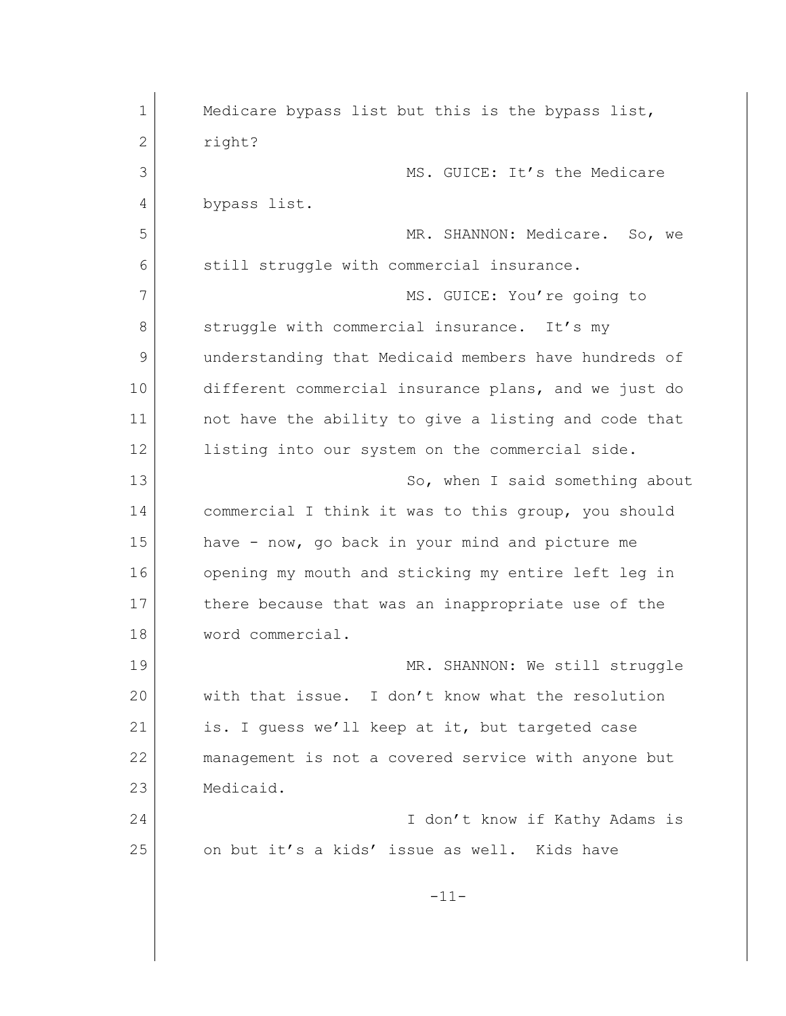| 1            | Medicare bypass list but this is the bypass list,    |
|--------------|------------------------------------------------------|
| $\mathbf{2}$ | right?                                               |
| 3            | MS. GUICE: It's the Medicare                         |
| 4            | bypass list.                                         |
| 5            | MR. SHANNON: Medicare. So, we                        |
| 6            | still struggle with commercial insurance.            |
| 7            | MS. GUICE: You're going to                           |
| 8            | struggle with commercial insurance. It's my          |
| 9            | understanding that Medicaid members have hundreds of |
| 10           | different commercial insurance plans, and we just do |
| 11           | not have the ability to give a listing and code that |
| 12           | listing into our system on the commercial side.      |
| 13           | So, when I said something about                      |
| 14           | commercial I think it was to this group, you should  |
| 15           | have - now, go back in your mind and picture me      |
| 16           | opening my mouth and sticking my entire left leg in  |
| 17           | there because that was an inappropriate use of the   |
| 18           | word commercial.                                     |
| 19           | MR. SHANNON: We still struggle                       |
| 20           | with that issue. I don't know what the resolution    |
| 21           | is. I quess we'll keep at it, but targeted case      |
| 22           | management is not a covered service with anyone but  |
| 23           | Medicaid.                                            |
| 24           | I don't know if Kathy Adams is                       |
| 25           | on but it's a kids' issue as well. Kids have         |
|              | $-11-$                                               |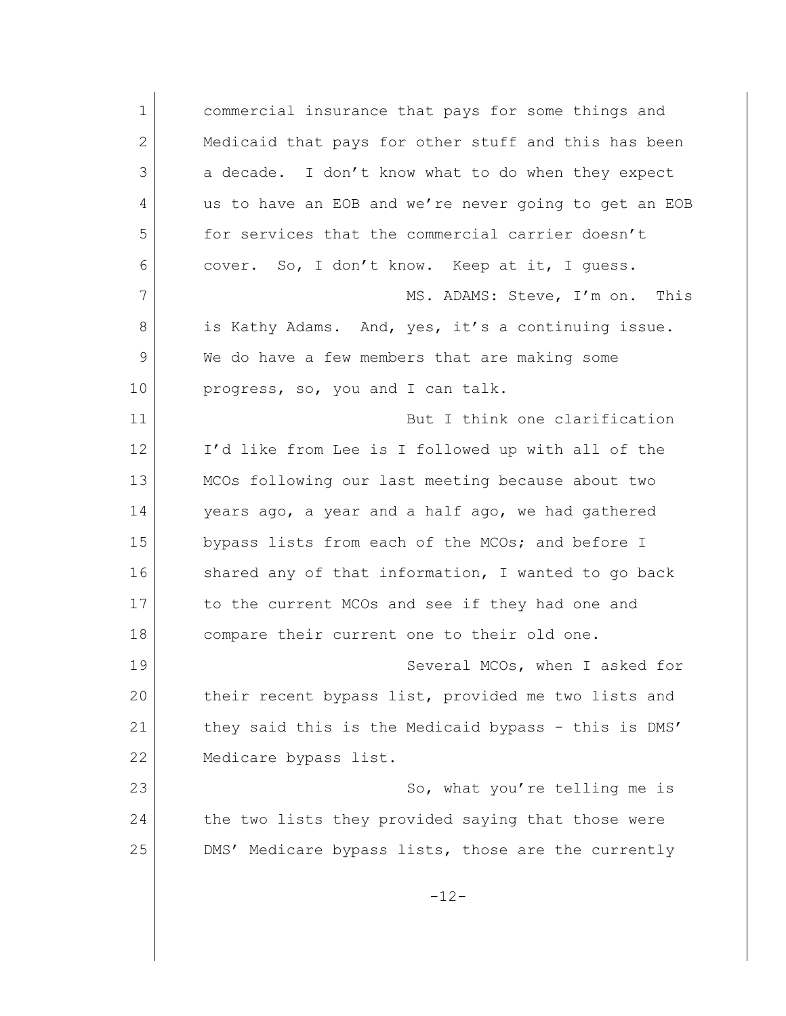1 commercial insurance that pays for some things and 2 Medicaid that pays for other stuff and this has been 3 a decade. I don't know what to do when they expect 4 us to have an EOB and we're never going to get an EOB 5 for services that the commercial carrier doesn't 6 cover. So, I don't know. Keep at it, I guess. 7 MS. ADAMS: Steve, I'm on. This 8 is Kathy Adams. And, yes, it's a continuing issue. 9 We do have a few members that are making some 10 progress, so, you and I can talk. 11 But I think one clarification 12 I'd like from Lee is I followed up with all of the 13 MCOs following our last meeting because about two 14 years ago, a year and a half ago, we had gathered 15 bypass lists from each of the MCOs; and before I 16 shared any of that information, I wanted to go back 17 to the current MCOs and see if they had one and 18 compare their current one to their old one. 19 Several MCOs, when I asked for 20 their recent bypass list, provided me two lists and 21 | they said this is the Medicaid bypass - this is DMS' 22 Medicare bypass list. 23 So, what you're telling me is 24 the two lists they provided saying that those were 25 DMS' Medicare bypass lists, those are the currently  $-12-$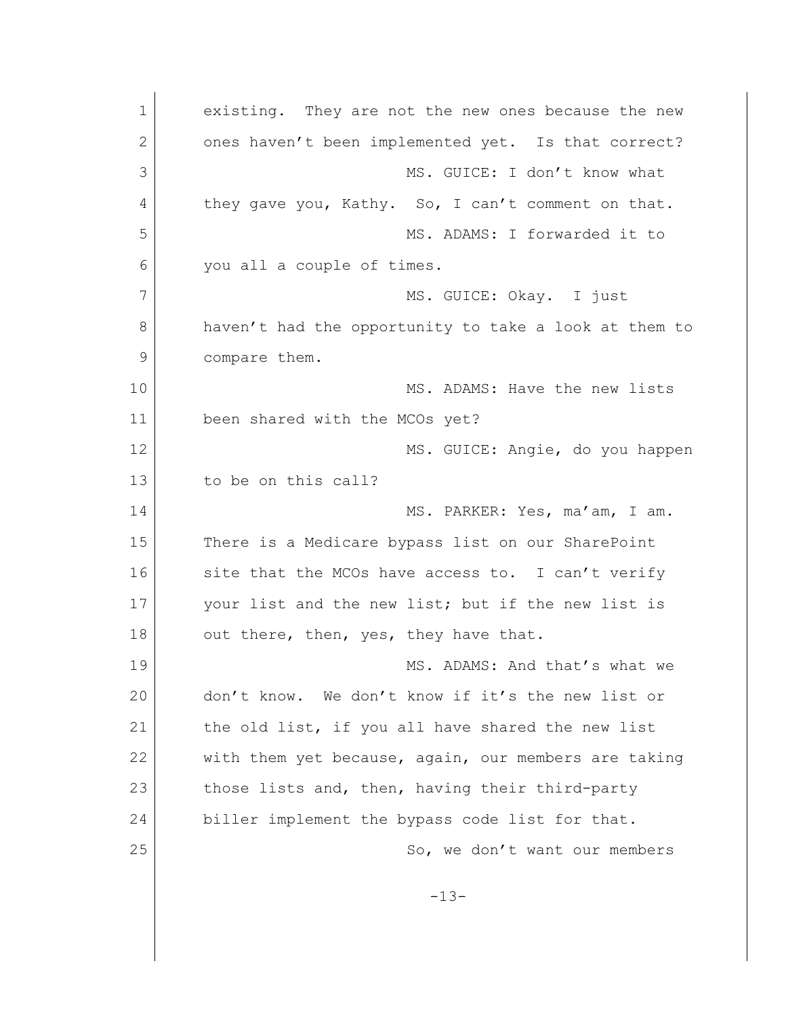1 existing. They are not the new ones because the new 2 ones haven't been implemented yet. Is that correct? 3 MS. GUICE: I don't know what 4 they gave you, Kathy. So, I can't comment on that. 5 MS. ADAMS: I forwarded it to 6 you all a couple of times. 7 MS. GUICE: Okay. I just 8 haven't had the opportunity to take a look at them to 9 compare them. 10 MS. ADAMS: Have the new lists 11 been shared with the MCOs yet? 12 MS. GUICE: Angie, do you happen 13 to be on this call? 14 MS. PARKER: Yes, ma'am, I am. 15 There is a Medicare bypass list on our SharePoint 16 site that the MCOs have access to. I can't verify 17 your list and the new list; but if the new list is  $18$  out there, then, yes, they have that. 19 MS. ADAMS: And that's what we 20 don't know. We don't know if it's the new list or 21 the old list, if you all have shared the new list 22 with them yet because, again, our members are taking 23 those lists and, then, having their third-party 24 biller implement the bypass code list for that. 25 So, we don't want our members -13-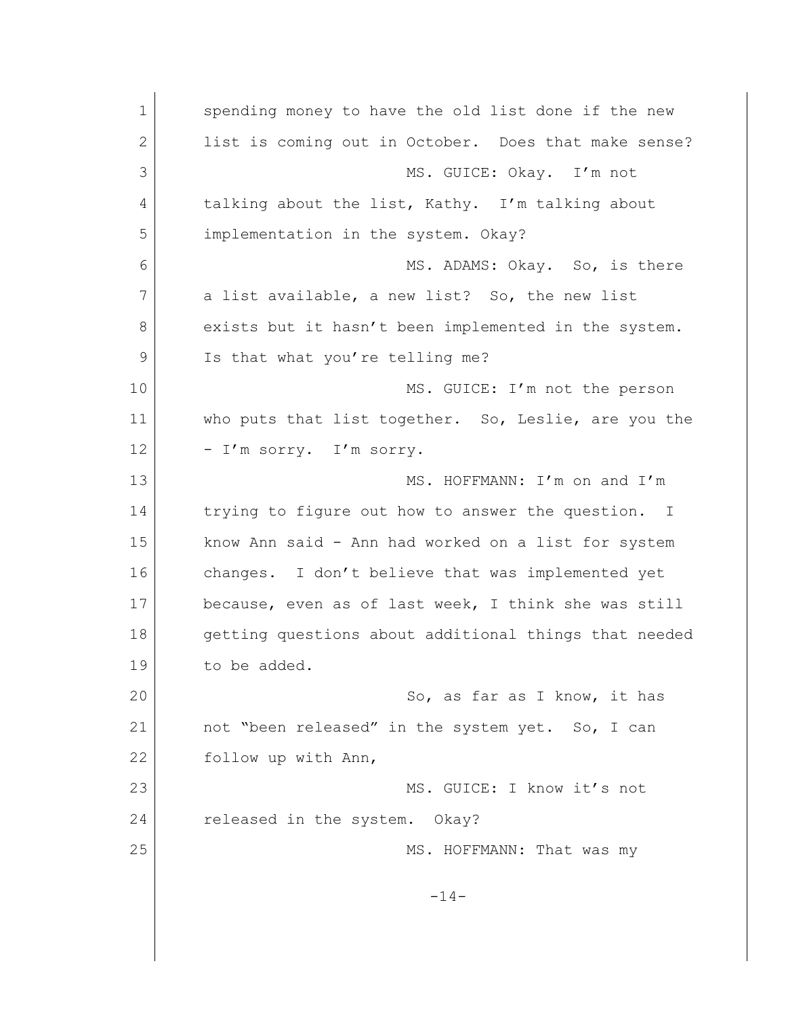1 spending money to have the old list done if the new 2 list is coming out in October. Does that make sense? 3 MS. GUICE: Okay. I'm not 4 talking about the list, Kathy. I'm talking about 5 implementation in the system. Okay? 6 MS. ADAMS: Okay. So, is there 7 a list available, a new list? So, the new list 8 exists but it hasn't been implemented in the system. 9 Is that what you're telling me? 10 MS. GUICE: I'm not the person 11 who puts that list together. So, Leslie, are you the 12 - I'm sorry. I'm sorry. 13 MS. HOFFMANN: I'm on and I'm 14 trying to figure out how to answer the question. I 15 know Ann said - Ann had worked on a list for system 16 changes. I don't believe that was implemented yet 17 because, even as of last week, I think she was still 18 getting questions about additional things that needed 19 to be added. 20 So, as far as I know, it has 21 | not "been released" in the system yet. So, I can 22 follow up with Ann, 23 MS. GUICE: I know it's not 24 released in the system. Okay? 25 MS. HOFFMANN: That was my -14-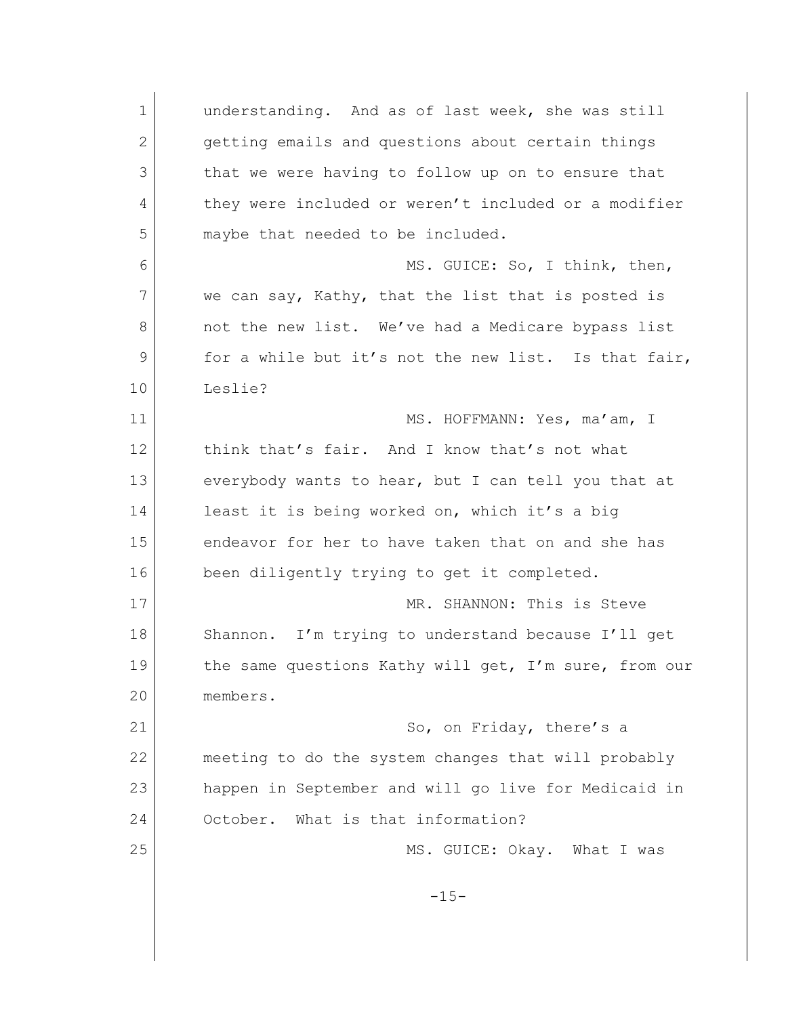1 understanding. And as of last week, she was still 2 getting emails and questions about certain things 3 that we were having to follow up on to ensure that 4 they were included or weren't included or a modifier 5 maybe that needed to be included. 6 MS. GUICE: So, I think, then, 7 we can say, Kathy, that the list that is posted is 8 not the new list. We've had a Medicare bypass list 9 for a while but it's not the new list. Is that fair, 10 Leslie? 11 MS. HOFFMANN: Yes, ma'am, I 12 think that's fair. And I know that's not what 13 everybody wants to hear, but I can tell you that at 14 least it is being worked on, which it's a big 15 endeavor for her to have taken that on and she has 16 been diligently trying to get it completed. 17 MR. SHANNON: This is Steve 18 Shannon. I'm trying to understand because I'll get 19 the same questions Kathy will get, I'm sure, from our 20 members. 21 So, on Friday, there's a 22 meeting to do the system changes that will probably 23 happen in September and will go live for Medicaid in 24 October. What is that information? 25 MS. GUICE: Okay. What I was  $-15-$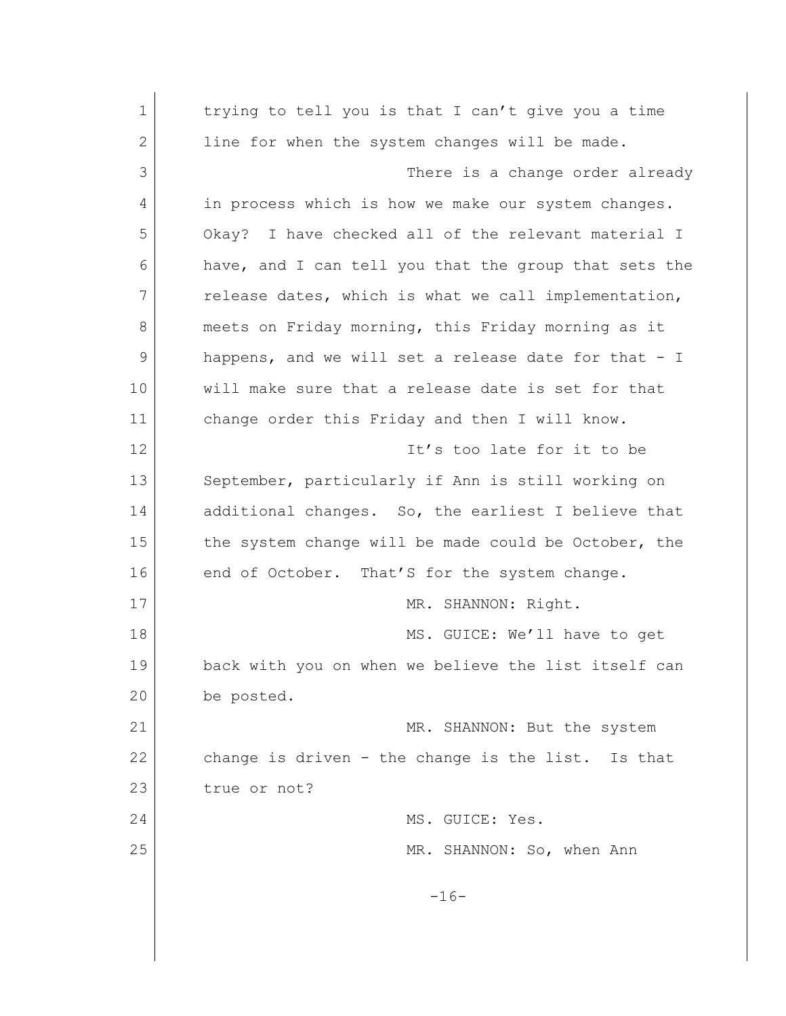1 trying to tell you is that I can't give you a time 2 line for when the system changes will be made. 3 There is a change order already 4 in process which is how we make our system changes. 5 Okay? I have checked all of the relevant material I 6 have, and I can tell you that the group that sets the 7 release dates, which is what we call implementation, 8 meets on Friday morning, this Friday morning as it 9 happens, and we will set a release date for that - I 10 will make sure that a release date is set for that 11 change order this Friday and then I will know. 12 It's too late for it to be 13 September, particularly if Ann is still working on 14 additional changes. So, the earliest I believe that 15 the system change will be made could be October, the 16 end of October. That'S for the system change. 17 MR. SHANNON: Right. 18 MS. GUICE: We'll have to get 19 back with you on when we believe the list itself can 20 be posted. 21 MR. SHANNON: But the system 22 change is driven - the change is the list. Is that 23 true or not? 24 MS. GUICE: Yes. 25 MR. SHANNON: So, when Ann  $-16-$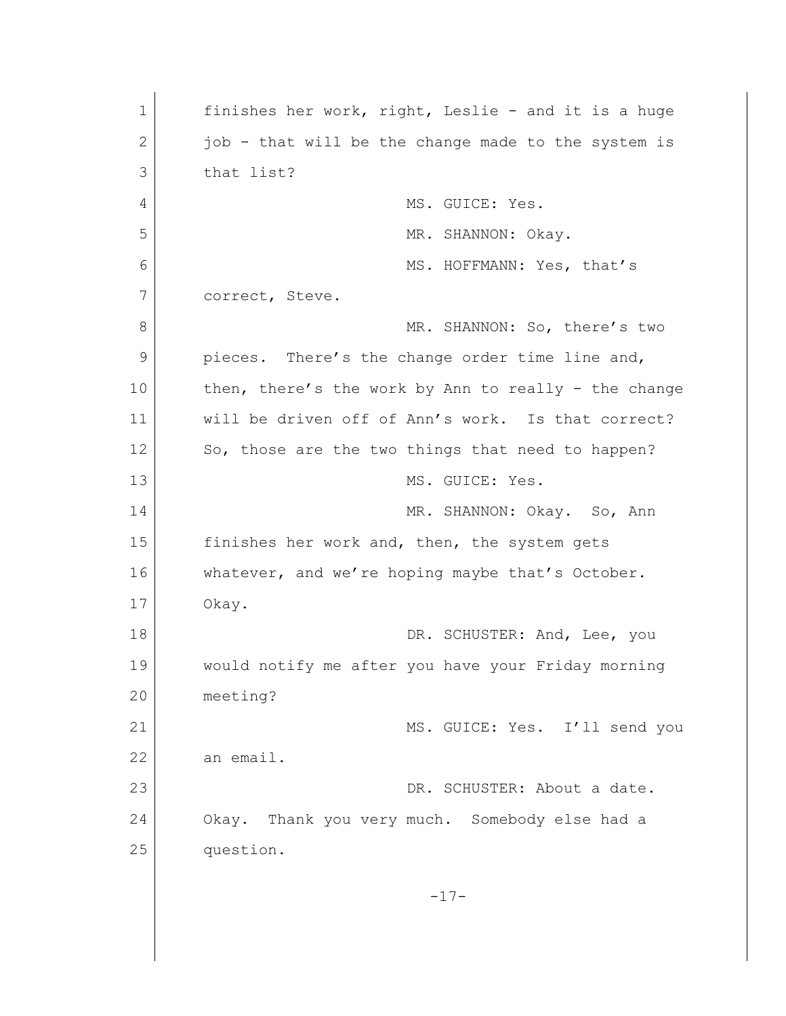1 finishes her work, right, Leslie - and it is a huge 2 iob - that will be the change made to the system is 3 that list? 4 MS. GUICE: Yes. 5 MR. SHANNON: Okay. 6 MS. HOFFMANN: Yes, that's 7 correct, Steve. 8 MR. SHANNON: So, there's two 9 pieces. There's the change order time line and, 10 then, there's the work by Ann to really - the change 11 will be driven off of Ann's work. Is that correct? 12 So, those are the two things that need to happen? 13 MS. GUICE: Yes. 14 MR. SHANNON: Okay. So, Ann 15 finishes her work and, then, the system gets 16 whatever, and we're hoping maybe that's October. 17 Okay. 18 DR. SCHUSTER: And, Lee, you 19 would notify me after you have your Friday morning 20 meeting? 21 MS. GUICE: Yes. I'll send you 22 an email. 23 DR. SCHUSTER: About a date. 24 Okay. Thank you very much. Somebody else had a 25 question. -17-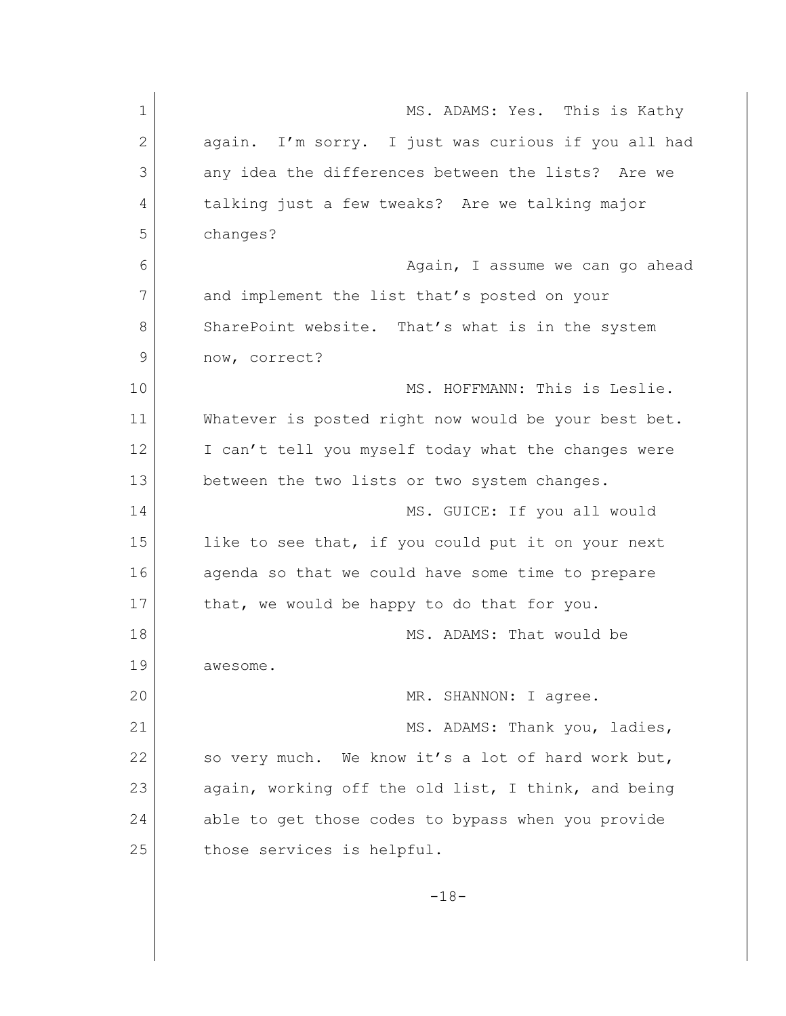| $\mathbf 1$  | MS. ADAMS: Yes. This is Kathy                        |
|--------------|------------------------------------------------------|
| $\mathbf{2}$ | again. I'm sorry. I just was curious if you all had  |
| 3            | any idea the differences between the lists? Are we   |
| 4            | talking just a few tweaks? Are we talking major      |
| 5            | changes?                                             |
| 6            | Again, I assume we can go ahead                      |
| 7            | and implement the list that's posted on your         |
| 8            | SharePoint website. That's what is in the system     |
| 9            | now, correct?                                        |
| 10           | MS. HOFFMANN: This is Leslie.                        |
| 11           | Whatever is posted right now would be your best bet. |
| 12           | I can't tell you myself today what the changes were  |
| 13           | between the two lists or two system changes.         |
| 14           | MS. GUICE: If you all would                          |
| 15           | like to see that, if you could put it on your next   |
| 16           | agenda so that we could have some time to prepare    |
| 17           | that, we would be happy to do that for you.          |
| 18           | MS. ADAMS: That would be                             |
| 19           | awesome                                              |
| 20           | MR. SHANNON: I agree.                                |
| 21           | MS. ADAMS: Thank you, ladies,                        |
| 22           | so very much. We know it's a lot of hard work but,   |
| 23           | again, working off the old list, I think, and being  |
| 24           | able to get those codes to bypass when you provide   |
| 25           | those services is helpful.                           |
|              |                                                      |
|              | $-18-$                                               |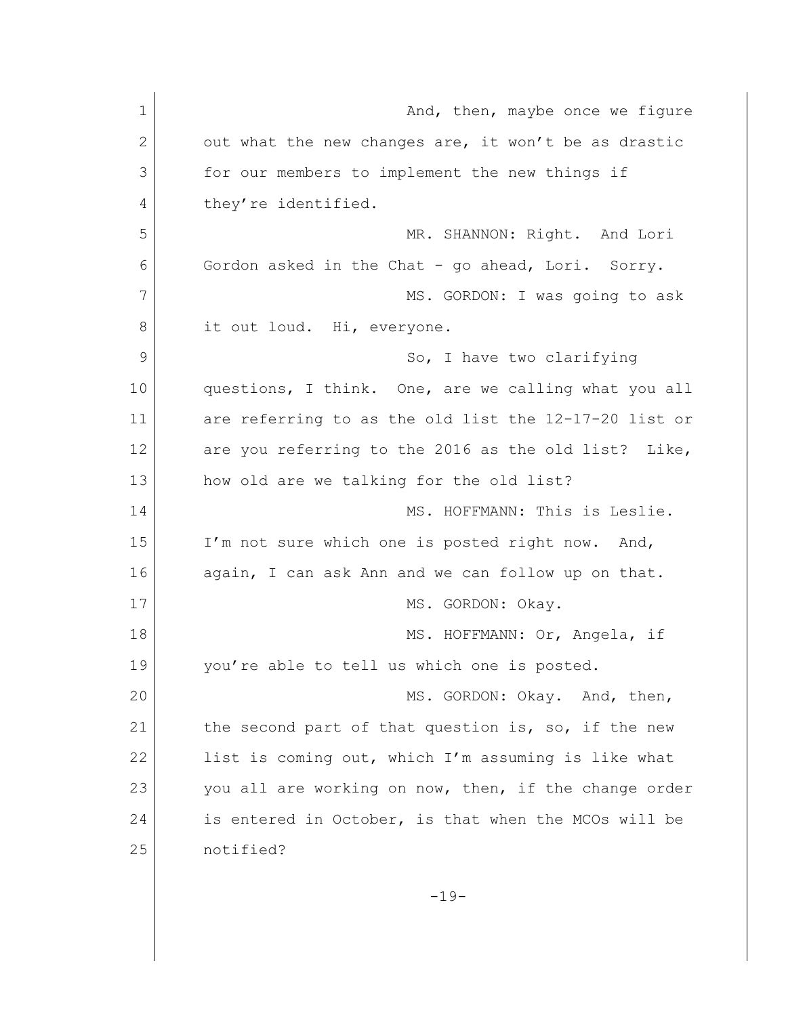| $\mathbf 1$  | And, then, maybe once we figure                       |
|--------------|-------------------------------------------------------|
| $\mathbf{2}$ | out what the new changes are, it won't be as drastic  |
| 3            | for our members to implement the new things if        |
| 4            | they're identified.                                   |
| 5            | MR. SHANNON: Right. And Lori                          |
| 6            | Gordon asked in the Chat - go ahead, Lori. Sorry.     |
| 7            | MS. GORDON: I was going to ask                        |
| 8            | it out loud. Hi, everyone.                            |
| 9            | So, I have two clarifying                             |
| 10           | questions, I think. One, are we calling what you all  |
| 11           | are referring to as the old list the 12-17-20 list or |
| 12           | are you referring to the 2016 as the old list? Like,  |
| 13           | how old are we talking for the old list?              |
| 14           | MS. HOFFMANN: This is Leslie.                         |
| 15           | I'm not sure which one is posted right now. And,      |
| 16           | again, I can ask Ann and we can follow up on that.    |
| 17           | MS. GORDON: Okay.                                     |
| 18           | MS. HOFFMANN: Or, Angela, if                          |
| 19           | you're able to tell us which one is posted.           |
| 20           | MS. GORDON: Okay. And, then,                          |
| 21           | the second part of that question is, so, if the new   |
| 22           | list is coming out, which I'm assuming is like what   |
| 23           | you all are working on now, then, if the change order |
| 24           | is entered in October, is that when the MCOs will be  |
| 25           | notified?                                             |
|              | $-19-$                                                |
|              |                                                       |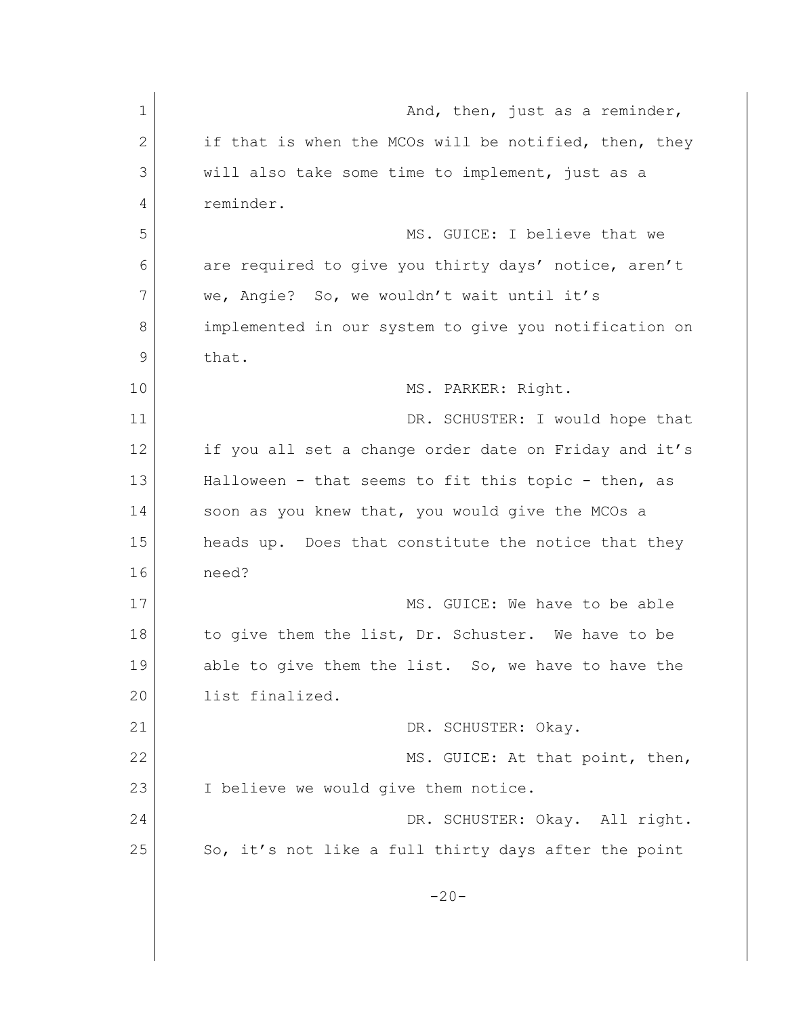| $\mathbf 1$ | And, then, just as a reminder,                        |
|-------------|-------------------------------------------------------|
| 2           | if that is when the MCOs will be notified, then, they |
| 3           | will also take some time to implement, just as a      |
| 4           | reminder.                                             |
| 5           | MS. GUICE: I believe that we                          |
| 6           | are required to give you thirty days' notice, aren't  |
| 7           | we, Angie? So, we wouldn't wait until it's            |
| 8           | implemented in our system to give you notification on |
| 9           | that.                                                 |
| 10          | MS. PARKER: Right.                                    |
| 11          | DR. SCHUSTER: I would hope that                       |
| 12          | if you all set a change order date on Friday and it's |
| 13          | Halloween - that seems to fit this topic - then, as   |
| 14          | soon as you knew that, you would give the MCOs a      |
| 15          | heads up. Does that constitute the notice that they   |
| 16          | need?                                                 |
| 17          | MS. GUICE: We have to be able                         |
| 18          | to give them the list, Dr. Schuster. We have to be    |
| 19          | able to give them the list. So, we have to have the   |
| 20          | list finalized.                                       |
| 21          | DR. SCHUSTER: Okay.                                   |
| 22          | MS. GUICE: At that point, then,                       |
| 23          | I believe we would give them notice.                  |
| 24          | DR. SCHUSTER: Okay. All right.                        |
| 25          | So, it's not like a full thirty days after the point  |
|             | $-20-$                                                |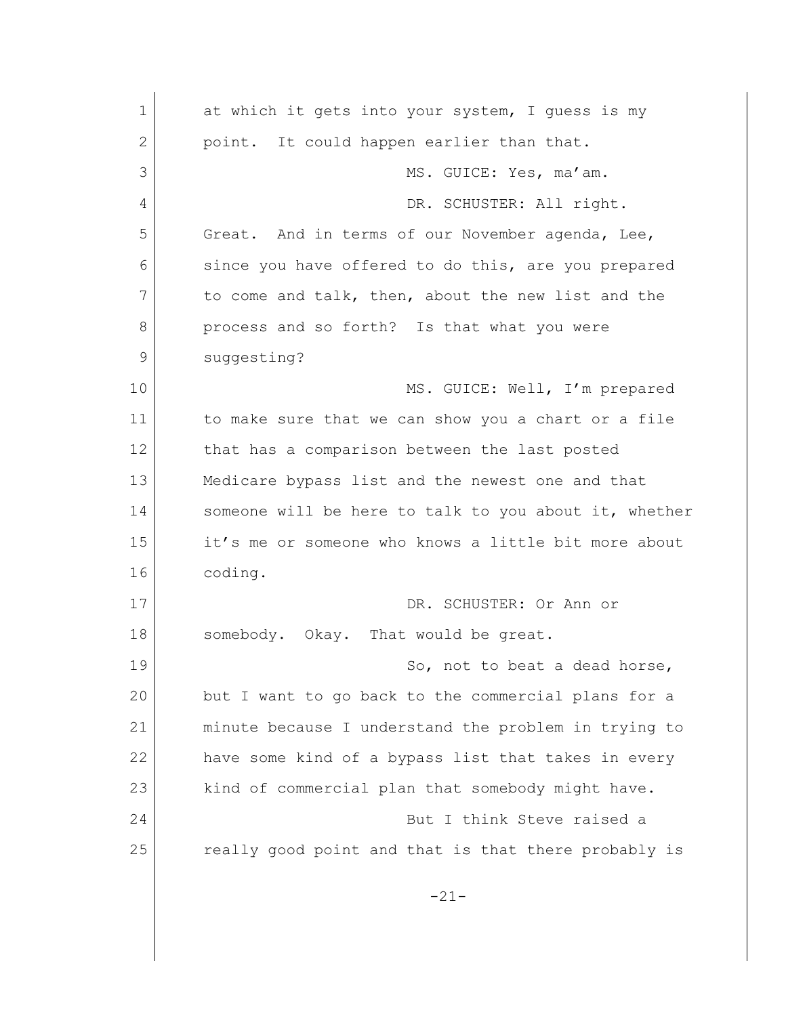1 at which it gets into your system, I quess is my 2 point. It could happen earlier than that. 3 MS. GUICE: Yes, ma'am. 4 DR. SCHUSTER: All right. 5 Great. And in terms of our November agenda, Lee, 6 since you have offered to do this, are you prepared 7 to come and talk, then, about the new list and the 8 process and so forth? Is that what you were 9 suggesting? 10 MS. GUICE: Well, I'm prepared 11 to make sure that we can show you a chart or a file 12 that has a comparison between the last posted 13 Medicare bypass list and the newest one and that 14 Someone will be here to talk to you about it, whether 15 it's me or someone who knows a little bit more about 16 coding. 17 DR. SCHUSTER: Or Ann or 18 somebody. Okay. That would be great. 19 So, not to beat a dead horse, 20 but I want to go back to the commercial plans for a 21 minute because I understand the problem in trying to 22 have some kind of a bypass list that takes in every 23 kind of commercial plan that somebody might have. 24 But I think Steve raised a 25 really good point and that is that there probably is -21-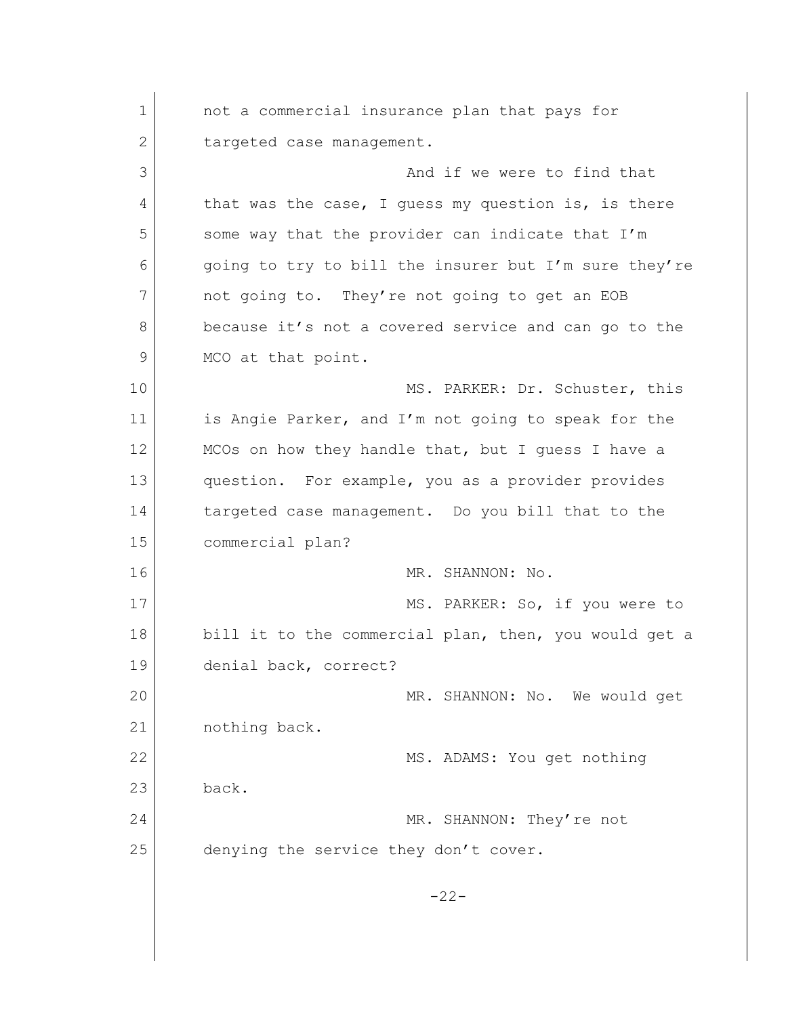1 and a commercial insurance plan that pays for 2 targeted case management. 3 And if we were to find that 4 that was the case, I guess my question is, is there 5 some way that the provider can indicate that I'm  $6$  going to try to bill the insurer but I'm sure they're 7 not going to. They're not going to get an EOB 8 because it's not a covered service and can go to the 9 MCO at that point. 10 MS. PARKER: Dr. Schuster, this 11 is Angie Parker, and I'm not going to speak for the 12 MCOs on how they handle that, but I quess I have a 13 question. For example, you as a provider provides 14 targeted case management. Do you bill that to the 15 commercial plan? 16 MR. SHANNON: No. 17 MS. PARKER: So, if you were to 18 bill it to the commercial plan, then, you would get a 19 denial back, correct? 20 MR. SHANNON: No. We would get 21 nothing back. 22 MS. ADAMS: You get nothing 23 back. 24 MR. SHANNON: They're not 25 denying the service they don't cover.  $-22-$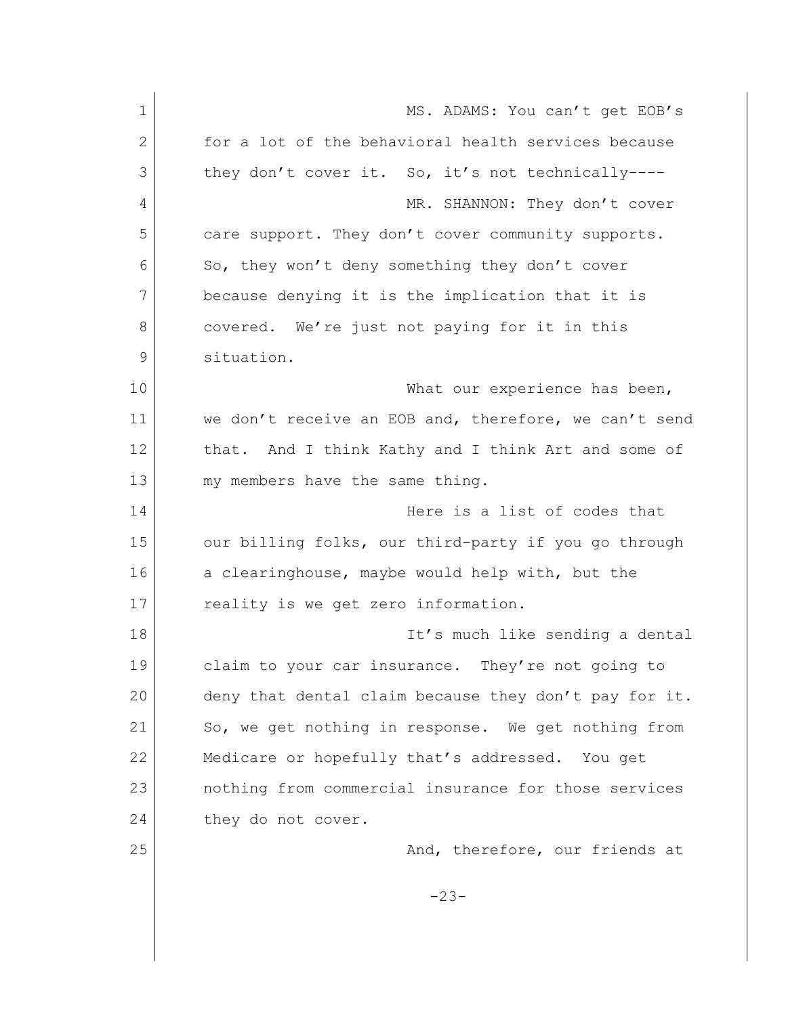1 MS. ADAMS: You can't get EOB's 2 for a lot of the behavioral health services because 3 they don't cover it. So, it's not technically----4 MR. SHANNON: They don't cover 5 care support. They don't cover community supports. 6 So, they won't deny something they don't cover 7 because denying it is the implication that it is 8 covered. We're just not paying for it in this 9 situation. 10 What our experience has been, 11 we don't receive an EOB and, therefore, we can't send 12 that. And I think Kathy and I think Art and some of 13 my members have the same thing. 14 Here is a list of codes that 15 | our billing folks, our third-party if you go through 16 a clearinghouse, maybe would help with, but the 17 reality is we get zero information. 18 | It's much like sending a dental 19 claim to your car insurance. They're not going to 20 deny that dental claim because they don't pay for it. 21 So, we get nothing in response. We get nothing from 22 Medicare or hopefully that's addressed. You get 23 nothing from commercial insurance for those services 24 they do not cover. 25 And, therefore, our friends at -23-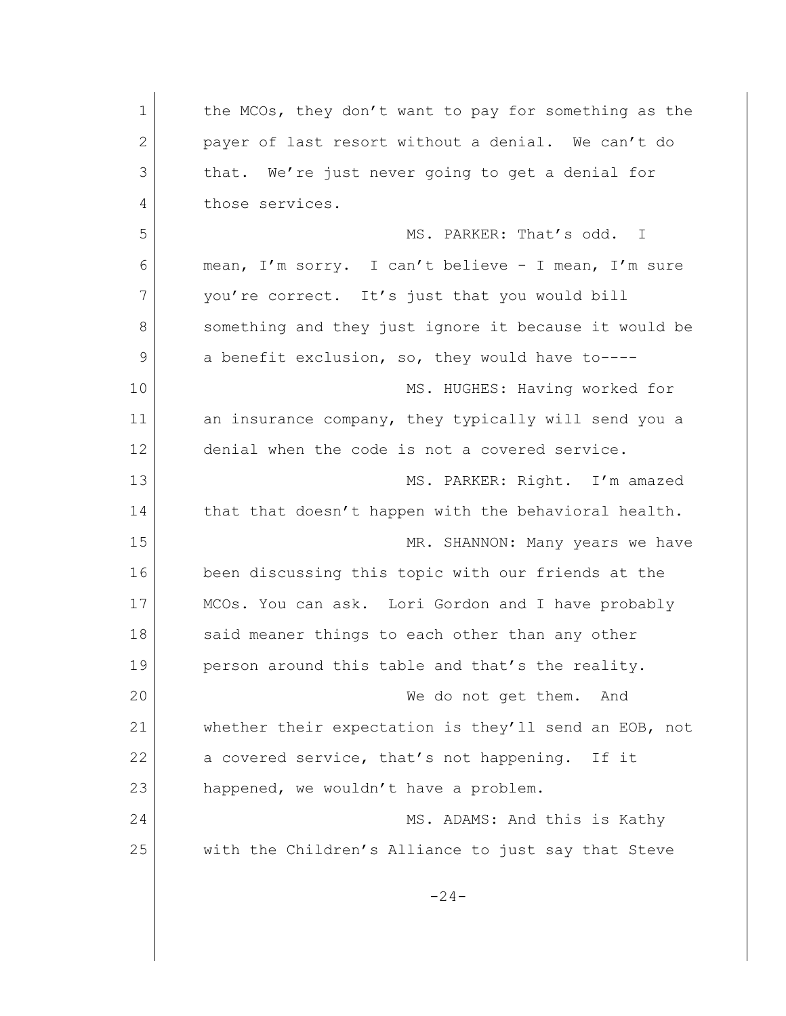| $\mathbf 1$ | the MCOs, they don't want to pay for something as the |
|-------------|-------------------------------------------------------|
| 2           | payer of last resort without a denial. We can't do    |
| 3           | that. We're just never going to get a denial for      |
| 4           | those services.                                       |
| 5           | MS. PARKER: That's odd. I                             |
| 6           | mean, I'm sorry. I can't believe - I mean, I'm sure   |
| 7           | you're correct. It's just that you would bill         |
| 8           | something and they just ignore it because it would be |
| 9           | a benefit exclusion, so, they would have to----       |
| 10          | MS. HUGHES: Having worked for                         |
| 11          | an insurance company, they typically will send you a  |
| 12          | denial when the code is not a covered service.        |
| 13          | MS. PARKER: Right. I'm amazed                         |
| 14          | that that doesn't happen with the behavioral health.  |
| 15          | MR. SHANNON: Many years we have                       |
| 16          | been discussing this topic with our friends at the    |
| 17          | MCOs. You can ask. Lori Gordon and I have probably    |
| 18          | said meaner things to each other than any other       |
| 19          | person around this table and that's the reality.      |
| 20          | We do not get them.<br>And                            |
| 21          | whether their expectation is they'll send an EOB, not |
| 22          | a covered service, that's not happening. If it        |
| 23          | happened, we wouldn't have a problem.                 |
| 24          | MS. ADAMS: And this is Kathy                          |
| 25          | with the Children's Alliance to just say that Steve   |
|             | $-24-$                                                |
|             |                                                       |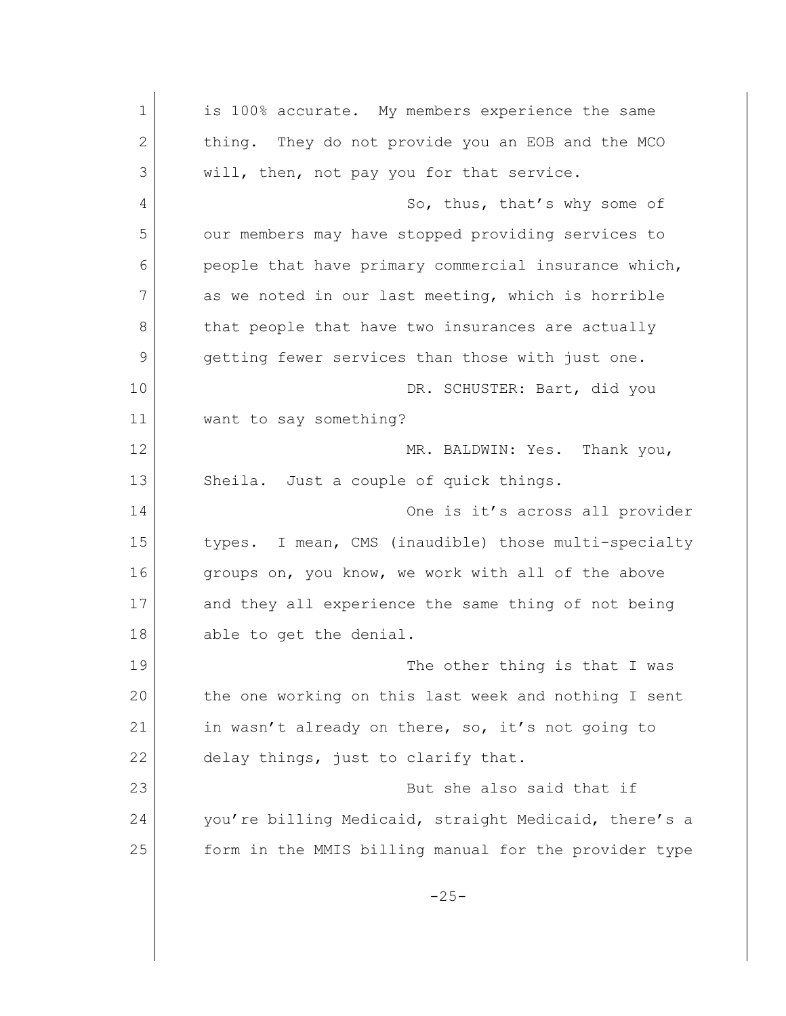1 is 100% accurate. My members experience the same 2 thing. They do not provide you an EOB and the MCO 3 will, then, not pay you for that service. 4 So, thus, that's why some of 5 our members may have stopped providing services to 6 people that have primary commercial insurance which, 7 as we noted in our last meeting, which is horrible 8 that people that have two insurances are actually 9 getting fewer services than those with just one. 10 DR. SCHUSTER: Bart, did you 11 want to say something? 12 MR. BALDWIN: Yes. Thank you, 13 Sheila. Just a couple of quick things. 14 One is it's across all provider 15 types. I mean, CMS (inaudible) those multi-specialty 16 groups on, you know, we work with all of the above 17 and they all experience the same thing of not being 18 able to get the denial. 19 The other thing is that I was 20 the one working on this last week and nothing I sent 21 in wasn't already on there, so, it's not going to 22 delay things, just to clarify that. 23 But she also said that if 24 you're billing Medicaid, straight Medicaid, there's a 25 form in the MMIS billing manual for the provider type  $-25-$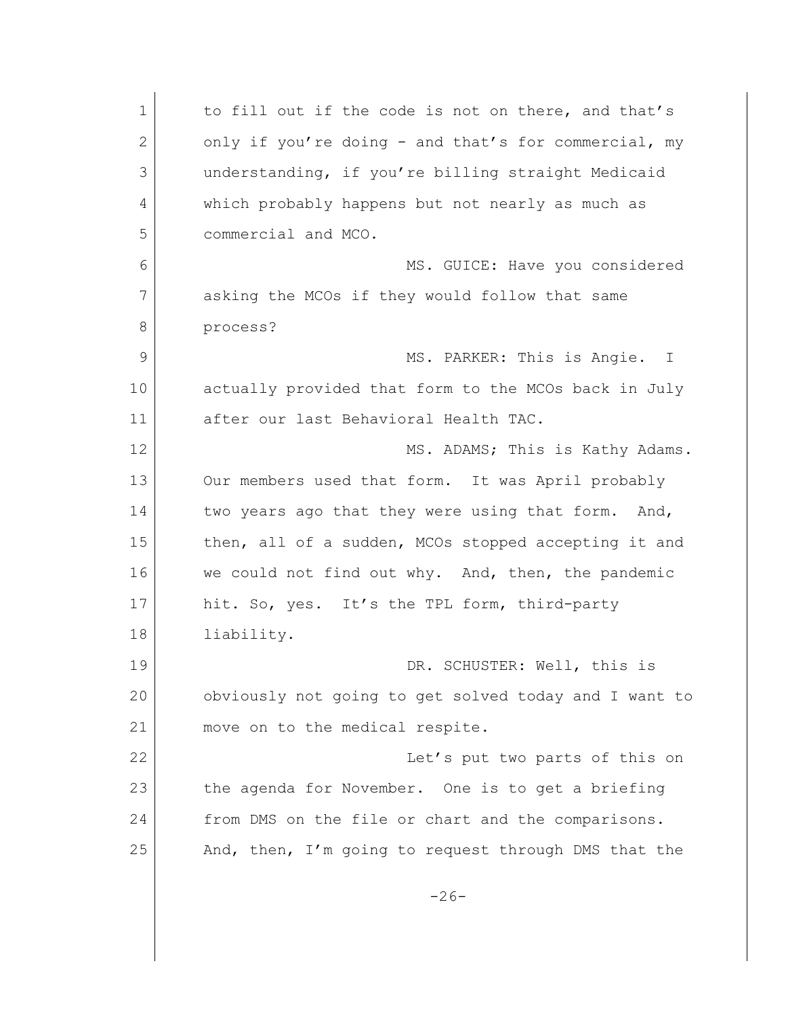| $\mathbf 1$ | to fill out if the code is not on there, and that's   |
|-------------|-------------------------------------------------------|
| 2           | only if you're doing - and that's for commercial, my  |
| 3           | understanding, if you're billing straight Medicaid    |
| 4           | which probably happens but not nearly as much as      |
| 5           | commercial and MCO.                                   |
| 6           | MS. GUICE: Have you considered                        |
| 7           | asking the MCOs if they would follow that same        |
| 8           | process?                                              |
| 9           | MS. PARKER: This is Angie. I                          |
| 10          | actually provided that form to the MCOs back in July  |
| 11          | after our last Behavioral Health TAC.                 |
| 12          | MS. ADAMS; This is Kathy Adams.                       |
| 13          | Our members used that form. It was April probably     |
| 14          | two years ago that they were using that form. And,    |
| 15          | then, all of a sudden, MCOs stopped accepting it and  |
| 16          | we could not find out why. And, then, the pandemic    |
| 17          | hit. So, yes. It's the TPL form, third-party          |
| 18          | liability.                                            |
| 19          | DR. SCHUSTER: Well, this is                           |
| 20          | obviously not going to get solved today and I want to |
| 21          | move on to the medical respite.                       |
| 22          | Let's put two parts of this on                        |
| 23          | the agenda for November. One is to get a briefing     |
| 24          | from DMS on the file or chart and the comparisons.    |
| 25          | And, then, I'm going to request through DMS that the  |
|             | $-26-$                                                |
|             |                                                       |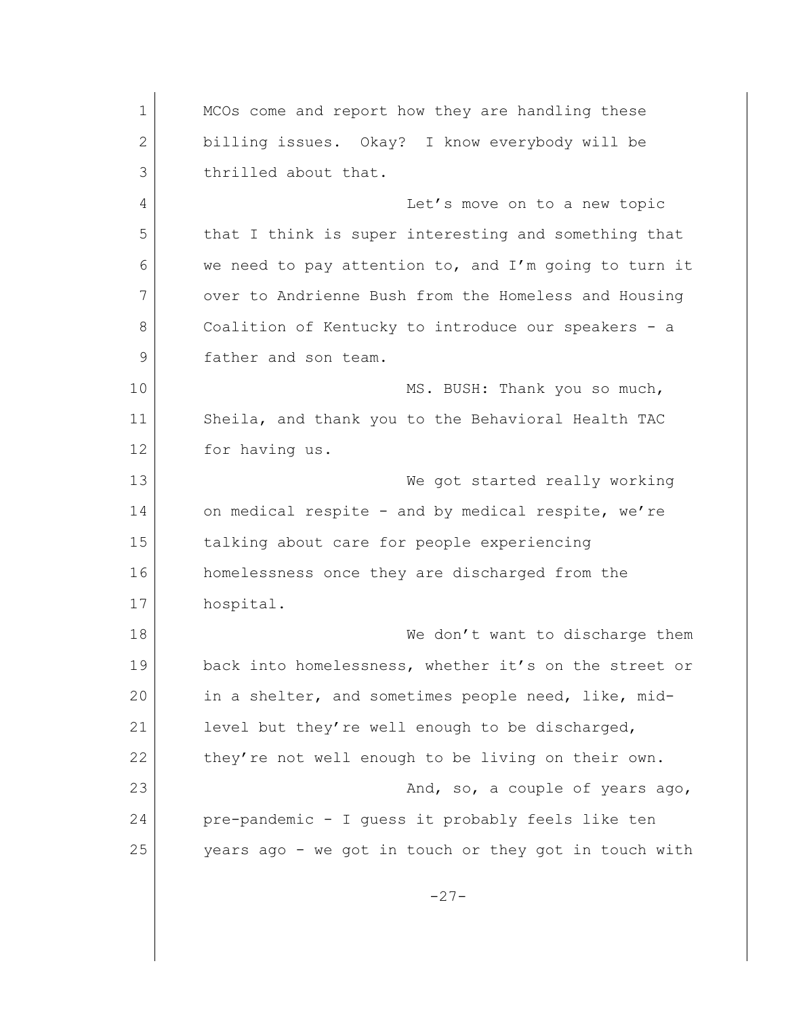1 MCOs come and report how they are handling these 2 billing issues. Okay? I know everybody will be 3 thrilled about that. 4 Let's move on to a new topic 5 that I think is super interesting and something that 6 we need to pay attention to, and I'm going to turn it 7 over to Andrienne Bush from the Homeless and Housing 8 Coalition of Kentucky to introduce our speakers - a 9 father and son team. 10 MS. BUSH: Thank you so much, 11 Sheila, and thank you to the Behavioral Health TAC 12 for having us. 13 We got started really working 14 on medical respite - and by medical respite, we're 15 talking about care for people experiencing 16 homelessness once they are discharged from the 17 hospital. 18 We don't want to discharge them 19 back into homelessness, whether it's on the street or 20 in a shelter, and sometimes people need, like, mid-21 level but they're well enough to be discharged, 22 they're not well enough to be living on their own. 23 and, so, a couple of years ago, and a couple of years ago, 24 pre-pandemic - I guess it probably feels like ten 25 years ago - we got in touch or they got in touch with -27-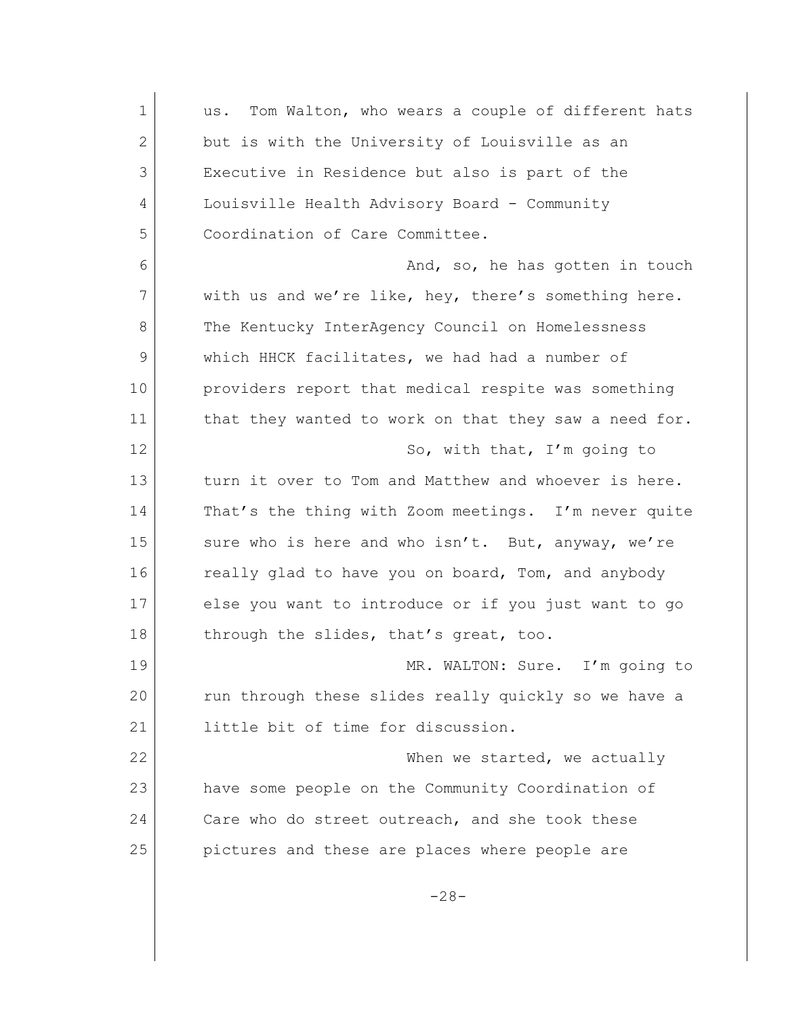| $\mathbf 1$ | Tom Walton, who wears a couple of different hats<br>us. |
|-------------|---------------------------------------------------------|
| 2           | but is with the University of Louisville as an          |
| 3           | Executive in Residence but also is part of the          |
| 4           | Louisville Health Advisory Board - Community            |
| 5           | Coordination of Care Committee.                         |
| 6           | And, so, he has gotten in touch                         |
| 7           | with us and we're like, hey, there's something here.    |
| 8           | The Kentucky InterAgency Council on Homelessness        |
| 9           | which HHCK facilitates, we had had a number of          |
| 10          | providers report that medical respite was something     |
| 11          | that they wanted to work on that they saw a need for.   |
| 12          | So, with that, I'm going to                             |
| 13          | turn it over to Tom and Matthew and whoever is here.    |
| 14          | That's the thing with Zoom meetings. I'm never quite    |
| 15          | sure who is here and who isn't. But, anyway, we're      |
| 16          | really glad to have you on board, Tom, and anybody      |
| 17          | else you want to introduce or if you just want to go    |
| 18          | through the slides, that's great, too.                  |
| 19          | MR. WALTON: Sure. I'm going to                          |
| 20          | run through these slides really quickly so we have a    |
| 21          | little bit of time for discussion.                      |
| 22          | When we started, we actually                            |
| 23          | have some people on the Community Coordination of       |
| 24          | Care who do street outreach, and she took these         |
| 25          | pictures and these are places where people are          |
|             | $-28-$                                                  |
|             |                                                         |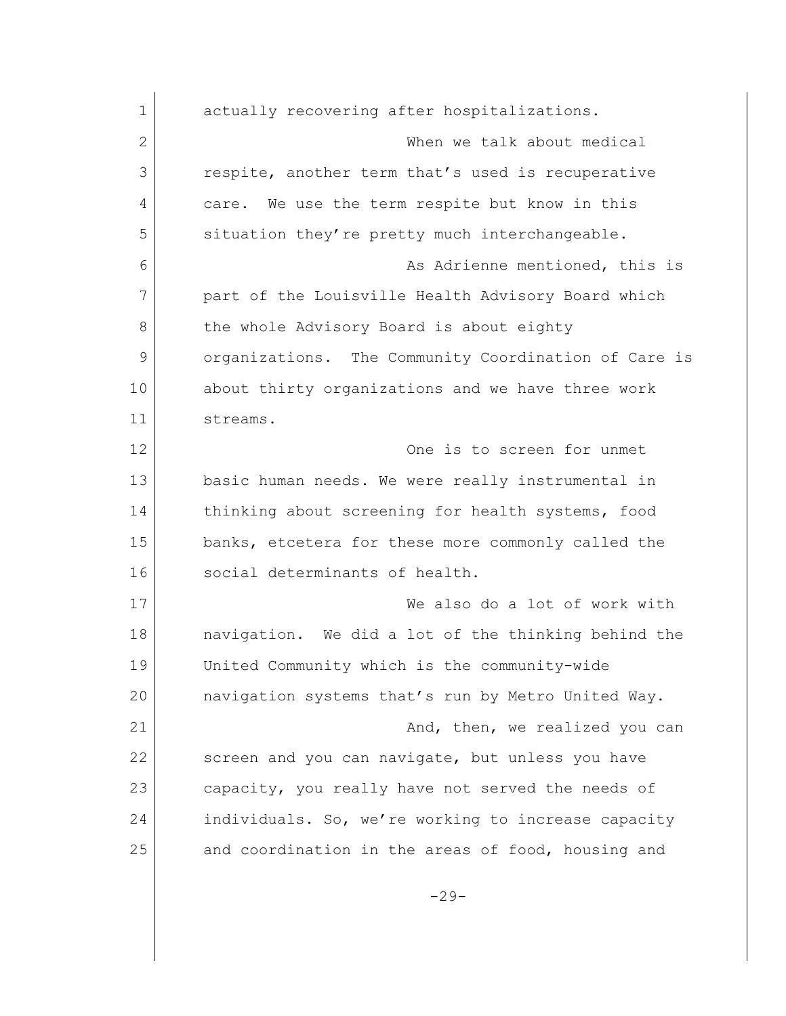| $\mathbf 1$  | actually recovering after hospitalizations.          |
|--------------|------------------------------------------------------|
| $\mathbf{2}$ | When we talk about medical                           |
| 3            | respite, another term that's used is recuperative    |
| 4            | We use the term respite but know in this<br>care.    |
| 5            | situation they're pretty much interchangeable.       |
| 6            | As Adrienne mentioned, this is                       |
| 7            | part of the Louisville Health Advisory Board which   |
| 8            | the whole Advisory Board is about eighty             |
| 9            | organizations. The Community Coordination of Care is |
| 10           | about thirty organizations and we have three work    |
| 11           | streams.                                             |
| 12           | One is to screen for unmet                           |
| 13           | basic human needs. We were really instrumental in    |
| 14           | thinking about screening for health systems, food    |
| 15           | banks, etcetera for these more commonly called the   |
| 16           | social determinants of health.                       |
| 17           | We also do a lot of work with                        |
| 18           | navigation. We did a lot of the thinking behind the  |
| 19           | United Community which is the community-wide         |
| 20           | navigation systems that's run by Metro United Way.   |
| 21           | And, then, we realized you can                       |
| 22           | screen and you can navigate, but unless you have     |
| 23           | capacity, you really have not served the needs of    |
| 24           | individuals. So, we're working to increase capacity  |
| 25           | and coordination in the areas of food, housing and   |
|              | $-29-$                                               |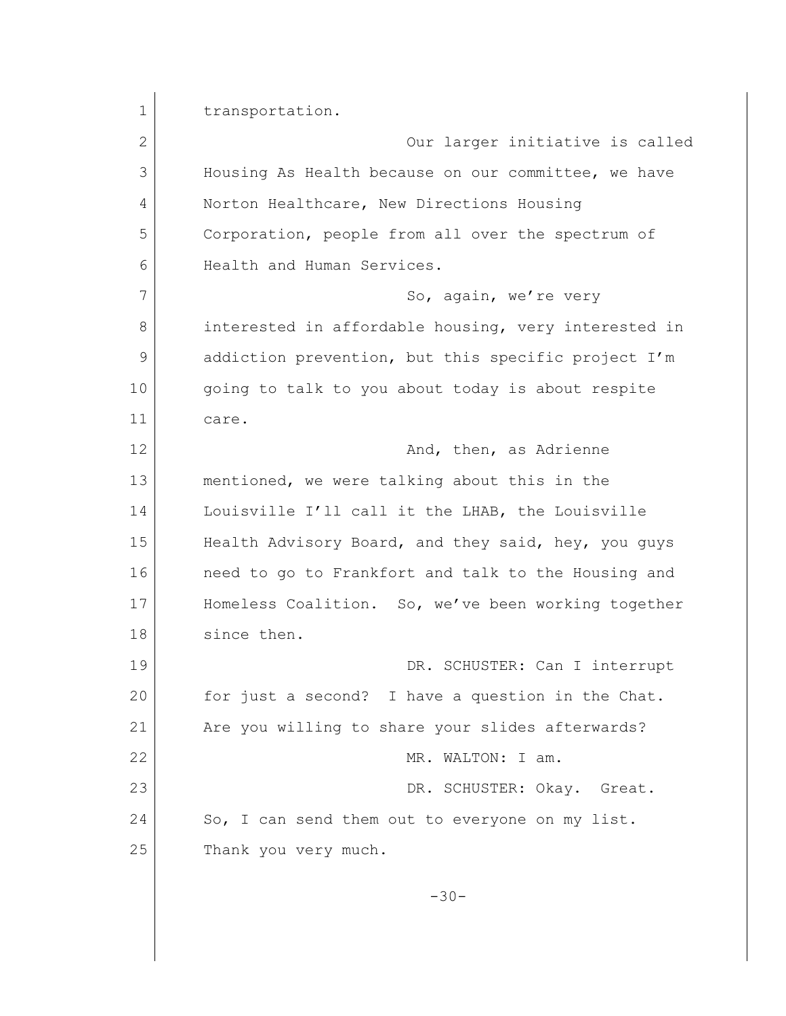1 transportation. 2 Our larger initiative is called 3 Housing As Health because on our committee, we have 4 Norton Healthcare, New Directions Housing 5 Corporation, people from all over the spectrum of 6 Health and Human Services. 7 So, again, we're very 8 interested in affordable housing, very interested in 9 addiction prevention, but this specific project I'm 10 | going to talk to you about today is about respite 11 care. 12 and, then, as Adrienne 13 mentioned, we were talking about this in the 14 Louisville I'll call it the LHAB, the Louisville 15 Health Advisory Board, and they said, hey, you guys 16 **need to go to Frankfort and talk to the Housing and** 17 Homeless Coalition. So, we've been working together 18 since then. 19 DR. SCHUSTER: Can I interrupt 20 for just a second? I have a question in the Chat. 21 | Are you willing to share your slides afterwards? 22 MR. WALTON: I am. 23 DR. SCHUSTER: Okay. Great. 24 So, I can send them out to everyone on my list. 25 Thank you very much. -30-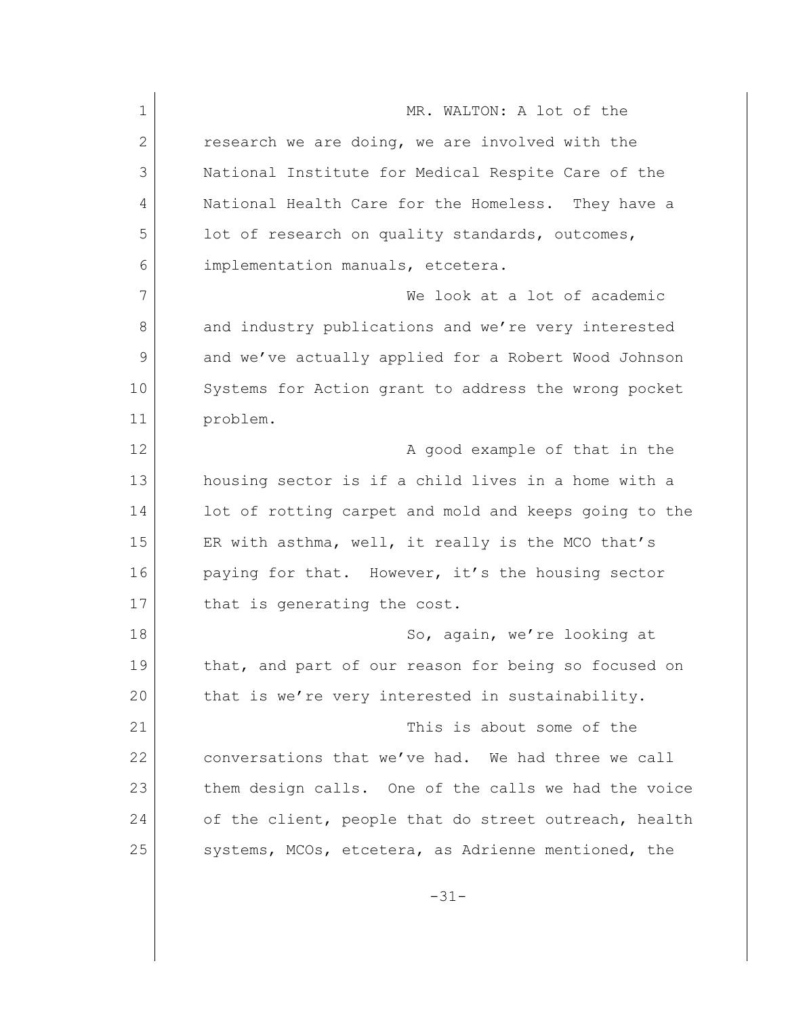1 MR. WALTON: A lot of the 2 research we are doing, we are involved with the 3 National Institute for Medical Respite Care of the 4 National Health Care for the Homeless. They have a 5 lot of research on quality standards, outcomes, 6 implementation manuals, etcetera. 7 We look at a lot of academic 8 and industry publications and we're very interested 9 and we've actually applied for a Robert Wood Johnson 10 Systems for Action grant to address the wrong pocket 11 problem. 12 a good example of that in the 13 housing sector is if a child lives in a home with a 14 lot of rotting carpet and mold and keeps going to the 15 ER with asthma, well, it really is the MCO that's 16 paying for that. However, it's the housing sector 17 that is generating the cost. 18 So, again, we're looking at 19 that, and part of our reason for being so focused on 20 that is we're very interested in sustainability. 21 This is about some of the 22 conversations that we've had. We had three we call 23 them design calls. One of the calls we had the voice 24 of the client, people that do street outreach, health 25 systems, MCOs, etcetera, as Adrienne mentioned, the

-31-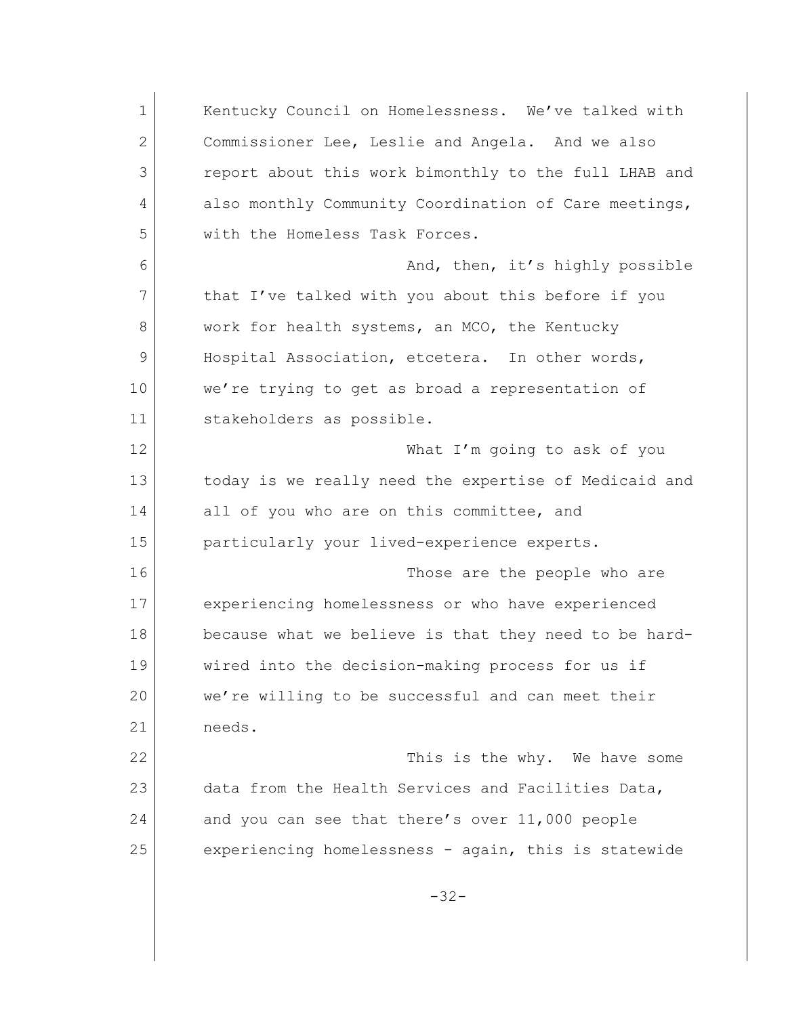1 Kentucky Council on Homelessness. We've talked with 2 Commissioner Lee, Leslie and Angela. And we also 3 report about this work bimonthly to the full LHAB and 4 also monthly Community Coordination of Care meetings, 5 with the Homeless Task Forces. 6 And, then, it's highly possible 7 that I've talked with you about this before if you 8 work for health systems, an MCO, the Kentucky 9 Hospital Association, etcetera. In other words, 10 we're trying to get as broad a representation of 11 stakeholders as possible. 12 What I'm going to ask of you 13 today is we really need the expertise of Medicaid and 14 all of you who are on this committee, and 15 particularly your lived-experience experts. 16 Those are the people who are 17 experiencing homelessness or who have experienced 18 because what we believe is that they need to be hard-19 wired into the decision-making process for us if 20 we're willing to be successful and can meet their 21 needs. 22 This is the why. We have some 23 data from the Health Services and Facilities Data, 24 and you can see that there's over 11,000 people 25 experiencing homelessness - again, this is statewide -32-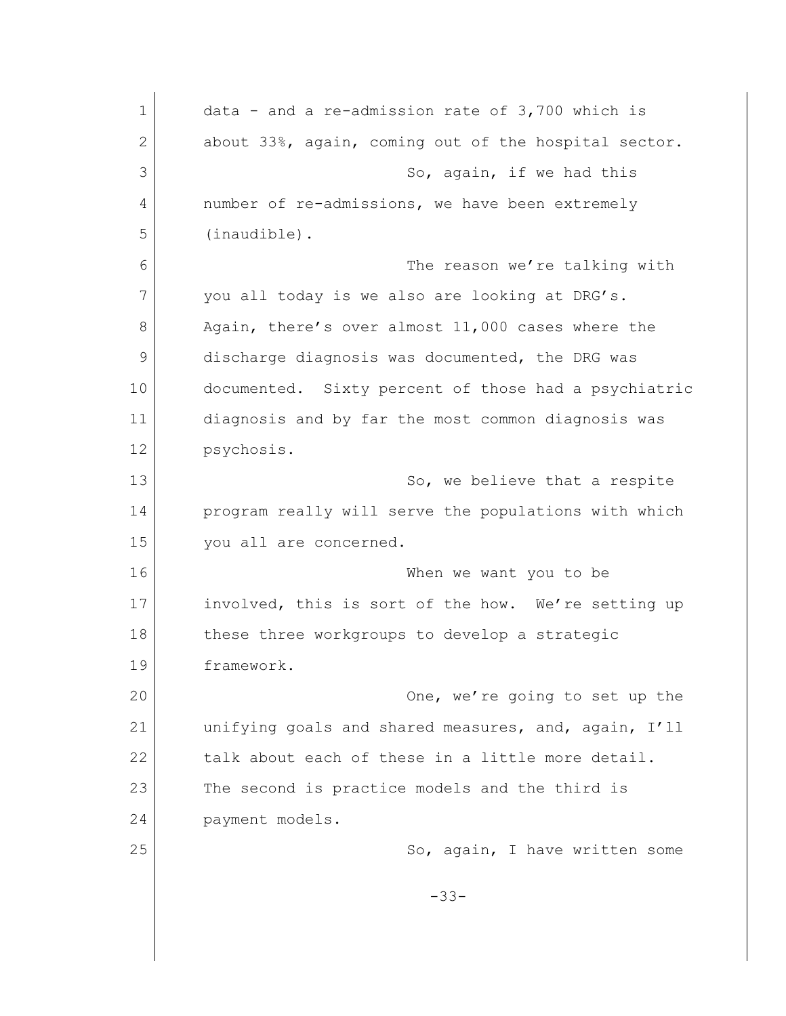| $\mathbf 1$ | data - and a re-admission rate of $3,700$ which is   |
|-------------|------------------------------------------------------|
| 2           | about 33%, again, coming out of the hospital sector. |
| 3           | So, again, if we had this                            |
| 4           | number of re-admissions, we have been extremely      |
| 5           | (inaudible).                                         |
| 6           | The reason we're talking with                        |
| 7           | you all today is we also are looking at DRG's.       |
| 8           | Again, there's over almost 11,000 cases where the    |
| 9           | discharge diagnosis was documented, the DRG was      |
| 10          | documented. Sixty percent of those had a psychiatric |
| 11          | diagnosis and by far the most common diagnosis was   |
| 12          | psychosis.                                           |
| 13          | So, we believe that a respite                        |
| 14          | program really will serve the populations with which |
| 15          | you all are concerned.                               |
| 16          | When we want you to be                               |
| 17          | involved, this is sort of the how. We're setting up  |
| 18          | these three workgroups to develop a strategic        |
| 19          | framework.                                           |
| 20          | One, we're going to set up the                       |
| 21          | unifying goals and shared measures, and, again, I'll |
| 22          | talk about each of these in a little more detail.    |
| 23          | The second is practice models and the third is       |
| 24          | payment models.                                      |
| 25          | So, again, I have written some                       |
|             | $-33-$                                               |
|             |                                                      |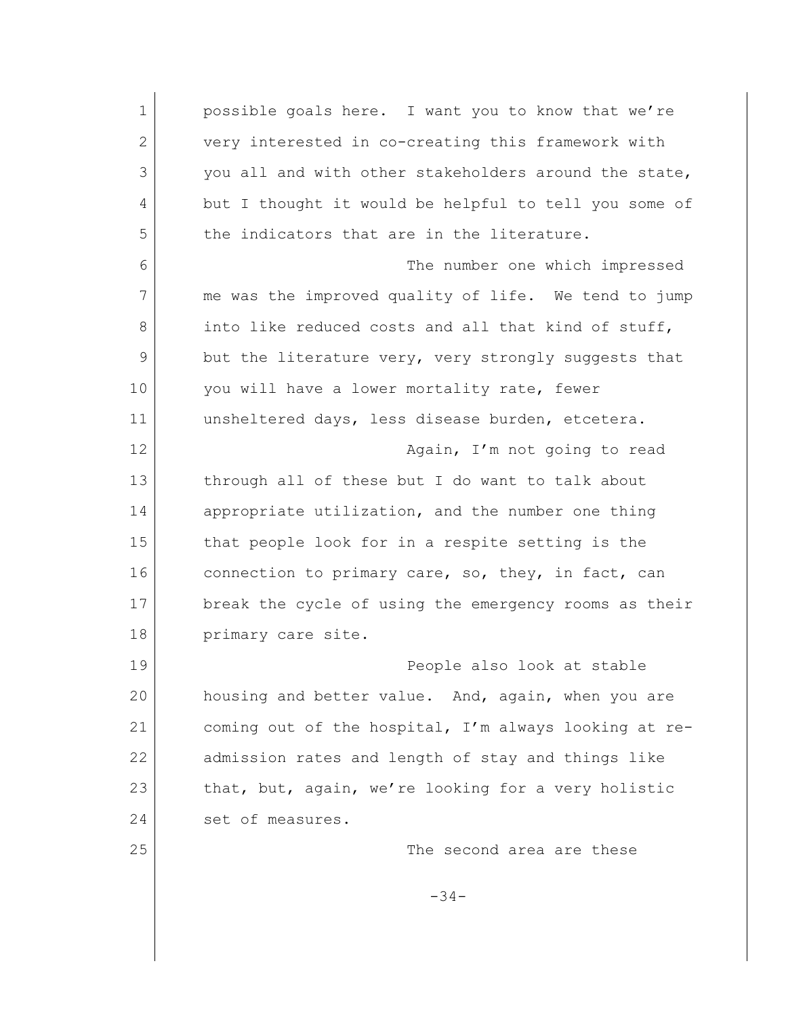1 possible goals here. I want you to know that we're 2 very interested in co-creating this framework with 3 you all and with other stakeholders around the state, 4 but I thought it would be helpful to tell you some of 5 the indicators that are in the literature. 6 The number one which impressed 7 me was the improved quality of life. We tend to jump 8 into like reduced costs and all that kind of stuff, 9 but the literature very, very strongly suggests that 10 you will have a lower mortality rate, fewer 11 unsheltered days, less disease burden, etcetera. 12 **Again, I'm not going to read** 13 through all of these but I do want to talk about 14 appropriate utilization, and the number one thing 15 that people look for in a respite setting is the 16 connection to primary care, so, they, in fact, can 17 break the cycle of using the emergency rooms as their 18 primary care site. 19 People also look at stable 20 housing and better value. And, again, when you are 21 coming out of the hospital, I'm always looking at re-22 admission rates and length of stay and things like 23 that, but, again, we're looking for a very holistic 24 set of measures. 25 The second area are these -34-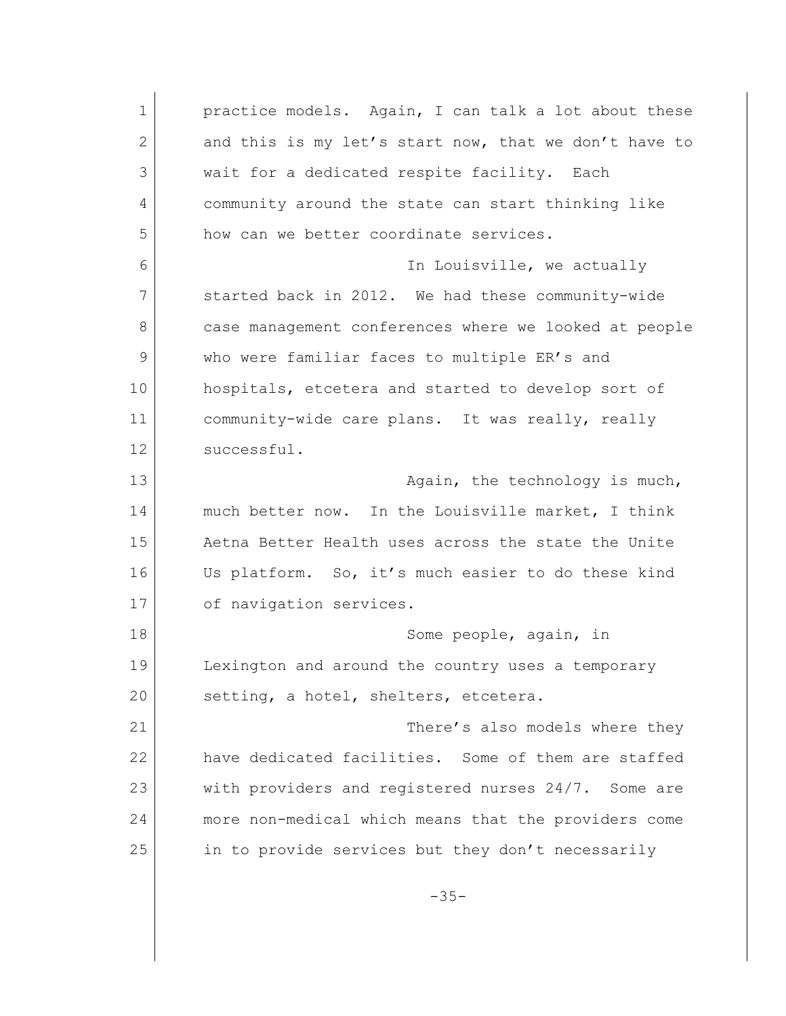1 practice models. Again, I can talk a lot about these 2 and this is my let's start now, that we don't have to 3 wait for a dedicated respite facility. Each 4 community around the state can start thinking like 5 how can we better coordinate services. 6 In Louisville, we actually 7 started back in 2012. We had these community-wide 8 case management conferences where we looked at people 9 who were familiar faces to multiple ER's and 10 hospitals, etcetera and started to develop sort of 11 community-wide care plans. It was really, really 12 successful. 13 **Again, the technology is much,** 14 much better now. In the Louisville market, I think 15 Aetna Better Health uses across the state the Unite 16 Us platform. So, it's much easier to do these kind 17 of navigation services. 18 Some people, again, in 19 Lexington and around the country uses a temporary 20 setting, a hotel, shelters, etcetera. 21 There's also models where they 22 have dedicated facilities. Some of them are staffed 23 with providers and registered nurses 24/7. Some are 24 more non-medical which means that the providers come 25 in to provide services but they don't necessarily -35-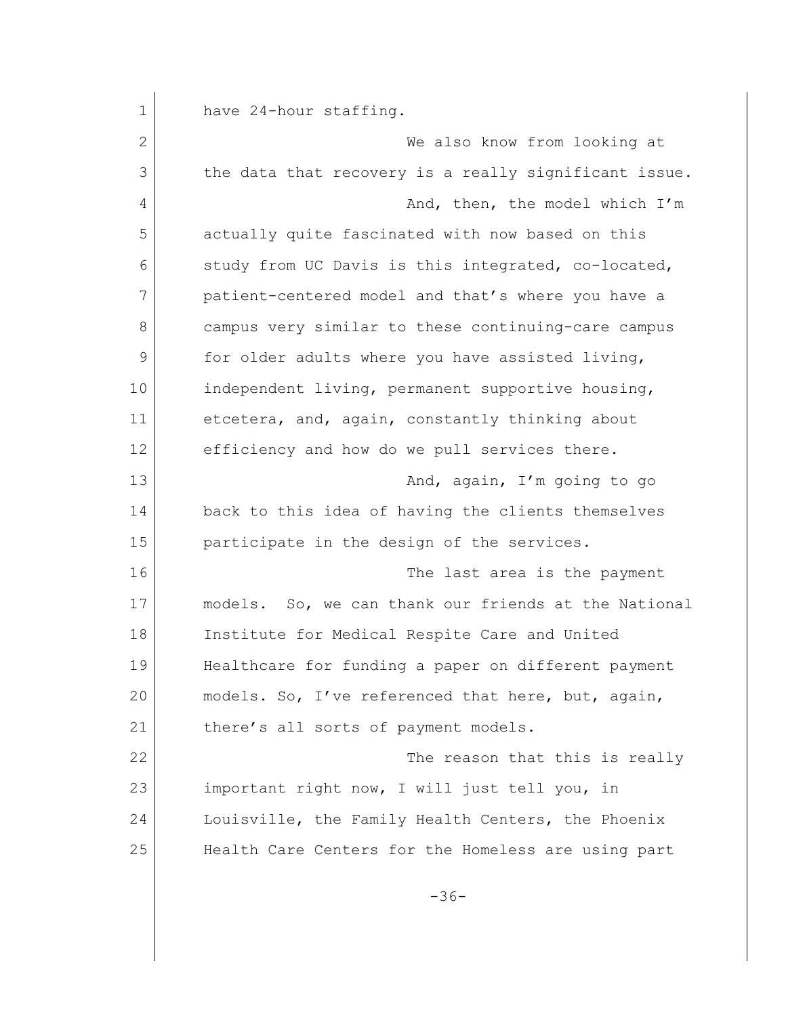1 have 24-hour staffing. 2 We also know from looking at 3 the data that recovery is a really significant issue. 4 And, then, the model which I'm 5 actually quite fascinated with now based on this 6 study from UC Davis is this integrated, co-located, 7 patient-centered model and that's where you have a 8 campus very similar to these continuing-care campus 9 for older adults where you have assisted living, 10 independent living, permanent supportive housing, 11 etcetera, and, again, constantly thinking about 12 efficiency and how do we pull services there. 13 And, again, I'm going to go 14 back to this idea of having the clients themselves 15 participate in the design of the services. 16 The last area is the payment 17 models. So, we can thank our friends at the National 18 Institute for Medical Respite Care and United 19 Healthcare for funding a paper on different payment 20 models. So, I've referenced that here, but, again, 21 there's all sorts of payment models. 22 The reason that this is really 23 important right now, I will just tell you, in 24 Louisville, the Family Health Centers, the Phoenix 25 Health Care Centers for the Homeless are using part -36-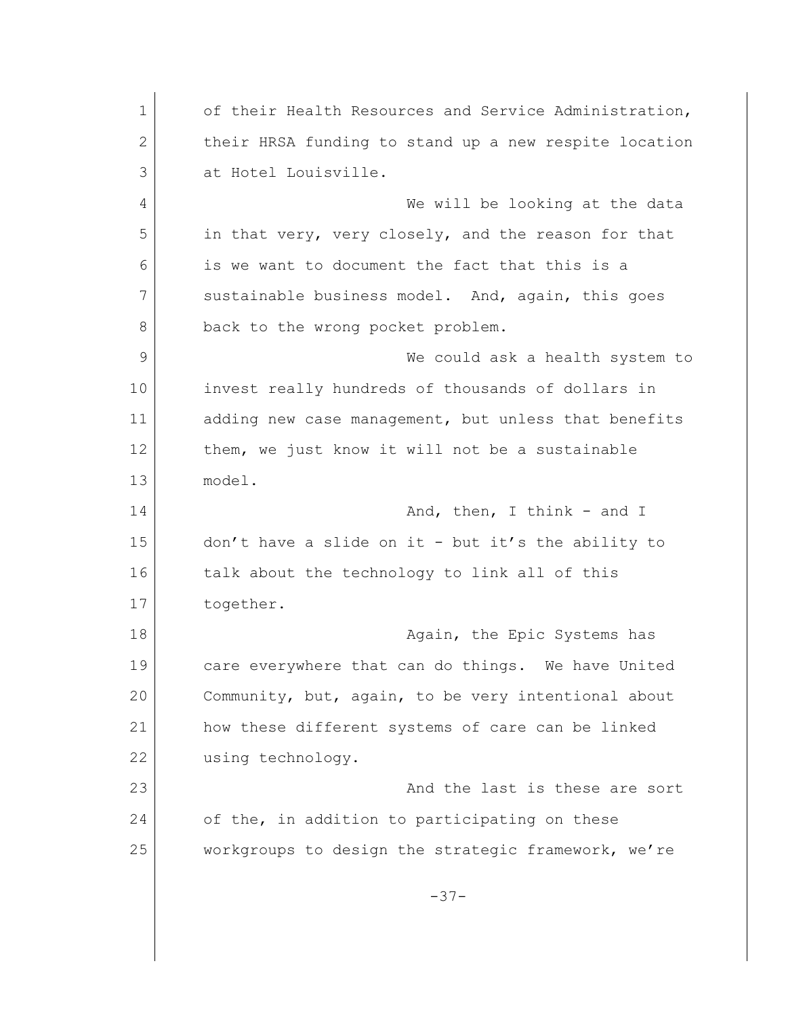1 of their Health Resources and Service Administration, 2 their HRSA funding to stand up a new respite location 3 at Hotel Louisville. 4 We will be looking at the data 5 in that very, very closely, and the reason for that 6 is we want to document the fact that this is a 7 sustainable business model. And, again, this goes 8 back to the wrong pocket problem. 9 We could ask a health system to 10 invest really hundreds of thousands of dollars in 11 adding new case management, but unless that benefits 12 | them, we just know it will not be a sustainable 13 model. 14 and T and, then, I think - and I 15 don't have a slide on it - but it's the ability to 16 talk about the technology to link all of this 17 together. 18 | Construction of the Epic Systems has 19 care everywhere that can do things. We have United 20 Community, but, again, to be very intentional about 21 how these different systems of care can be linked 22 using technology. 23 and the last is these are sort 24 of the, in addition to participating on these 25 workgroups to design the strategic framework, we're -37-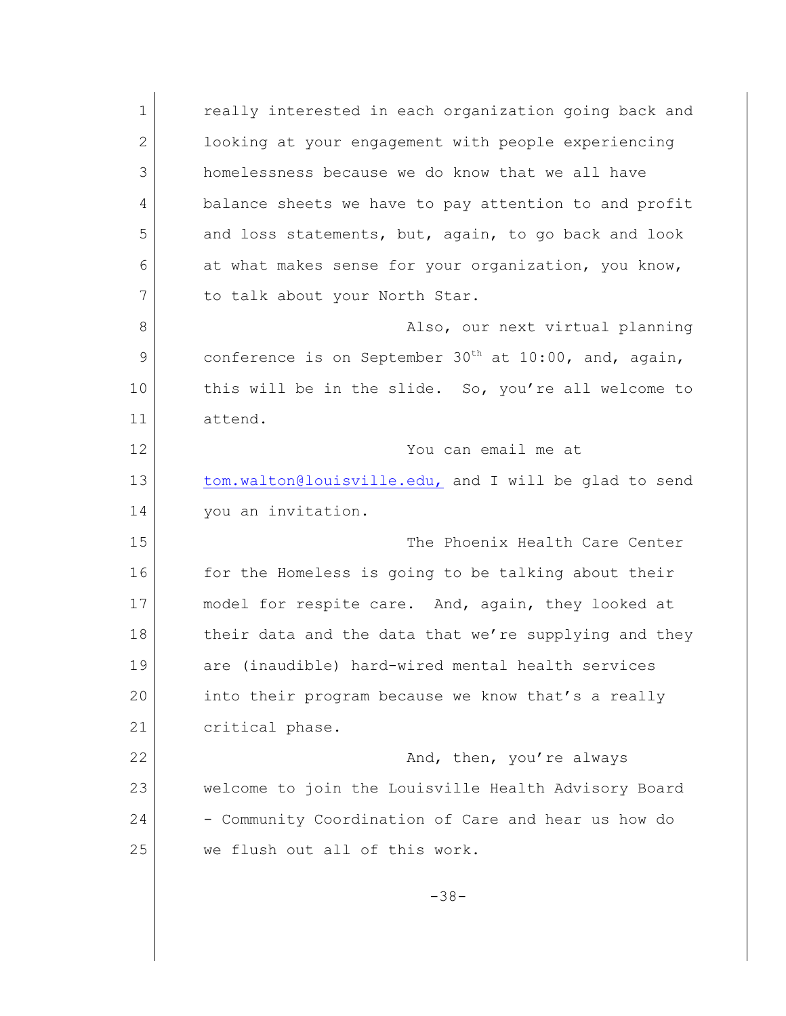1 **c** really interested in each organization going back and 2 looking at your engagement with people experiencing 3 homelessness because we do know that we all have 4 balance sheets we have to pay attention to and profit 5 and loss statements, but, again, to go back and look 6 at what makes sense for your organization, you know, 7 to talk about your North Star. 8 also, our next virtual planning 9 conference is on September  $30<sup>th</sup>$  at  $10:00$ , and, again, 10 this will be in the slide. So, you're all welcome to 11 attend. 12 You can email me at 13 [tom.walton@louisville.edu,](mailto:tom.walton@louisville.edu,) and I will be glad to send 14 vou an invitation. 15 The Phoenix Health Care Center 16 for the Homeless is going to be talking about their 17 model for respite care. And, again, they looked at 18 their data and the data that we're supplying and they 19 are (inaudible) hard-wired mental health services 20 into their program because we know that's a really 21 critical phase. 22 And, then, you're always 23 welcome to join the Louisville Health Advisory Board 24 - Community Coordination of Care and hear us how do 25 we flush out all of this work. -38-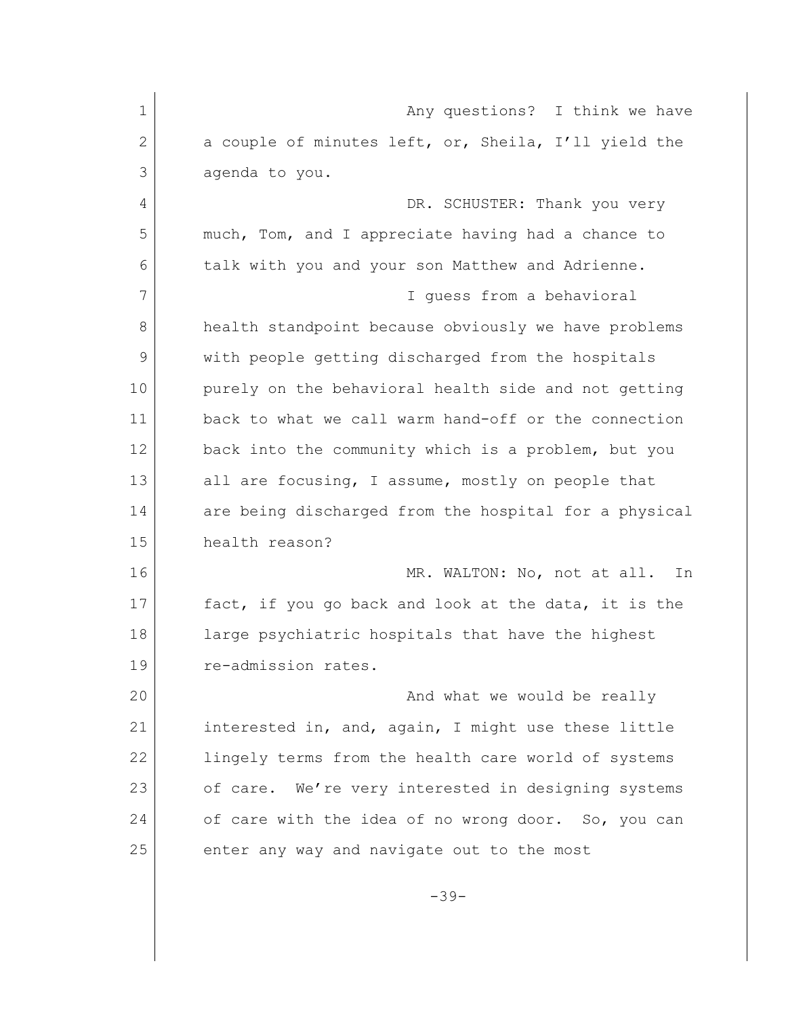| $\mathbf 1$  | Any questions? I think we have                        |
|--------------|-------------------------------------------------------|
| $\mathbf{2}$ | a couple of minutes left, or, Sheila, I'll yield the  |
| 3            | agenda to you.                                        |
| 4            | DR. SCHUSTER: Thank you very                          |
| 5            | much, Tom, and I appreciate having had a chance to    |
| 6            | talk with you and your son Matthew and Adrienne.      |
| 7            | I quess from a behavioral                             |
| 8            | health standpoint because obviously we have problems  |
| 9            | with people getting discharged from the hospitals     |
| 10           | purely on the behavioral health side and not getting  |
| 11           | back to what we call warm hand-off or the connection  |
| 12           | back into the community which is a problem, but you   |
| 13           | all are focusing, I assume, mostly on people that     |
| 14           | are being discharged from the hospital for a physical |
| 15           | health reason?                                        |
| 16           | MR. WALTON: No, not at all.<br>In                     |
| 17           | fact, if you go back and look at the data, it is the  |
| 18           | large psychiatric hospitals that have the highest     |
| 19           | re-admission rates.                                   |
| 20           | And what we would be really                           |
| 21           | interested in, and, again, I might use these little   |
| 22           | lingely terms from the health care world of systems   |
| 23           | of care. We're very interested in designing systems   |
| 24           | of care with the idea of no wrong door. So, you can   |
| 25           | enter any way and navigate out to the most            |
|              | $-39-$                                                |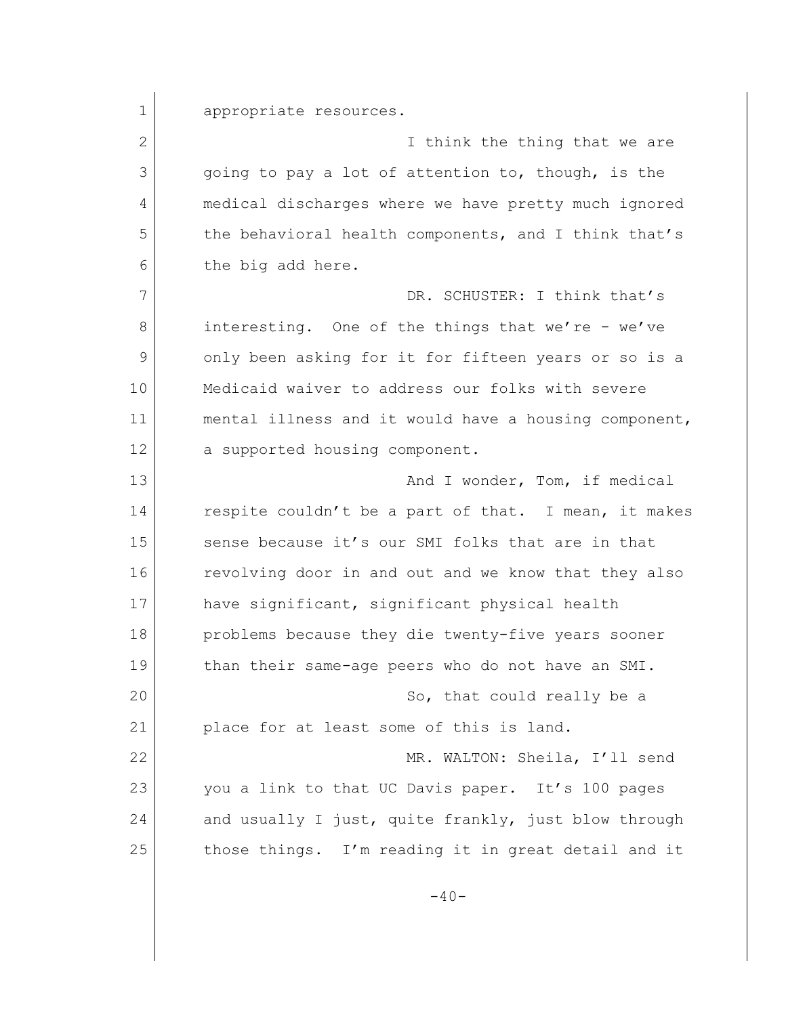1 appropriate resources.

12 a supported housing component.

2 **I** think the thing that we are 3 3 qoing to pay a lot of attention to, though, is the 4 medical discharges where we have pretty much ignored 5 the behavioral health components, and I think that's 6 the big add here. 7 DR. SCHUSTER: I think that's 8 interesting. One of the things that we're - we've 9 only been asking for it for fifteen years or so is a 10 Medicaid waiver to address our folks with severe 11 mental illness and it would have a housing component,

13 And I wonder, Tom, if medical 14 respite couldn't be a part of that. I mean, it makes 15 sense because it's our SMI folks that are in that 16 revolving door in and out and we know that they also 17 have significant, significant physical health 18 problems because they die twenty-five years sooner 19 than their same-age peers who do not have an SMI. 20 So, that could really be a 21 place for at least some of this is land. 22 MR. WALTON: Sheila, I'll send 23 you a link to that UC Davis paper. It's 100 pages 24 and usually I just, quite frankly, just blow through 25 those things. I'm reading it in great detail and it

 $-40-$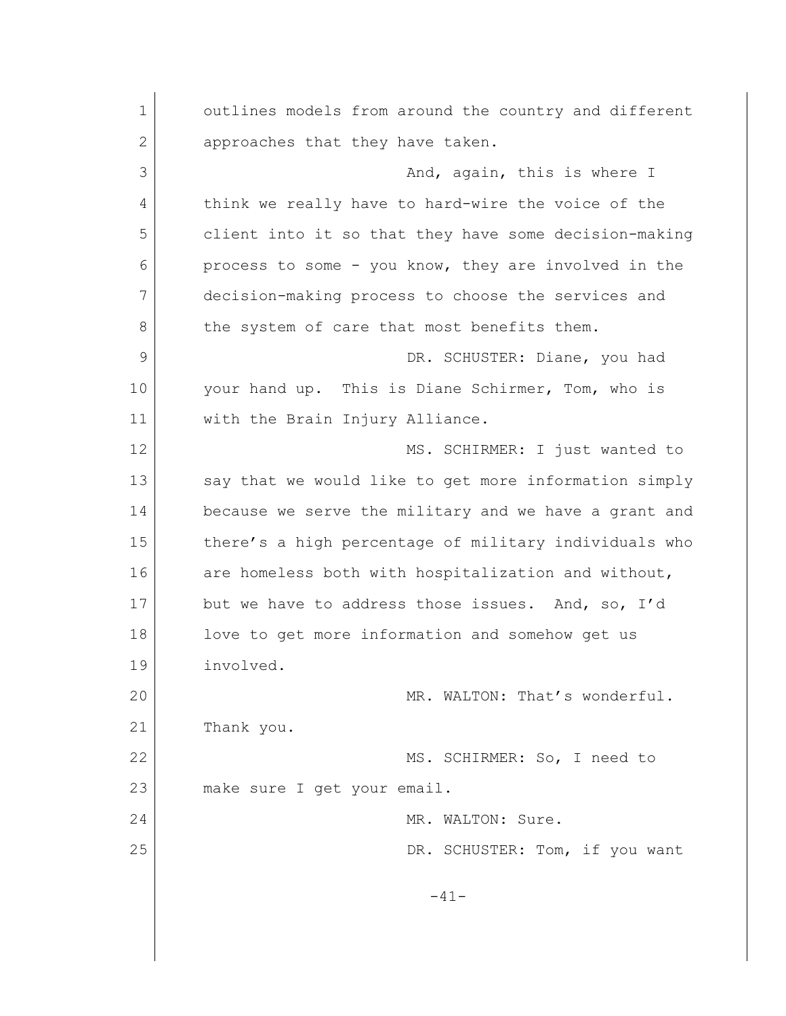1 outlines models from around the country and different 2 approaches that they have taken. 3 And, again, this is where I 4 think we really have to hard-wire the voice of the 5 client into it so that they have some decision-making 6 process to some - you know, they are involved in the 7 decision-making process to choose the services and 8 the system of care that most benefits them. 9 DR. SCHUSTER: Diane, you had 10 your hand up. This is Diane Schirmer, Tom, who is 11 with the Brain Injury Alliance. 12 MS. SCHIRMER: I just wanted to 13 say that we would like to get more information simply 14 because we serve the military and we have a grant and 15 there's a high percentage of military individuals who 16 are homeless both with hospitalization and without, 17 but we have to address those issues. And, so, I'd 18 love to get more information and somehow get us 19 involved. 20 MR. WALTON: That's wonderful. 21 Thank you. 22 MS. SCHIRMER: So, I need to 23 make sure I get your email. 24 MR. WALTON: Sure. 25 DR. SCHUSTER: Tom, if you want  $-41-$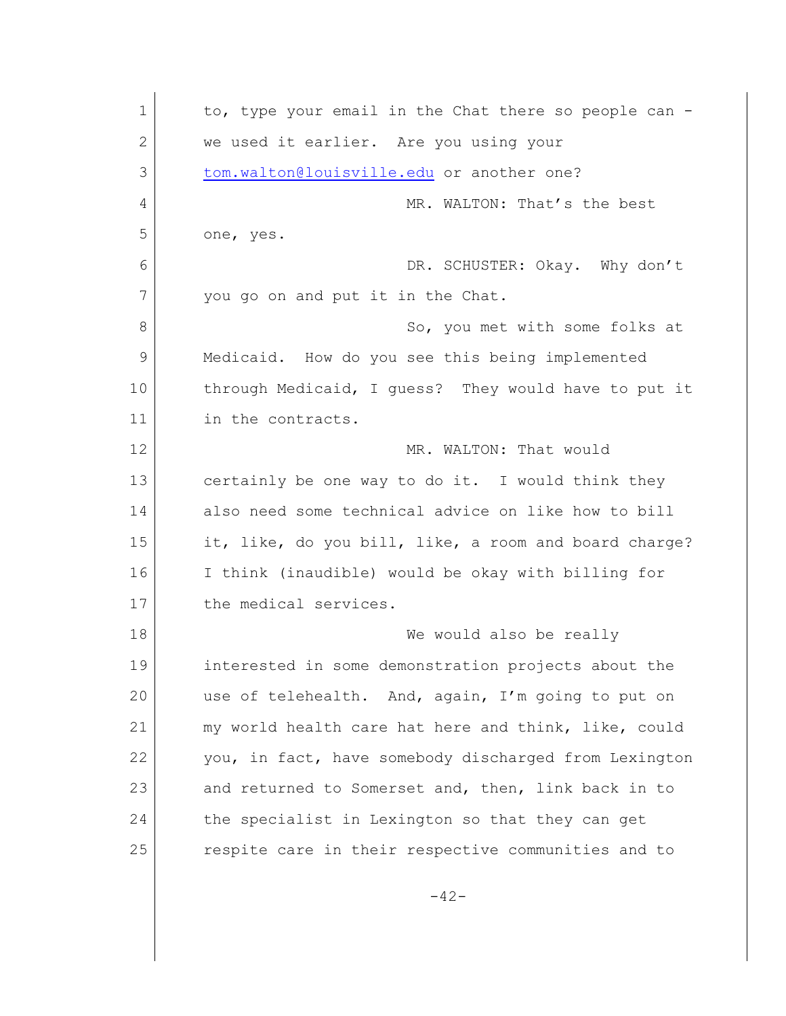| $\mathbf 1$  | to, type your email in the Chat there so people can - |
|--------------|-------------------------------------------------------|
| $\mathbf{2}$ | we used it earlier. Are you using your                |
| 3            | tom.walton@louisville.edu or another one?             |
| 4            | MR. WALTON: That's the best                           |
| 5            | one, yes.                                             |
| 6            | DR. SCHUSTER: Okay. Why don't                         |
| 7            | you go on and put it in the Chat.                     |
| 8            | So, you met with some folks at                        |
| 9            | Medicaid. How do you see this being implemented       |
| 10           | through Medicaid, I guess? They would have to put it  |
| 11           | in the contracts.                                     |
| 12           | MR. WALTON: That would                                |
| 13           | certainly be one way to do it. I would think they     |
| 14           | also need some technical advice on like how to bill   |
| 15           | it, like, do you bill, like, a room and board charge? |
| 16           | I think (inaudible) would be okay with billing for    |
| 17           | the medical services.                                 |
| 18           | We would also be really                               |
| 19           | interested in some demonstration projects about the   |
| 20           | use of telehealth. And, again, I'm going to put on    |
| 21           | my world health care hat here and think, like, could  |
| 22           | you, in fact, have somebody discharged from Lexington |
| 23           | and returned to Somerset and, then, link back in to   |
| 24           | the specialist in Lexington so that they can get      |
| 25           | respite care in their respective communities and to   |
|              | $-42-$                                                |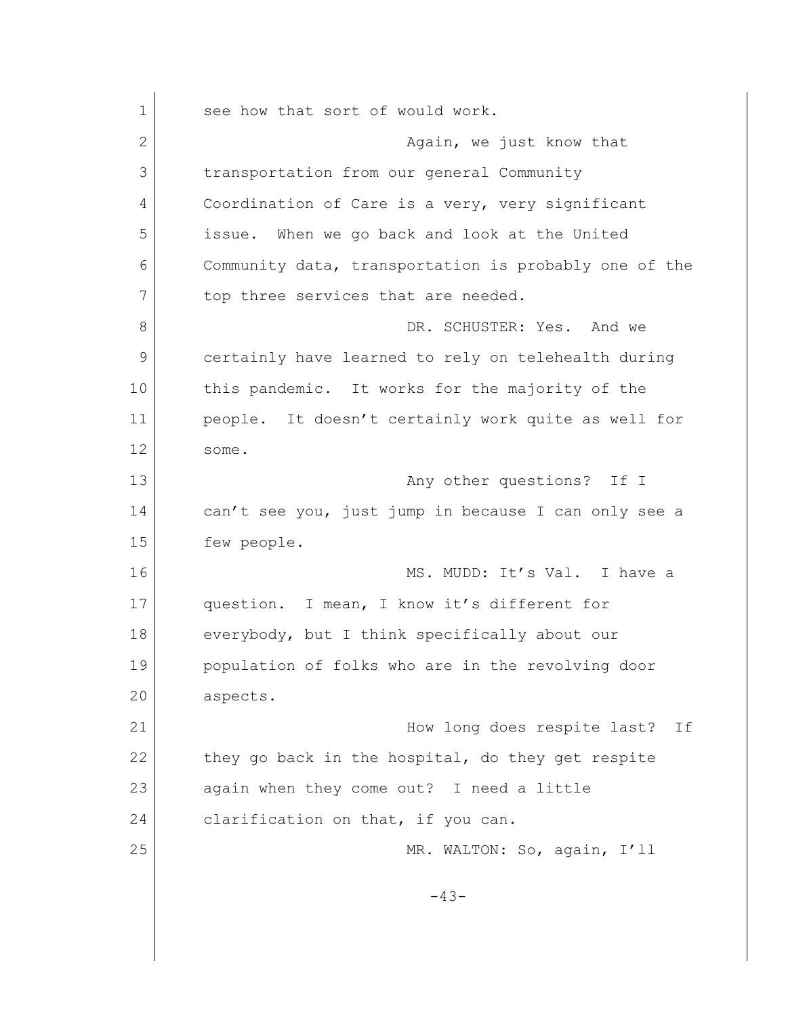1 see how that sort of would work. 2 **Again, we just know that** 3 transportation from our general Community 4 Coordination of Care is a very, very significant 5 issue. When we go back and look at the United 6 Community data, transportation is probably one of the 7 top three services that are needed. 8 B DR. SCHUSTER: Yes. And we 9 certainly have learned to rely on telehealth during 10 this pandemic. It works for the majority of the 11 people. It doesn't certainly work quite as well for 12 some. 13 any other questions? If I 14 can't see you, just jump in because I can only see a 15 few people. 16 MS. MUDD: It's Val. I have a 17 question. I mean, I know it's different for 18 everybody, but I think specifically about our 19 population of folks who are in the revolving door 20 aspects. 21 | Now long does respite last? If 22 they go back in the hospital, do they get respite 23 again when they come out? I need a little 24 clarification on that, if you can. 25 MR. WALTON: So, again, I'll -43-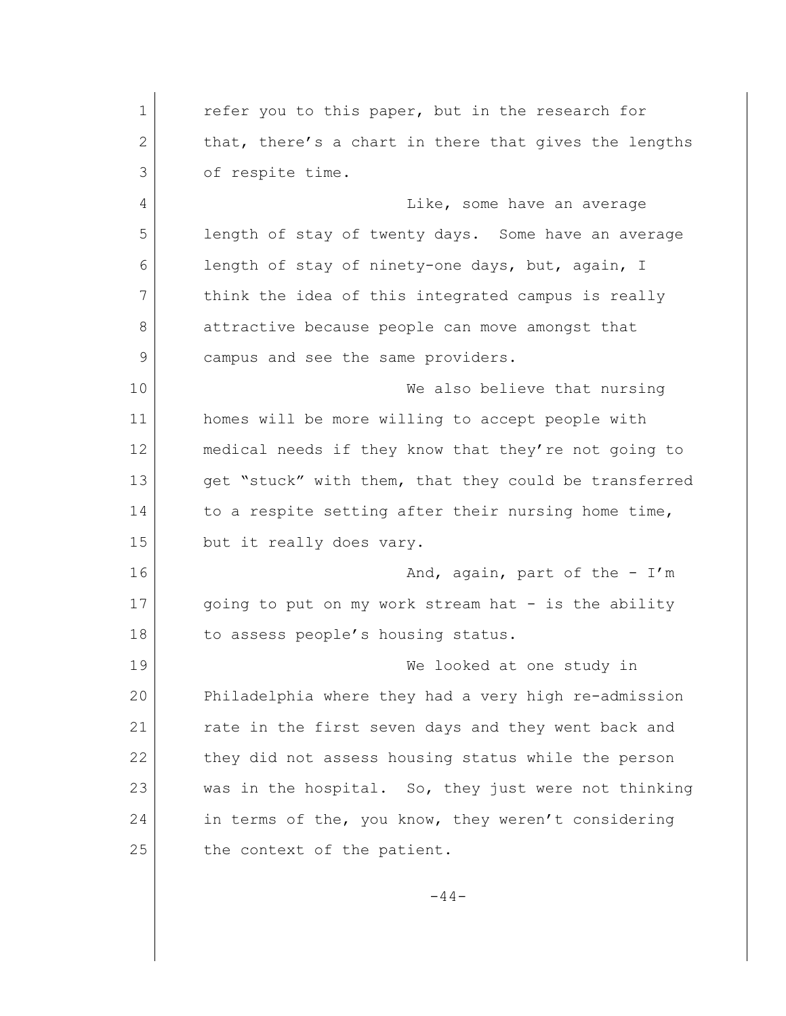1 refer you to this paper, but in the research for 2 that, there's a chart in there that gives the lengths 3 of respite time. 4 Like, some have an average 5 length of stay of twenty days. Some have an average 6 length of stay of ninety-one days, but, again, I 7 think the idea of this integrated campus is really 8 attractive because people can move amongst that 9 campus and see the same providers. 10 We also believe that nursing 11 homes will be more willing to accept people with 12 medical needs if they know that they're not going to 13 get "stuck" with them, that they could be transferred 14 to a respite setting after their nursing home time, 15 but it really does vary. 16 And, again, part of the - I'm 17 going to put on my work stream hat - is the ability 18 to assess people's housing status. 19 We looked at one study in 20 Philadelphia where they had a very high re-admission 21 rate in the first seven days and they went back and 22 they did not assess housing status while the person 23 was in the hospital. So, they just were not thinking 24 in terms of the, you know, they weren't considering 25 the context of the patient.

 $-44-$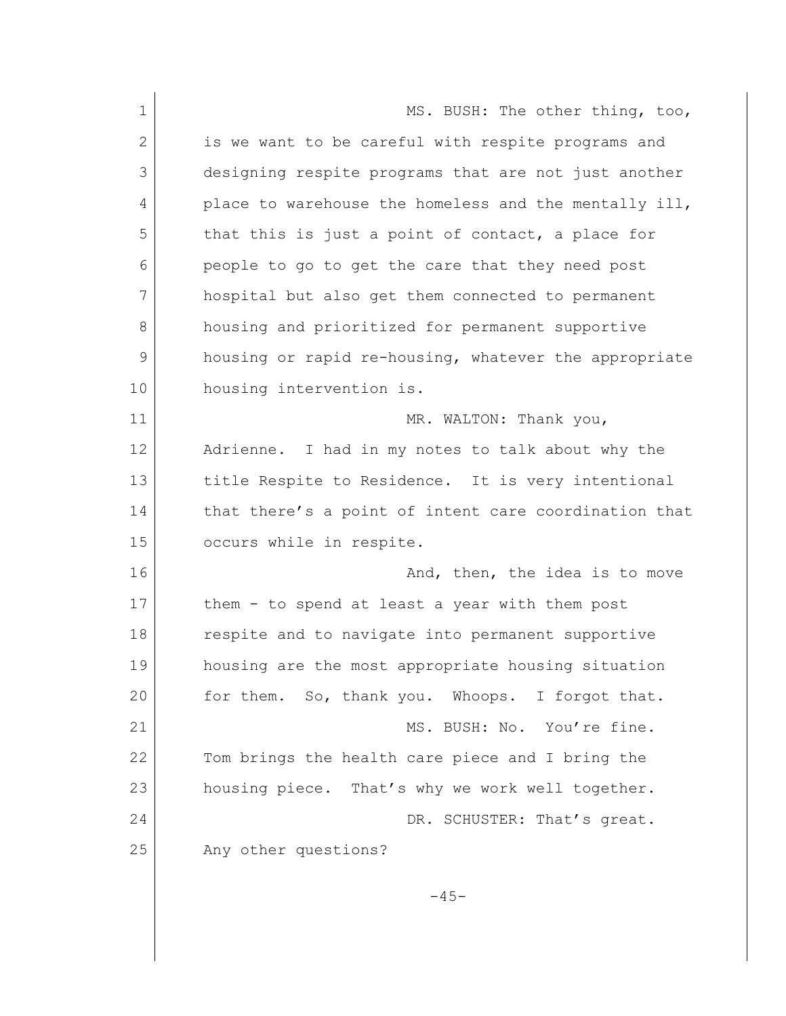1 MS. BUSH: The other thing, too, 2 is we want to be careful with respite programs and 3 designing respite programs that are not just another 4 place to warehouse the homeless and the mentally ill, 5 that this is just a point of contact, a place for 6 people to go to get the care that they need post 7 hospital but also get them connected to permanent 8 housing and prioritized for permanent supportive 9 housing or rapid re-housing, whatever the appropriate 10 housing intervention is. 11 MR. WALTON: Thank you, 12 Adrienne. I had in my notes to talk about why the 13 title Respite to Residence. It is very intentional 14 that there's a point of intent care coordination that 15 occurs while in respite. 16 and, then, the idea is to move 17 them - to spend at least a year with them post 18 respite and to navigate into permanent supportive 19 housing are the most appropriate housing situation 20 for them. So, thank you. Whoops. I forgot that. 21 MS. BUSH: No. You're fine. 22 Tom brings the health care piece and I bring the 23 housing piece. That's why we work well together. 24 DR. SCHUSTER: That's great. 25 Any other questions?  $-45-$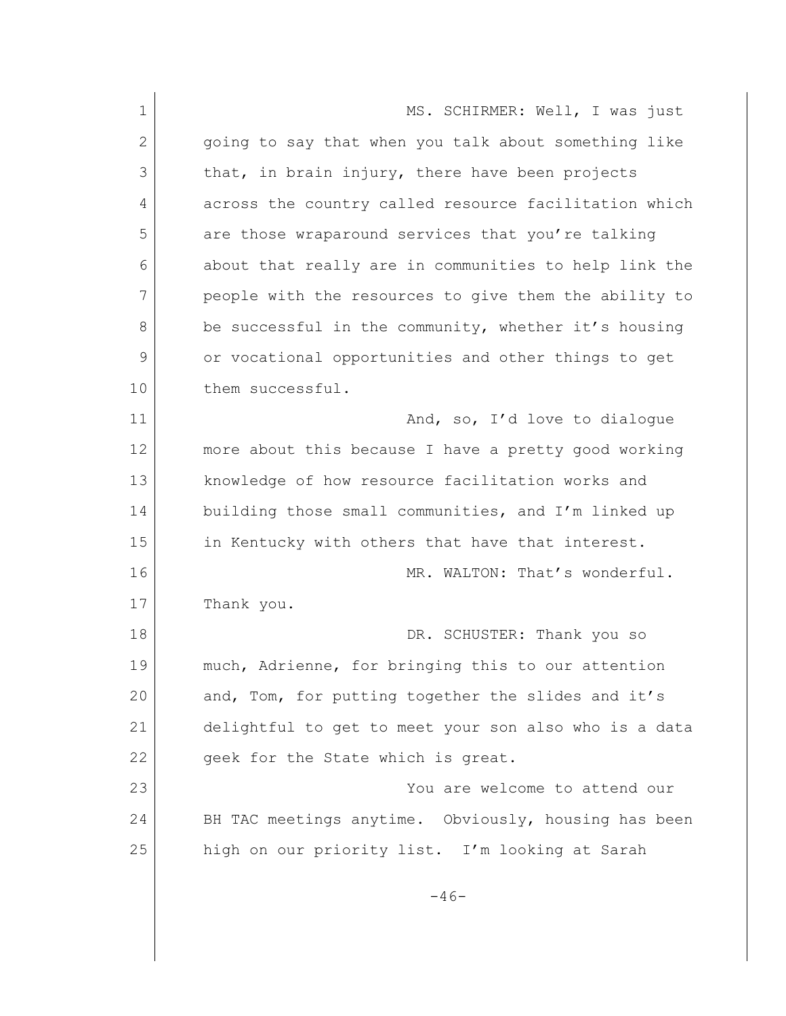1 MS. SCHIRMER: Well, I was just 2 | going to say that when you talk about something like 3 that, in brain injury, there have been projects 4 across the country called resource facilitation which 5 are those wraparound services that you're talking 6 about that really are in communities to help link the 7 people with the resources to give them the ability to 8 be successful in the community, whether it's housing 9 or vocational opportunities and other things to get 10 them successful. 11 And, so, I'd love to dialogue 12 more about this because I have a pretty good working 13 knowledge of how resource facilitation works and 14 building those small communities, and I'm linked up 15 in Kentucky with others that have that interest. 16 MR. WALTON: That's wonderful. 17 Thank you. 18 DR. SCHUSTER: Thank you so 19 much, Adrienne, for bringing this to our attention 20 and, Tom, for putting together the slides and it's 21 delightful to get to meet your son also who is a data 22 geek for the State which is great. 23 You are welcome to attend our 24 BH TAC meetings anytime. Obviously, housing has been 25 high on our priority list. I'm looking at Sarah  $-46-$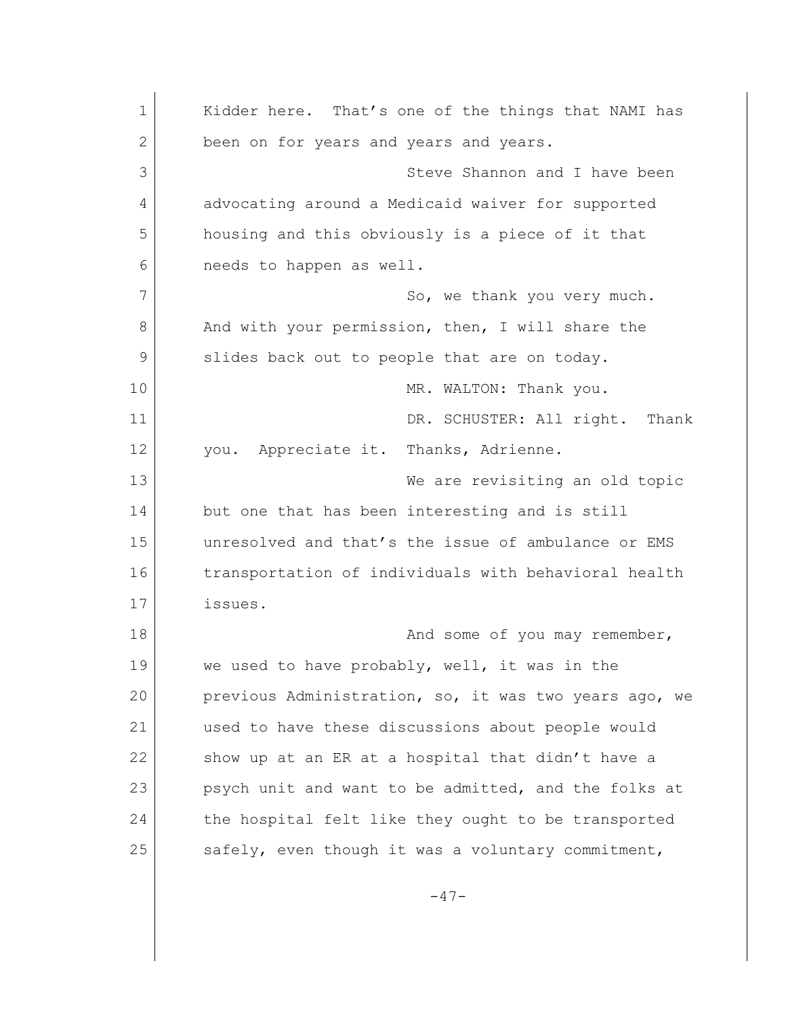1 Kidder here. That's one of the things that NAMI has 2 been on for years and years and years. 3 Steve Shannon and I have been 4 advocating around a Medicaid waiver for supported 5 housing and this obviously is a piece of it that 6 needs to happen as well. 7 So, we thank you very much. 8 And with your permission, then, I will share the 9 slides back out to people that are on today. 10 MR. WALTON: Thank you. 11 DR. SCHUSTER: All right. Thank 12 you. Appreciate it. Thanks, Adrienne. 13 We are revisiting an old topic 14 but one that has been interesting and is still 15 unresolved and that's the issue of ambulance or EMS 16 transportation of individuals with behavioral health 17 issues. 18 and some of you may remember, 19 we used to have probably, well, it was in the 20 previous Administration, so, it was two years ago, we 21 used to have these discussions about people would 22 show up at an ER at a hospital that didn't have a 23 psych unit and want to be admitted, and the folks at 24 the hospital felt like they ought to be transported 25 safely, even though it was a voluntary commitment,  $-47-$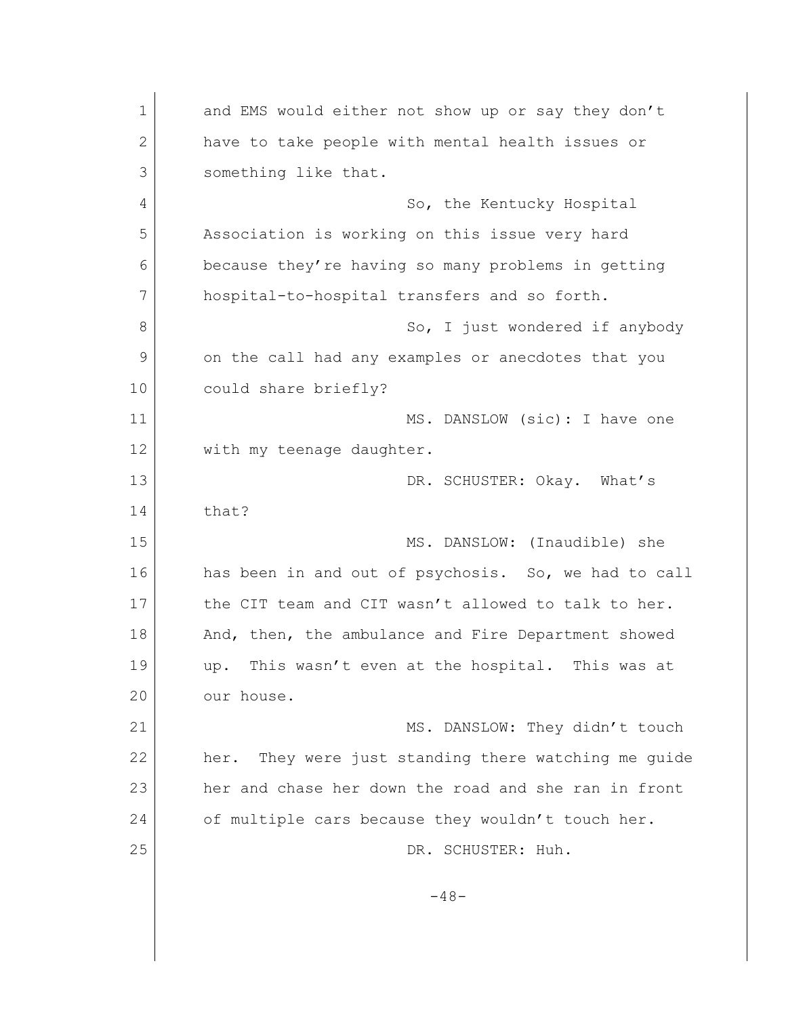1 and EMS would either not show up or say they don't 2 have to take people with mental health issues or 3 Something like that. 4 So, the Kentucky Hospital 5 Association is working on this issue very hard 6 because they're having so many problems in getting 7 hospital-to-hospital transfers and so forth. 8 So, I just wondered if anybody 9 on the call had any examples or anecdotes that you 10 could share briefly? 11 MS. DANSLOW (sic): I have one 12 with my teenage daughter. 13 DR. SCHUSTER: Okay. What's 14 that? 15 MS. DANSLOW: (Inaudible) she 16 has been in and out of psychosis. So, we had to call 17 the CIT team and CIT wasn't allowed to talk to her. 18 And, then, the ambulance and Fire Department showed 19 up. This wasn't even at the hospital. This was at 20 our house. 21 MS. DANSLOW: They didn't touch 22 her. They were just standing there watching me guide 23 her and chase her down the road and she ran in front 24 of multiple cars because they wouldn't touch her. 25 DR. SCHUSTER: Huh.  $-48-$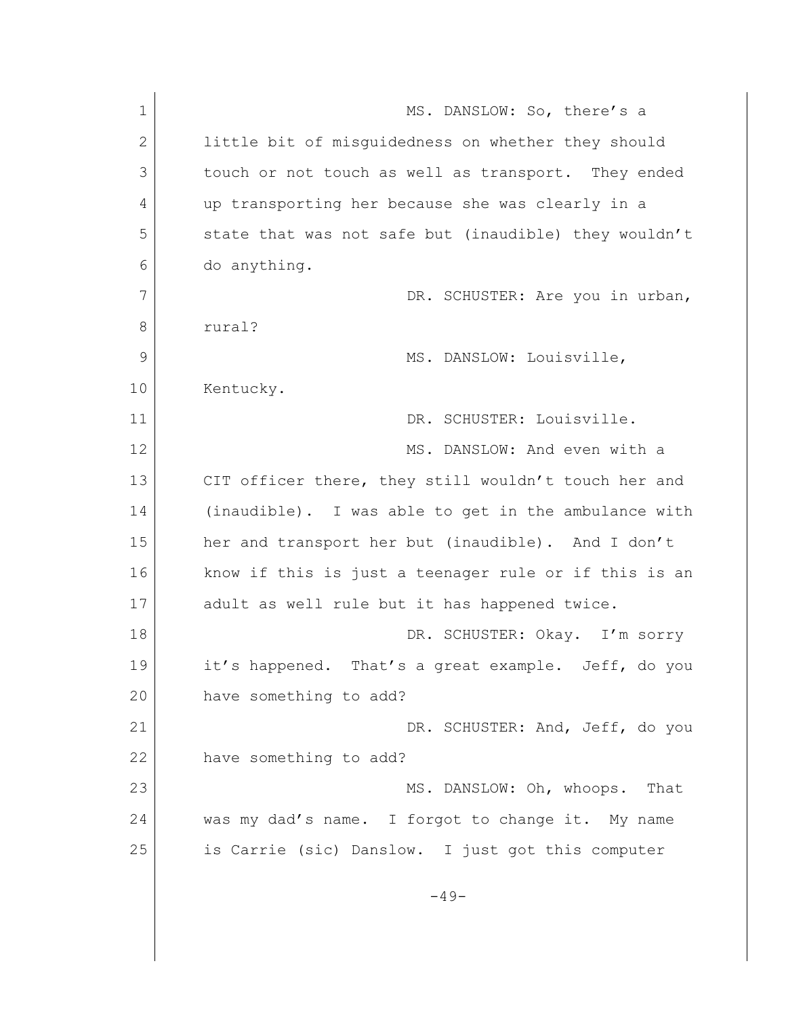| $\mathbf 1$  | MS. DANSLOW: So, there's a                            |
|--------------|-------------------------------------------------------|
| $\mathbf{2}$ | little bit of misquidedness on whether they should    |
| 3            | touch or not touch as well as transport. They ended   |
| 4            | up transporting her because she was clearly in a      |
| 5            | state that was not safe but (inaudible) they wouldn't |
| 6            | do anything.                                          |
| 7            | DR. SCHUSTER: Are you in urban,                       |
| 8            | rural?                                                |
| 9            | MS. DANSLOW: Louisville,                              |
| 10           | Kentucky.                                             |
| 11           | DR. SCHUSTER: Louisville.                             |
| 12           | MS. DANSLOW: And even with a                          |
| 13           | CIT officer there, they still wouldn't touch her and  |
| 14           | (inaudible). I was able to get in the ambulance with  |
| 15           | her and transport her but (inaudible). And I don't    |
| 16           | know if this is just a teenager rule or if this is an |
| 17           | adult as well rule but it has happened twice.         |
| 18           | DR. SCHUSTER: Okay. I'm sorry                         |
| 19           | it's happened. That's a great example. Jeff, do you   |
| 20           | have something to add?                                |
| 21           | DR. SCHUSTER: And, Jeff, do you                       |
| 22           | have something to add?                                |
| 23           | MS. DANSLOW: Oh, whoops.<br>That                      |
| 24           | was my dad's name. I forgot to change it. My name     |
| 25           | is Carrie (sic) Danslow. I just got this computer     |
|              | $-49-$                                                |
|              |                                                       |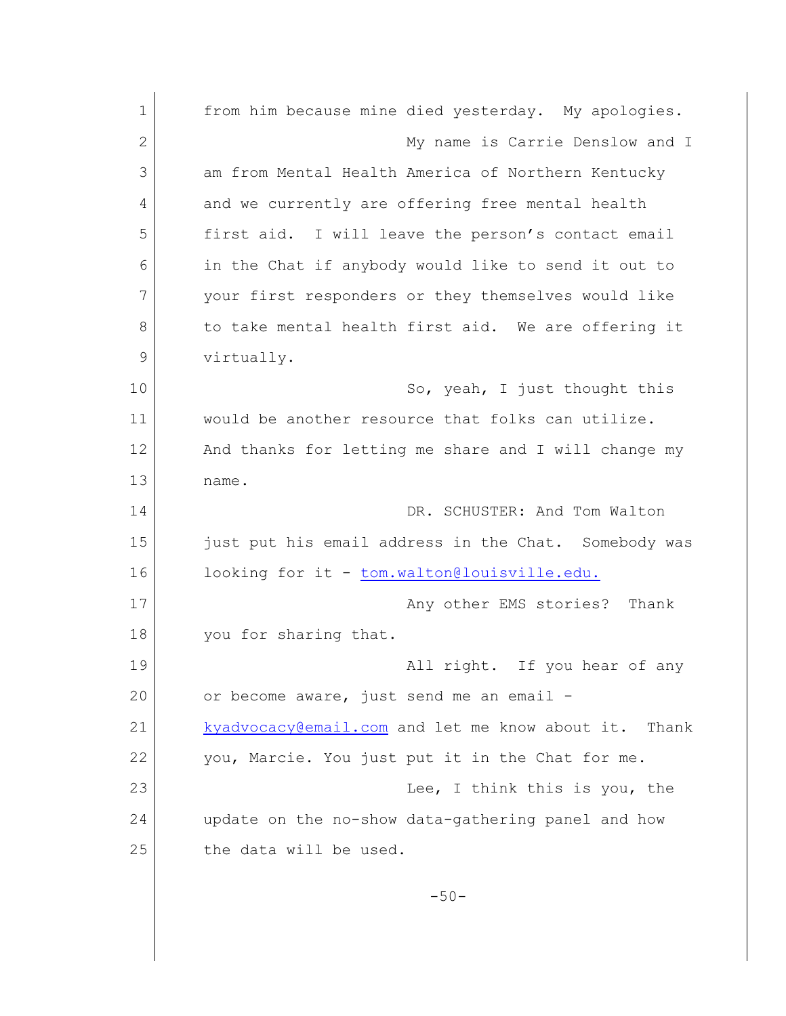| $\mathbf 1$  | from him because mine died yesterday. My apologies.   |
|--------------|-------------------------------------------------------|
| $\mathbf{2}$ | My name is Carrie Denslow and I                       |
| 3            | am from Mental Health America of Northern Kentucky    |
| 4            | and we currently are offering free mental health      |
| 5            | I will leave the person's contact email<br>first aid. |
| 6            | in the Chat if anybody would like to send it out to   |
| 7            | your first responders or they themselves would like   |
| 8            | to take mental health first aid. We are offering it   |
| 9            | virtually.                                            |
| 10           | So, yeah, I just thought this                         |
| 11           | would be another resource that folks can utilize.     |
| 12           | And thanks for letting me share and I will change my  |
| 13           | name.                                                 |
| 14           | DR. SCHUSTER: And Tom Walton                          |
| 15           | just put his email address in the Chat. Somebody was  |
| 16           | looking for it - tom.walton@louisville.edu.           |
| 17           | Any other EMS stories? Thank                          |
| 18           | you for sharing that.                                 |
| 19           | All right. If you hear of any                         |
| 20           | or become aware, just send me an email -              |
| 21           | kyadvocacy@email.com and let me know about it. Thank  |
| 22           | you, Marcie. You just put it in the Chat for me.      |
| 23           | Lee, I think this is you, the                         |
| 24           | update on the no-show data-gathering panel and how    |
| 25           | the data will be used.                                |
|              | $-50-$                                                |
|              |                                                       |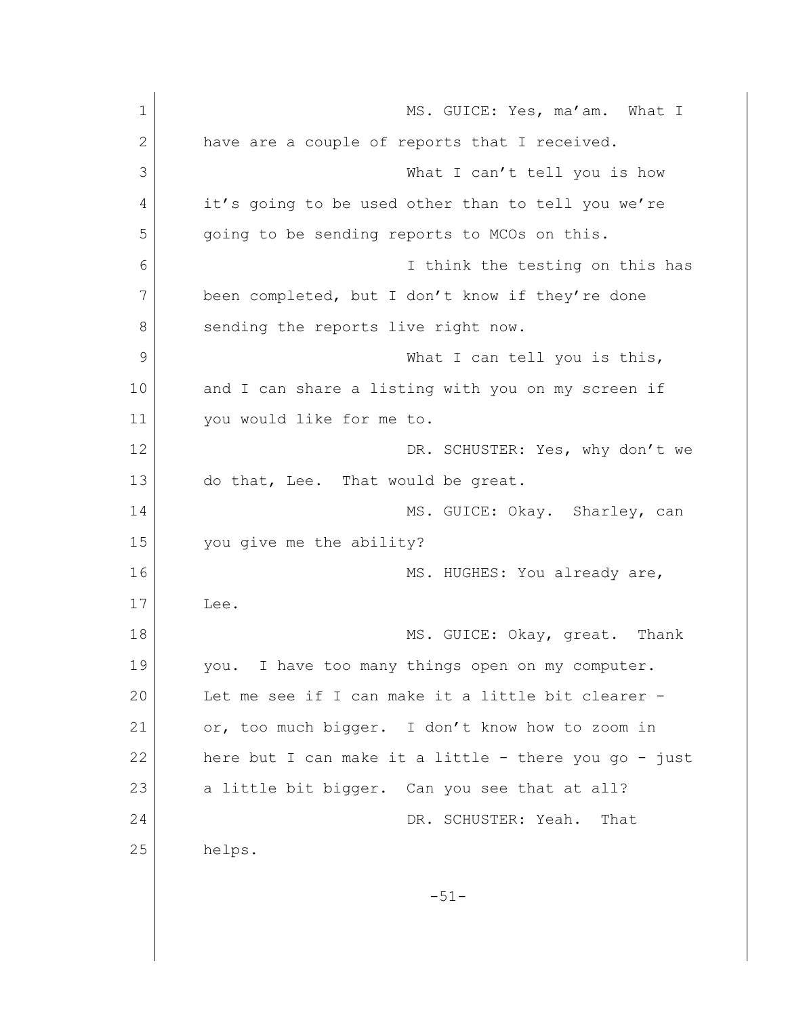| 1  | MS. GUICE: Yes, ma'am. What I                         |
|----|-------------------------------------------------------|
| 2  | have are a couple of reports that I received.         |
| 3  | What I can't tell you is how                          |
| 4  | it's going to be used other than to tell you we're    |
| 5  | going to be sending reports to MCOs on this.          |
| 6  | I think the testing on this has                       |
| 7  | been completed, but I don't know if they're done      |
| 8  | sending the reports live right now.                   |
| 9  | What I can tell you is this,                          |
| 10 | and I can share a listing with you on my screen if    |
| 11 | you would like for me to.                             |
| 12 | DR. SCHUSTER: Yes, why don't we                       |
| 13 | do that, Lee. That would be great.                    |
| 14 | MS. GUICE: Okay. Sharley, can                         |
| 15 | you give me the ability?                              |
| 16 | MS. HUGHES: You already are,                          |
| 17 | Lee.                                                  |
| 18 | MS. GUICE: Okay, great. Thank                         |
| 19 | you. I have too many things open on my computer.      |
| 20 | Let me see if I can make it a little bit clearer -    |
| 21 | or, too much bigger. I don't know how to zoom in      |
| 22 | here but I can make it a little - there you go - just |
| 23 | a little bit bigger. Can you see that at all?         |
| 24 | DR. SCHUSTER: Yeah.<br>That                           |
| 25 | helps.                                                |
|    | $-51-$                                                |
|    |                                                       |
|    |                                                       |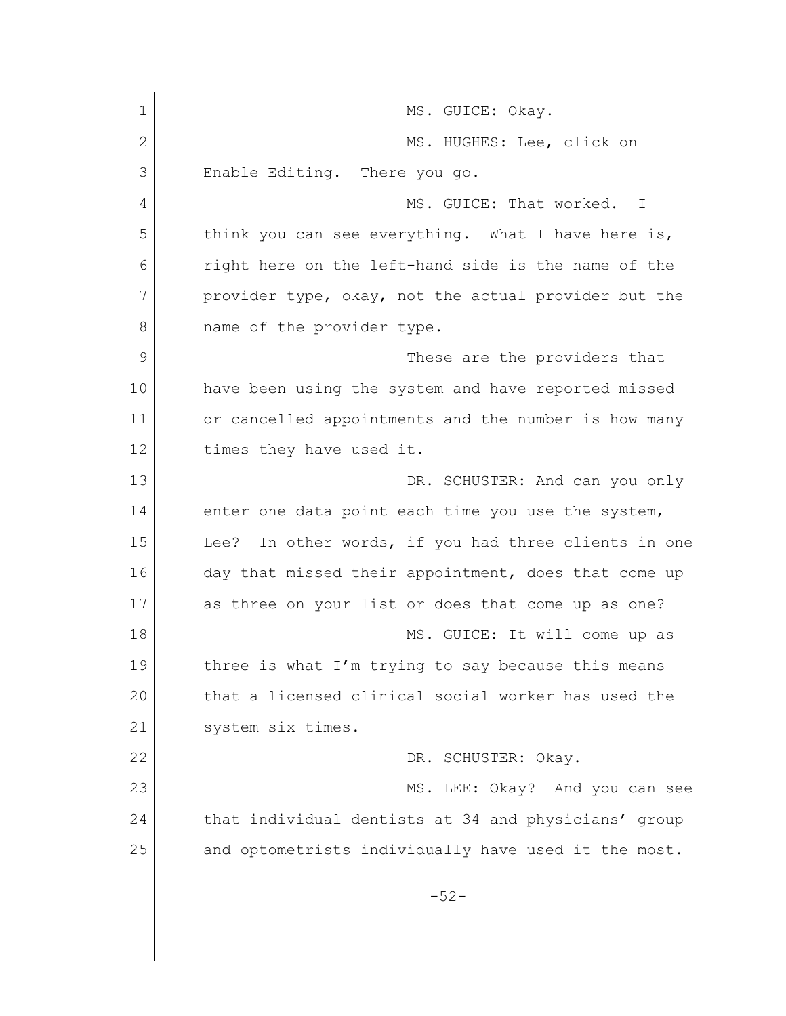1 MS. GUICE: Okay. 2 MS. HUGHES: Lee, click on 3 Enable Editing. There you go. 4 MS. GUICE: That worked. I 5 think you can see everything. What I have here is, 6 right here on the left-hand side is the name of the 7 provider type, okay, not the actual provider but the 8 mame of the provider type. 9 These are the providers that 10 have been using the system and have reported missed 11 or cancelled appointments and the number is how many 12 times they have used it. 13 DR. SCHUSTER: And can you only 14 enter one data point each time you use the system, 15 Lee? In other words, if you had three clients in one 16 day that missed their appointment, does that come up 17 as three on your list or does that come up as one? 18 MS. GUICE: It will come up as 19 three is what I'm trying to say because this means 20 that a licensed clinical social worker has used the 21 System six times. 22 DR. SCHUSTER: Okay. 23 MS. LEE: Okay? And you can see 24 that individual dentists at 34 and physicians' group 25 and optometrists individually have used it the most. -52-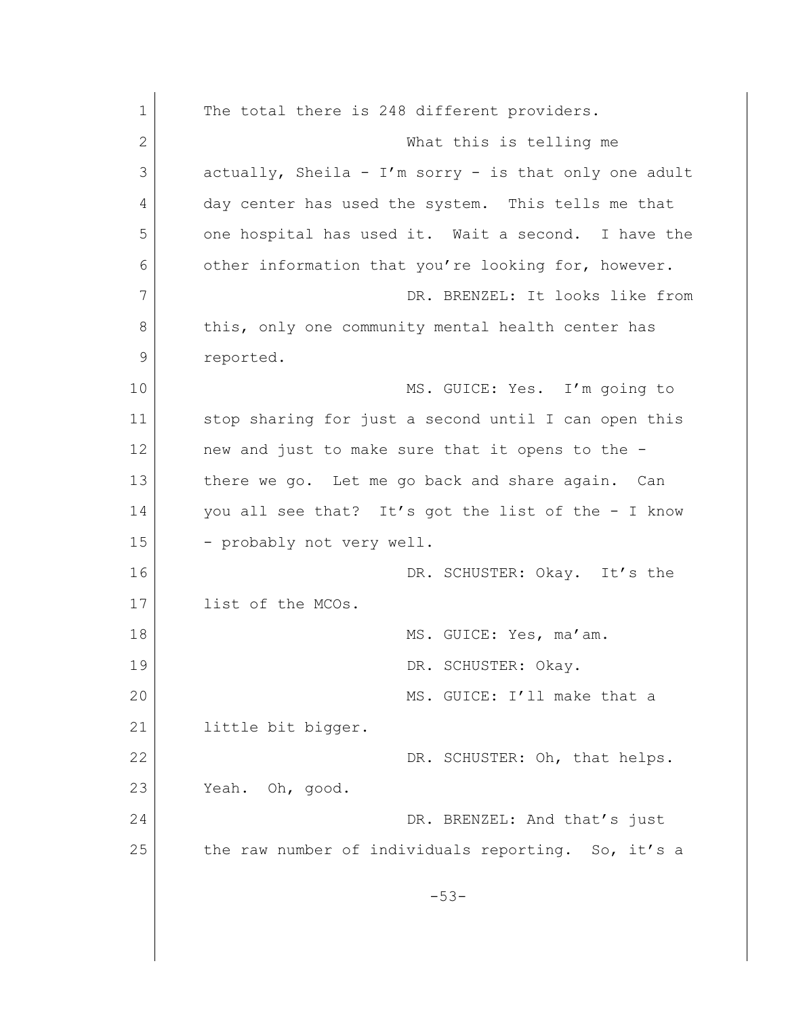| $\mathbf 1$ | The total there is 248 different providers.            |
|-------------|--------------------------------------------------------|
| 2           | What this is telling me                                |
| 3           | actually, Sheila - I'm sorry - is that only one adult  |
| 4           | day center has used the system. This tells me that     |
| 5           | one hospital has used it. Wait a second. I have the    |
| 6           | other information that you're looking for, however.    |
| 7           | DR. BRENZEL: It looks like from                        |
| 8           | this, only one community mental health center has      |
| 9           | reported.                                              |
| 10          | MS. GUICE: Yes. I'm going to                           |
| 11          | stop sharing for just a second until I can open this   |
| 12          | new and just to make sure that it opens to the -       |
| 13          | there we go. Let me go back and share again. Can       |
| 14          | you all see that? It's got the list of the - I know    |
| 15          | - probably not very well.                              |
| 16          | DR. SCHUSTER: Okay. It's the                           |
| 17          | list of the MCOs.                                      |
| 18          | MS. GUICE: Yes, ma'am.                                 |
| 19          | DR. SCHUSTER: Okay.                                    |
| 20          | MS. GUICE: I'll make that a                            |
| 21          | little bit bigger.                                     |
| 22          | DR. SCHUSTER: Oh, that helps.                          |
| 23          | Yeah. Oh, good.                                        |
| 24          | DR. BRENZEL: And that's just                           |
| 25          | the raw number of individuals reporting.<br>So, it's a |
|             | $-53-$                                                 |
|             |                                                        |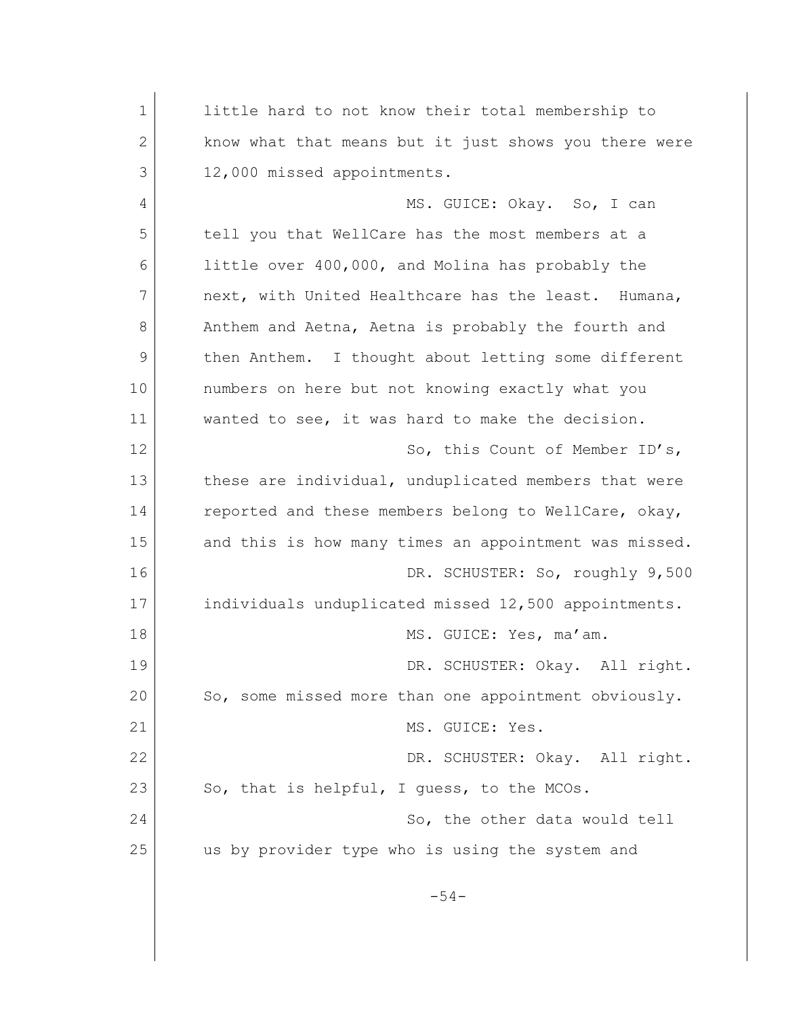1 little hard to not know their total membership to 2 know what that means but it just shows you there were 3 12,000 missed appointments. 4 MS. GUICE: Okay. So, I can 5 tell you that WellCare has the most members at a 6 little over 400,000, and Molina has probably the 7 next, with United Healthcare has the least. Humana, 8 Anthem and Aetna, Aetna is probably the fourth and 9 then Anthem. I thought about letting some different 10 | numbers on here but not knowing exactly what you 11 wanted to see, it was hard to make the decision. 12 So, this Count of Member ID's, 13 these are individual, unduplicated members that were 14 reported and these members belong to WellCare, okay, 15 and this is how many times an appointment was missed. 16 DR. SCHUSTER: So, roughly 9,500 17 individuals unduplicated missed 12,500 appointments. 18 MS. GUICE: Yes, ma'am. 19 DR. SCHUSTER: Okay. All right. 20 So, some missed more than one appointment obviously. 21 MS. GUICE: Yes. 22 DR. SCHUSTER: Okay. All right.  $23$  So, that is helpful, I guess, to the MCOs. 24 So, the other data would tell 25 us by provider type who is using the system and -54-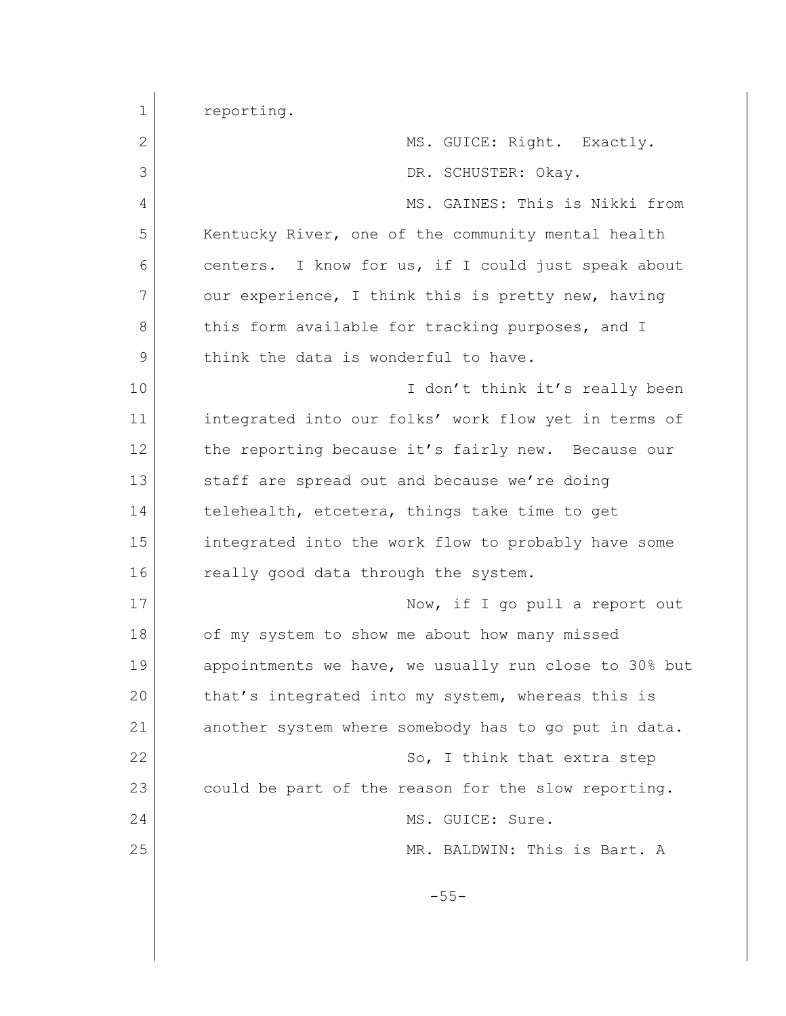| $\mathbf 1$ | reporting.                                            |
|-------------|-------------------------------------------------------|
| 2           | MS. GUICE: Right. Exactly.                            |
| 3           | DR. SCHUSTER: Okay.                                   |
| 4           | MS. GAINES: This is Nikki from                        |
| 5           | Kentucky River, one of the community mental health    |
| 6           | centers. I know for us, if I could just speak about   |
| 7           | our experience, I think this is pretty new, having    |
| 8           | this form available for tracking purposes, and I      |
| 9           | think the data is wonderful to have.                  |
| 10          | I don't think it's really been                        |
| 11          | integrated into our folks' work flow yet in terms of  |
| 12          | the reporting because it's fairly new. Because our    |
| 13          | staff are spread out and because we're doing          |
| 14          | telehealth, etcetera, things take time to get         |
| 15          | integrated into the work flow to probably have some   |
| 16          | really good data through the system.                  |
| 17          | Now, if I go pull a report out                        |
| 18          | of my system to show me about how many missed         |
| 19          | appointments we have, we usually run close to 30% but |
| 20          | that's integrated into my system, whereas this is     |
| 21          | another system where somebody has to go put in data.  |
| 22          | So, I think that extra step                           |
| 23          | could be part of the reason for the slow reporting.   |
| 24          | MS. GUICE: Sure.                                      |
| 25          | MR. BALDWIN: This is Bart. A                          |
|             |                                                       |
|             | $-55-$                                                |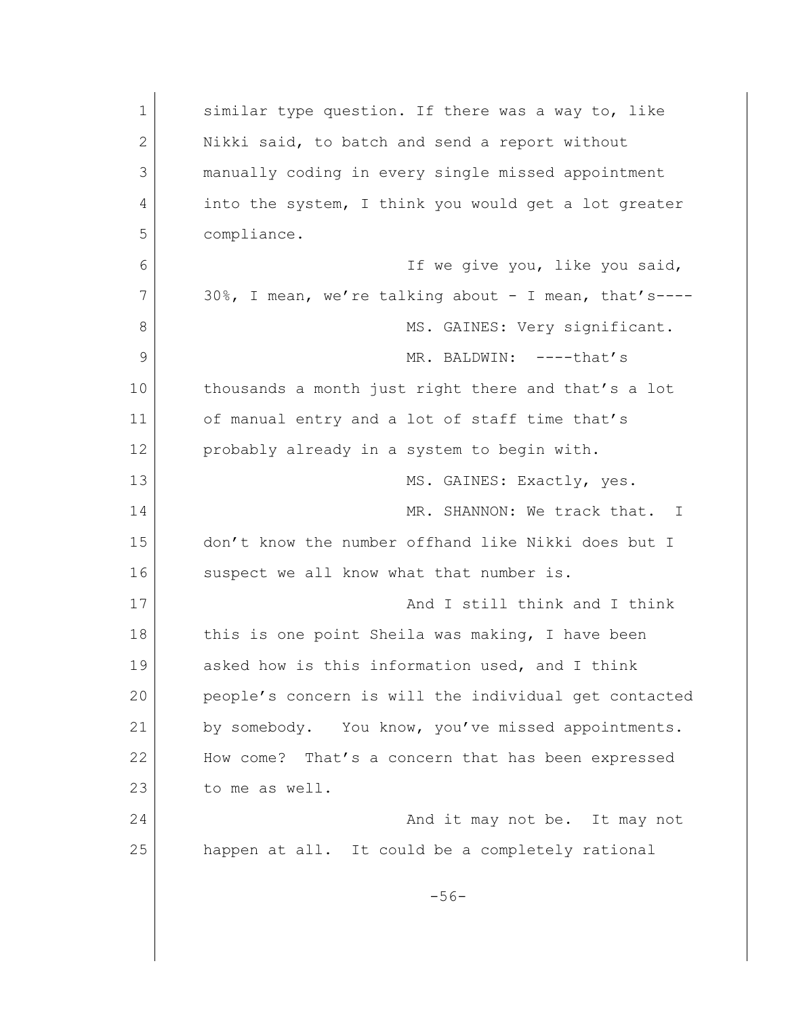| $\mathbf 1$ | similar type question. If there was a way to, like    |
|-------------|-------------------------------------------------------|
| 2           | Nikki said, to batch and send a report without        |
| 3           | manually coding in every single missed appointment    |
| 4           | into the system, I think you would get a lot greater  |
| 5           | compliance.                                           |
| 6           | If we give you, like you said,                        |
| 7           | 30%, I mean, we're talking about - I mean, that's---- |
| 8           | MS. GAINES: Very significant.                         |
| 9           | MR. BALDWIN: ----that's                               |
| 10          | thousands a month just right there and that's a lot   |
| 11          | of manual entry and a lot of staff time that's        |
| 12          | probably already in a system to begin with.           |
| 13          | MS. GAINES: Exactly, yes.                             |
| 14          | MR. SHANNON: We track that.<br>$\perp$                |
| 15          | don't know the number offhand like Nikki does but I   |
| 16          | suspect we all know what that number is.              |
| 17          | And I still think and I think                         |
| 18          | this is one point Sheila was making, I have been      |
| 19          | asked how is this information used, and I think       |
| 20          | people's concern is will the individual get contacted |
| 21          | by somebody. You know, you've missed appointments.    |
| 22          | How come? That's a concern that has been expressed    |
| 23          | to me as well.                                        |
| 24          | And it may not be. It may not                         |
| 25          | happen at all. It could be a completely rational      |
|             | $-56-$                                                |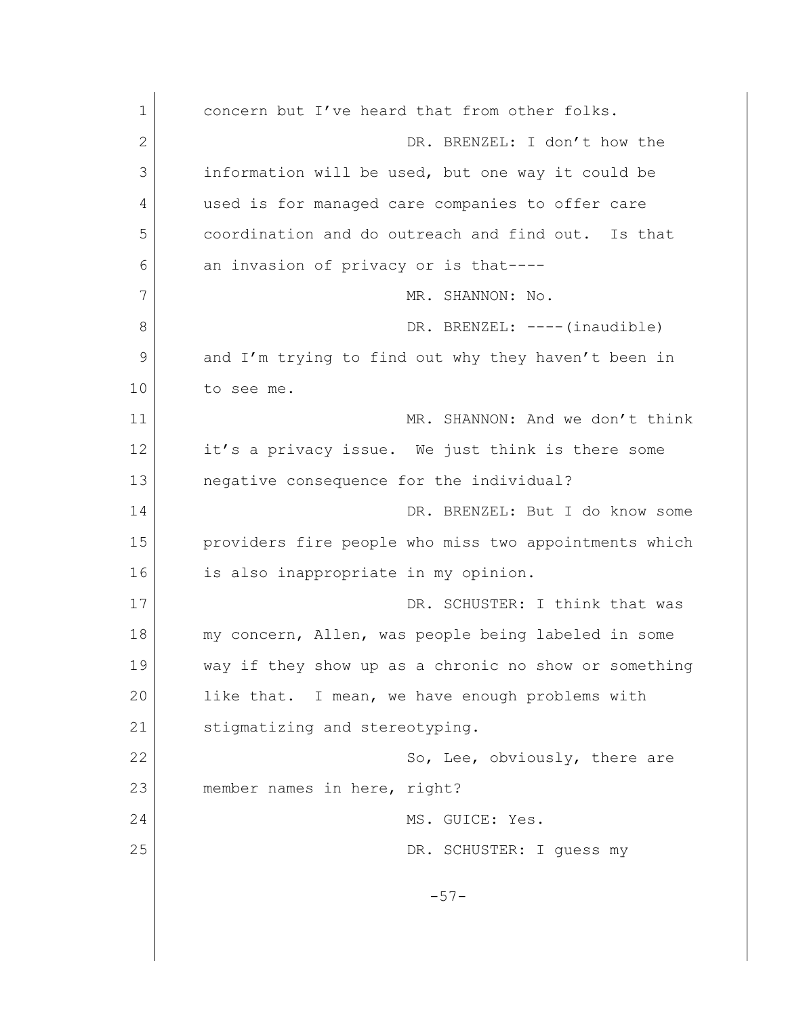| 1            | concern but I've heard that from other folks.         |
|--------------|-------------------------------------------------------|
| $\mathbf{2}$ | DR. BRENZEL: I don't how the                          |
| 3            | information will be used, but one way it could be     |
| 4            | used is for managed care companies to offer care      |
| 5            | coordination and do outreach and find out. Is that    |
| 6            | an invasion of privacy or is that----                 |
| 7            | MR. SHANNON: No.                                      |
| 8            | DR. BRENZEL: ---- (inaudible)                         |
| 9            | and I'm trying to find out why they haven't been in   |
| 10           | to see me.                                            |
| 11           | MR. SHANNON: And we don't think                       |
| 12           | it's a privacy issue. We just think is there some     |
| 13           | negative consequence for the individual?              |
| 14           | DR. BRENZEL: But I do know some                       |
| 15           | providers fire people who miss two appointments which |
| 16           | is also inappropriate in my opinion.                  |
| 17           | DR. SCHUSTER: I think that was                        |
| 18           | my concern, Allen, was people being labeled in some   |
| 19           | way if they show up as a chronic no show or something |
| 20           | like that. I mean, we have enough problems with       |
| 21           | stigmatizing and stereotyping.                        |
| 22           | So, Lee, obviously, there are                         |
| 23           | member names in here, right?                          |
| 24           | MS. GUICE: Yes.                                       |
| 25           | DR. SCHUSTER: I guess my                              |
|              | $-57-$                                                |
|              |                                                       |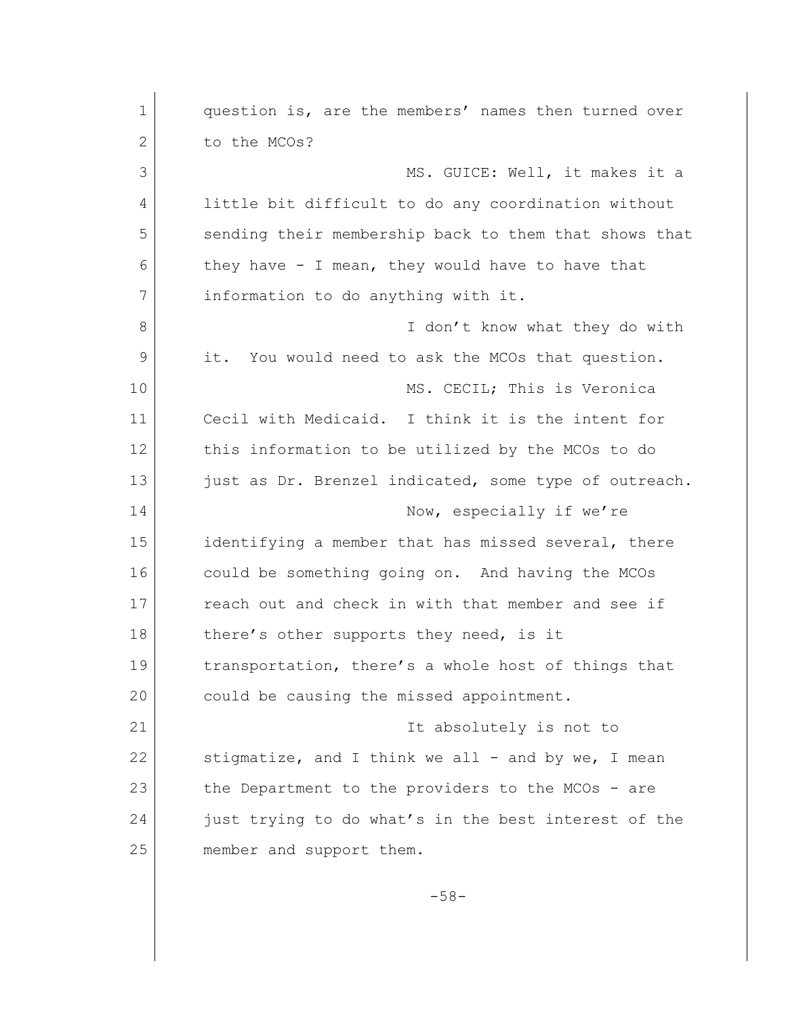| $\mathbf 1$   | question is, are the members' names then turned over  |
|---------------|-------------------------------------------------------|
| $\mathbf{2}$  | to the MCOs?                                          |
| 3             | MS. GUICE: Well, it makes it a                        |
| 4             | little bit difficult to do any coordination without   |
| 5             | sending their membership back to them that shows that |
| 6             | they have $-$ I mean, they would have to have that    |
| 7             | information to do anything with it.                   |
| 8             | I don't know what they do with                        |
| $\mathcal{G}$ | it. You would need to ask the MCOs that question.     |
| 10            | MS. CECIL; This is Veronica                           |
| 11            | Cecil with Medicaid. I think it is the intent for     |
| 12            | this information to be utilized by the MCOs to do     |
| 13            | just as Dr. Brenzel indicated, some type of outreach. |
| 14            | Now, especially if we're                              |
| 15            | identifying a member that has missed several, there   |
| 16            | could be something going on. And having the MCOs      |
| 17            | reach out and check in with that member and see if    |
| 18            | there's other supports they need, is it               |
| 19            | transportation, there's a whole host of things that   |
| 20            | could be causing the missed appointment.              |
| 21            | It absolutely is not to                               |
| 22            | stigmatize, and I think we all - and by we, I mean    |
| 23            | the Department to the providers to the MCOs - are     |
| 24            | just trying to do what's in the best interest of the  |
| 25            | member and support them.                              |
|               |                                                       |

-58-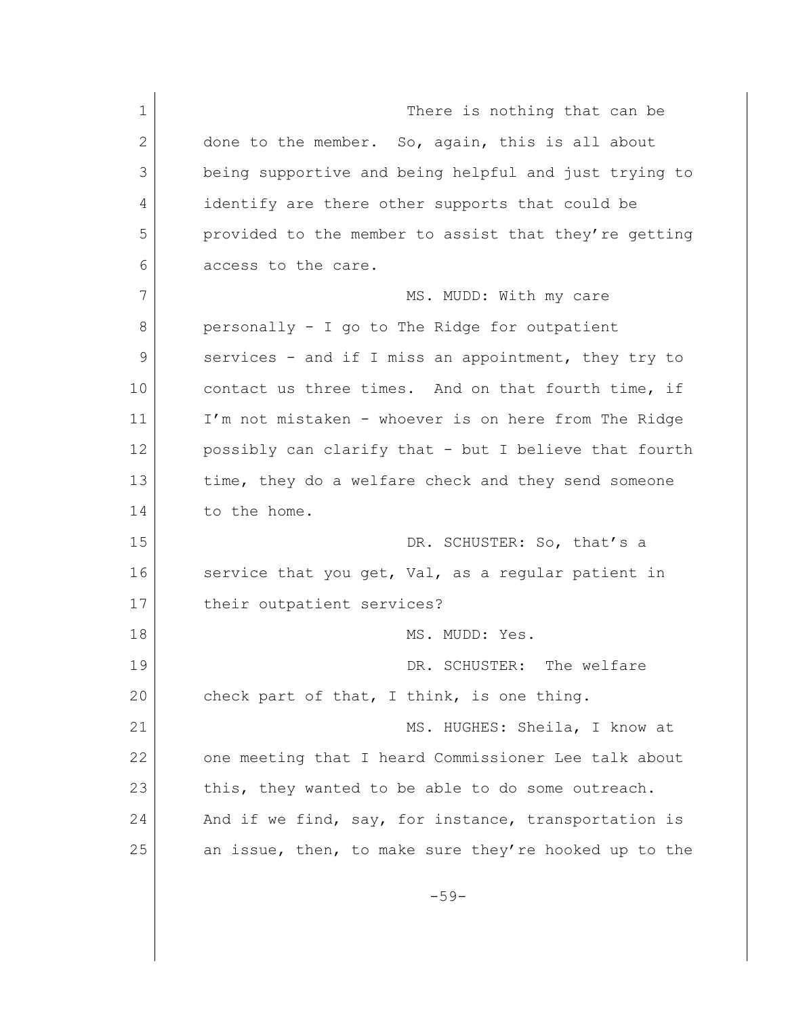1 There is nothing that can be 2 done to the member. So, again, this is all about 3 being supportive and being helpful and just trying to 4 identify are there other supports that could be 5 provided to the member to assist that they're getting 6 access to the care. 7 MS. MUDD: With my care 8 personally - I go to The Ridge for outpatient 9 services - and if I miss an appointment, they try to 10 contact us three times. And on that fourth time, if 11 I'm not mistaken - whoever is on here from The Ridge 12 possibly can clarify that - but I believe that fourth 13 time, they do a welfare check and they send someone 14 to the home. 15 DR. SCHUSTER: So, that's a 16 service that you get, Val, as a regular patient in 17 their outpatient services? 18 MS. MUDD: Yes. 19 DR. SCHUSTER: The welfare 20 check part of that, I think, is one thing. 21 MS. HUGHES: Sheila, I know at 22 one meeting that I heard Commissioner Lee talk about 23 this, they wanted to be able to do some outreach. 24 And if we find, say, for instance, transportation is 25 an issue, then, to make sure they're hooked up to the

-59-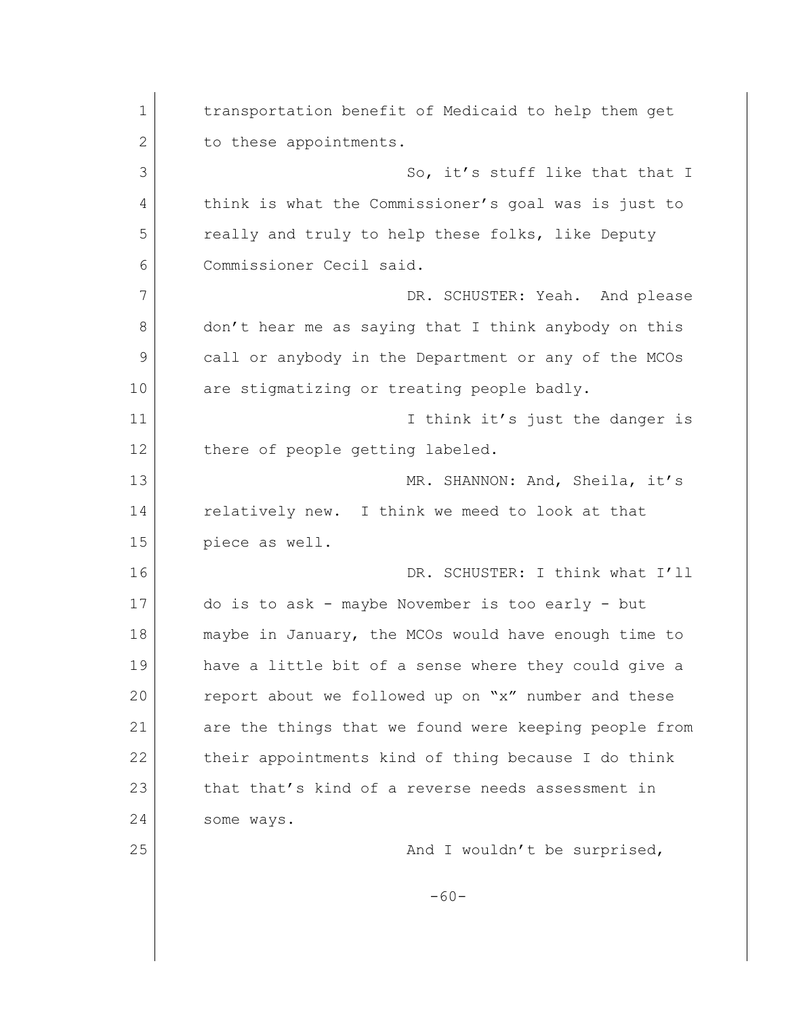1 transportation benefit of Medicaid to help them get 2 to these appointments. 3 So, it's stuff like that that I 4 think is what the Commissioner's goal was is just to 5 really and truly to help these folks, like Deputy 6 Commissioner Cecil said. 7 DR. SCHUSTER: Yeah. And please 8 don't hear me as saying that I think anybody on this 9 call or anybody in the Department or any of the MCOs 10 are stigmatizing or treating people badly. 11 I think it's just the danger is 12 there of people getting labeled. 13 MR. SHANNON: And, Sheila, it's 14 relatively new. I think we meed to look at that 15 piece as well. 16 DR. SCHUSTER: I think what I'll 17 do is to ask - maybe November is too early - but 18 maybe in January, the MCOs would have enough time to 19 have a little bit of a sense where they could give a 20 report about we followed up on "x" number and these 21 are the things that we found were keeping people from 22 their appointments kind of thing because I do think 23 that that's kind of a reverse needs assessment in 24 some ways. 25 and I wouldn't be surprised, -60-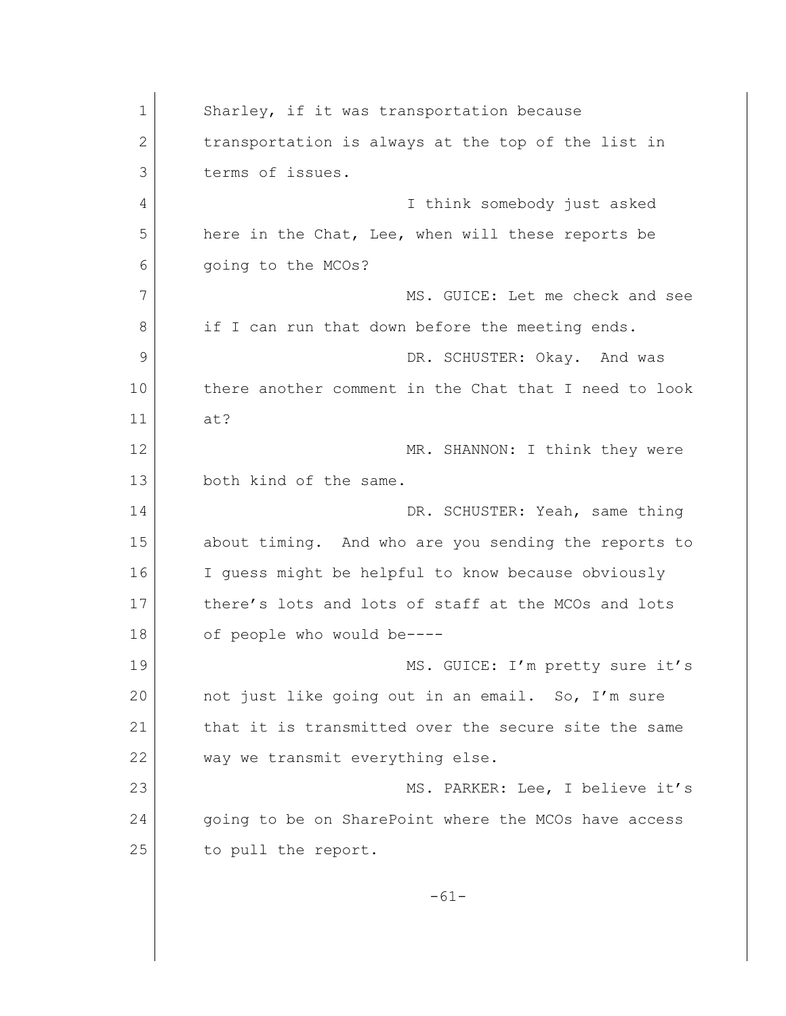1 Sharley, if it was transportation because 2 transportation is always at the top of the list in 3 terms of issues. 4 I think somebody just asked 5 here in the Chat, Lee, when will these reports be 6 going to the MCOs? 7 MS. GUICE: Let me check and see 8 if I can run that down before the meeting ends. 9 DR. SCHUSTER: Okay. And was 10 there another comment in the Chat that I need to look 11 at? 12 MR. SHANNON: I think they were 13 both kind of the same. 14 DR. SCHUSTER: Yeah, same thing 15 about timing. And who are you sending the reports to 16 I guess might be helpful to know because obviously 17 there's lots and lots of staff at the MCOs and lots 18 of people who would be----19 MS. GUICE: I'm pretty sure it's 20 not just like going out in an email. So, I'm sure 21 that it is transmitted over the secure site the same 22 way we transmit everything else. 23 MS. PARKER: Lee, I believe it's 24 going to be on SharePoint where the MCOs have access 25 to pull the report. -61-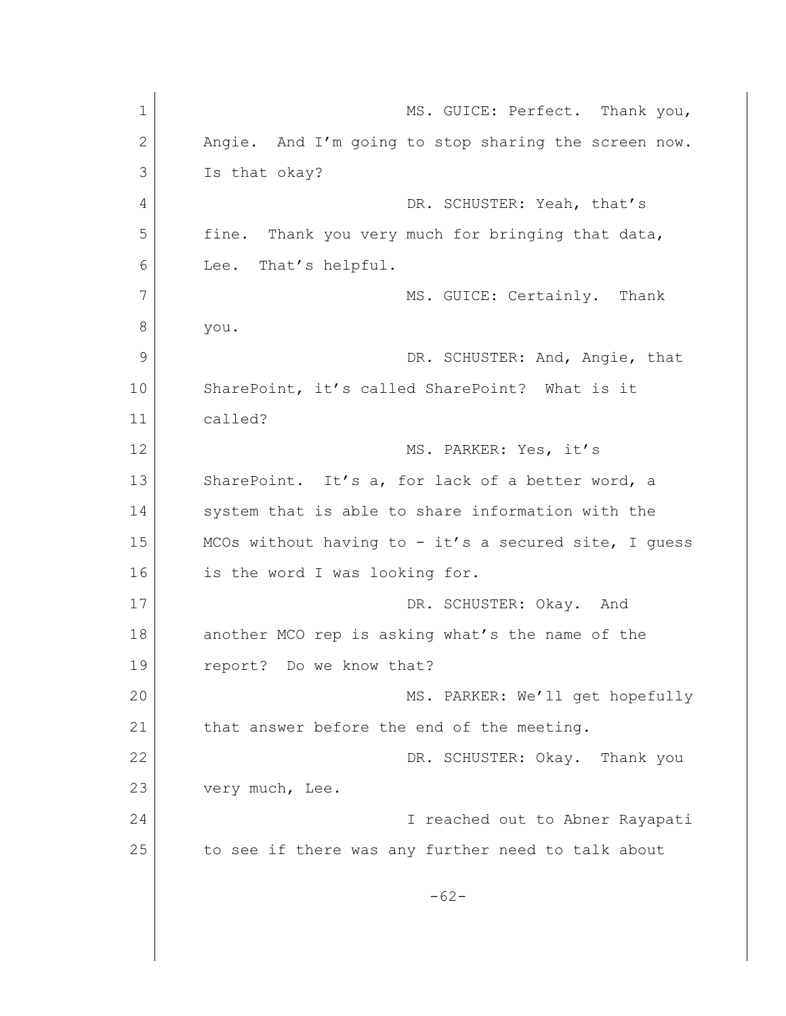| $\mathbf 1$ | MS. GUICE: Perfect. Thank you,                        |
|-------------|-------------------------------------------------------|
| 2           | Angie. And I'm going to stop sharing the screen now.  |
| 3           | Is that okay?                                         |
| 4           | DR. SCHUSTER: Yeah, that's                            |
| 5           | Thank you very much for bringing that data,<br>fine.  |
| 6           | That's helpful.<br>Lee.                               |
| 7           | MS. GUICE: Certainly. Thank                           |
| 8           | you.                                                  |
| 9           | DR. SCHUSTER: And, Angie, that                        |
| 10          | SharePoint, it's called SharePoint? What is it        |
| 11          | called?                                               |
| 12          | MS. PARKER: Yes, it's                                 |
| 13          | SharePoint. It's a, for lack of a better word, a      |
| 14          | system that is able to share information with the     |
| 15          | MCOs without having to - it's a secured site, I guess |
| 16          | is the word I was looking for.                        |
| 17          | DR. SCHUSTER: Okay. And                               |
| 18          | another MCO rep is asking what's the name of the      |
| 19          | report? Do we know that?                              |
| 20          | MS. PARKER: We'll get hopefully                       |
| 21          | that answer before the end of the meeting.            |
| 22          | DR. SCHUSTER: Okay. Thank you                         |
| 23          | very much, Lee.                                       |
| 24          | I reached out to Abner Rayapati                       |
| 25          | to see if there was any further need to talk about    |
|             |                                                       |
|             | $-62-$                                                |
|             |                                                       |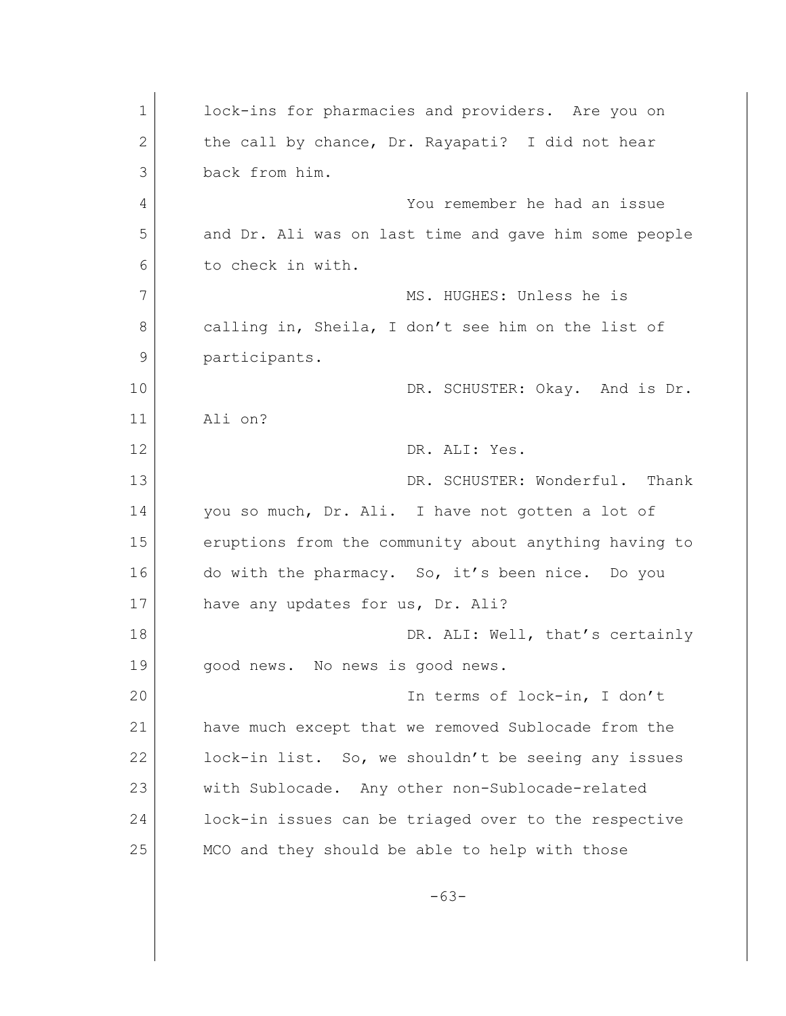| $\mathbf 1$ | lock-ins for pharmacies and providers. Are you on     |
|-------------|-------------------------------------------------------|
| 2           | the call by chance, Dr. Rayapati? I did not hear      |
| 3           | back from him.                                        |
| 4           | You remember he had an issue                          |
| 5           | and Dr. Ali was on last time and gave him some people |
| 6           | to check in with.                                     |
| 7           | MS. HUGHES: Unless he is                              |
| 8           | calling in, Sheila, I don't see him on the list of    |
| 9           | participants.                                         |
| 10          | DR. SCHUSTER: Okay. And is Dr.                        |
| 11          | Ali on?                                               |
| 12          | DR. ALI: Yes.                                         |
| 13          | DR. SCHUSTER: Wonderful. Thank                        |
| 14          | you so much, Dr. Ali. I have not gotten a lot of      |
| 15          | eruptions from the community about anything having to |
| 16          | do with the pharmacy. So, it's been nice. Do you      |
| 17          | have any updates for us, Dr. Ali?                     |
| 18          | DR. ALI: Well, that's certainly                       |
| 19          | good news. No news is good news.                      |
| 20          | In terms of lock-in, I don't                          |
| 21          | have much except that we removed Sublocade from the   |
| 22          | lock-in list. So, we shouldn't be seeing any issues   |
| 23          | with Sublocade. Any other non-Sublocade-related       |
| 24          | lock-in issues can be triaged over to the respective  |
| 25          | MCO and they should be able to help with those        |
|             |                                                       |
|             | $-63-$                                                |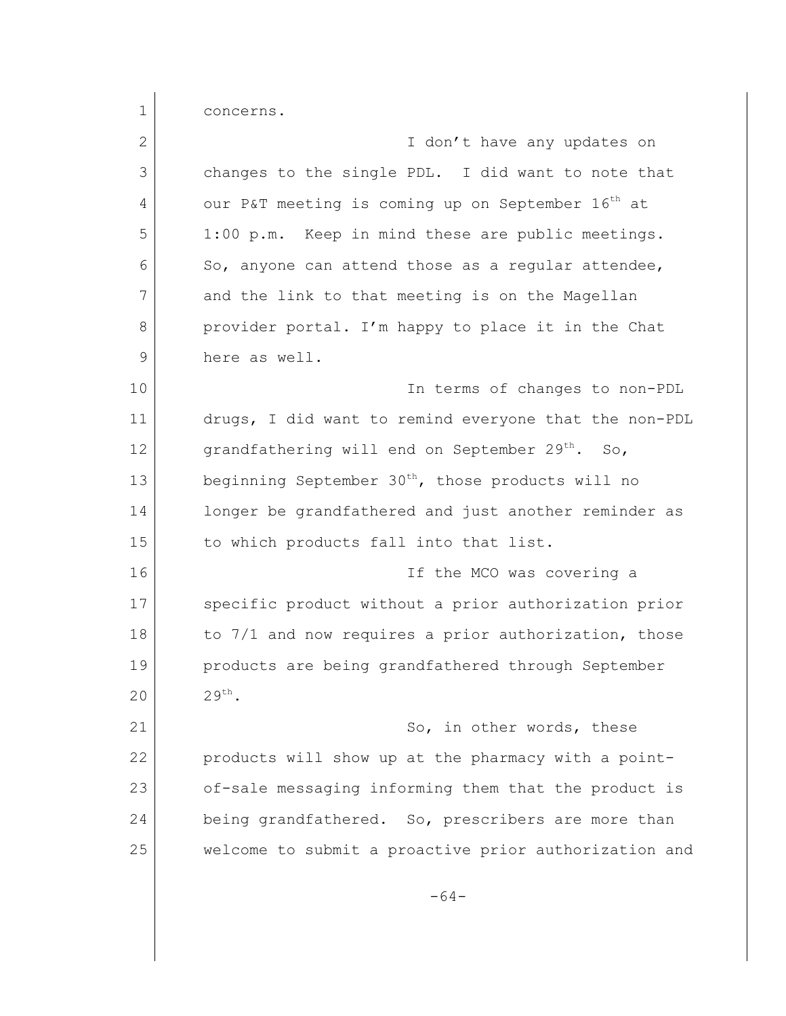1 concerns.

| $\overline{2}$ | I don't have any updates on                                   |
|----------------|---------------------------------------------------------------|
| 3              | changes to the single PDL. I did want to note that            |
| 4              | our P&T meeting is coming up on September 16 <sup>th</sup> at |
| 5              | 1:00 p.m. Keep in mind these are public meetings.             |
| 6              | So, anyone can attend those as a regular attendee,            |
| 7              |                                                               |
|                | and the link to that meeting is on the Magellan               |
| 8              | provider portal. I'm happy to place it in the Chat            |
| 9              | here as well.                                                 |
| 10             | In terms of changes to non-PDL                                |
| 11             | drugs, I did want to remind everyone that the non-PDL         |
| 12             | grandfathering will end on September 29 <sup>th</sup> . So,   |
| 13             | beginning September 30 <sup>th</sup> , those products will no |
| 14             | longer be grandfathered and just another reminder as          |
| 15             | to which products fall into that list.                        |
| 16             | If the MCO was covering a                                     |
| 17             | specific product without a prior authorization prior          |
| 18             | to 7/1 and now requires a prior authorization, those          |
| 19             | products are being grandfathered through September            |
| 20             | 29 <sup>th</sup>                                              |
| 21             | So, in other words, these                                     |
| 22             | products will show up at the pharmacy with a point-           |
| 23             | of-sale messaging informing them that the product is          |
| 24             | being grandfathered. So, prescribers are more than            |
| 25             | welcome to submit a proactive prior authorization and         |
|                | $-64-$                                                        |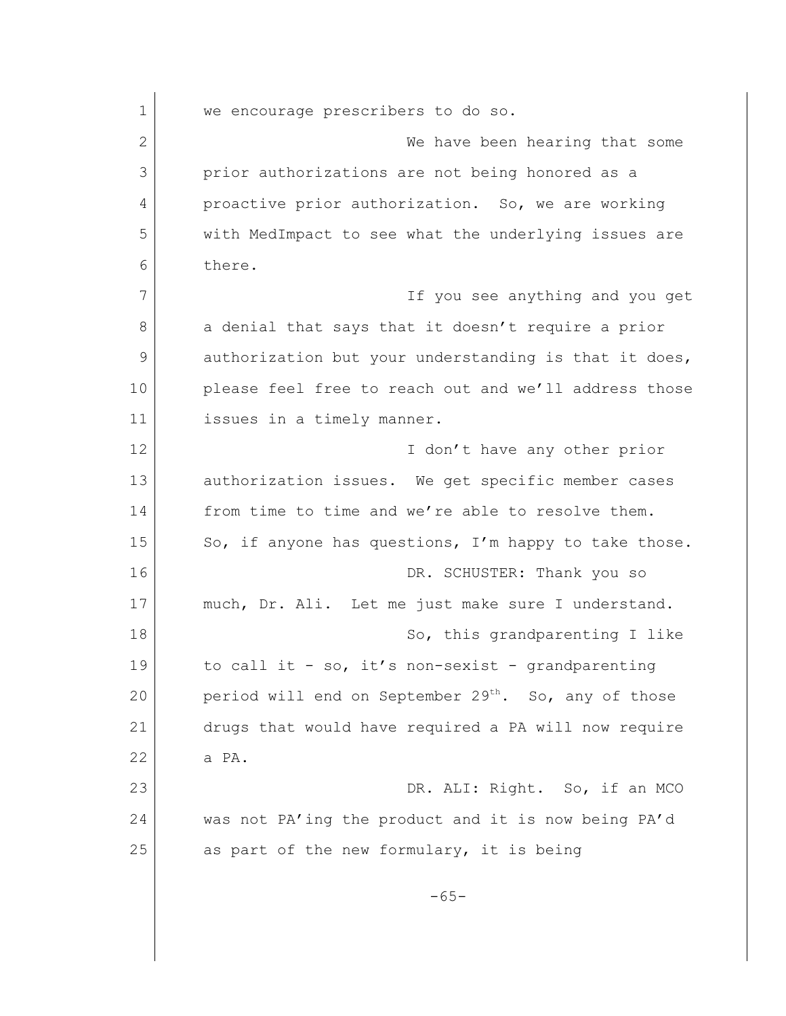1 we encourage prescribers to do so. 2 We have been hearing that some 3 prior authorizations are not being honored as a 4 proactive prior authorization. So, we are working 5 with MedImpact to see what the underlying issues are 6 there. 7 If you see anything and you get 8 a denial that says that it doesn't require a prior 9 authorization but your understanding is that it does, 10 please feel free to reach out and we'll address those 11 issues in a timely manner. 12 I don't have any other prior 13 authorization issues. We get specific member cases 14 from time to time and we're able to resolve them. 15 So, if anyone has questions, I'm happy to take those. 16 DR. SCHUSTER: Thank you so 17 much, Dr. Ali. Let me just make sure I understand. 18 | Constant Contract Contract So, this grandparenting I like 19 to call it - so, it's non-sexist - grandparenting 20 period will end on September 29<sup>th</sup>. So, any of those 21 drugs that would have required a PA will now require  $22$  a PA. 23 DR. ALI: Right. So, if an MCO 24 was not PA'ing the product and it is now being PA'd 25 as part of the new formulary, it is being -65-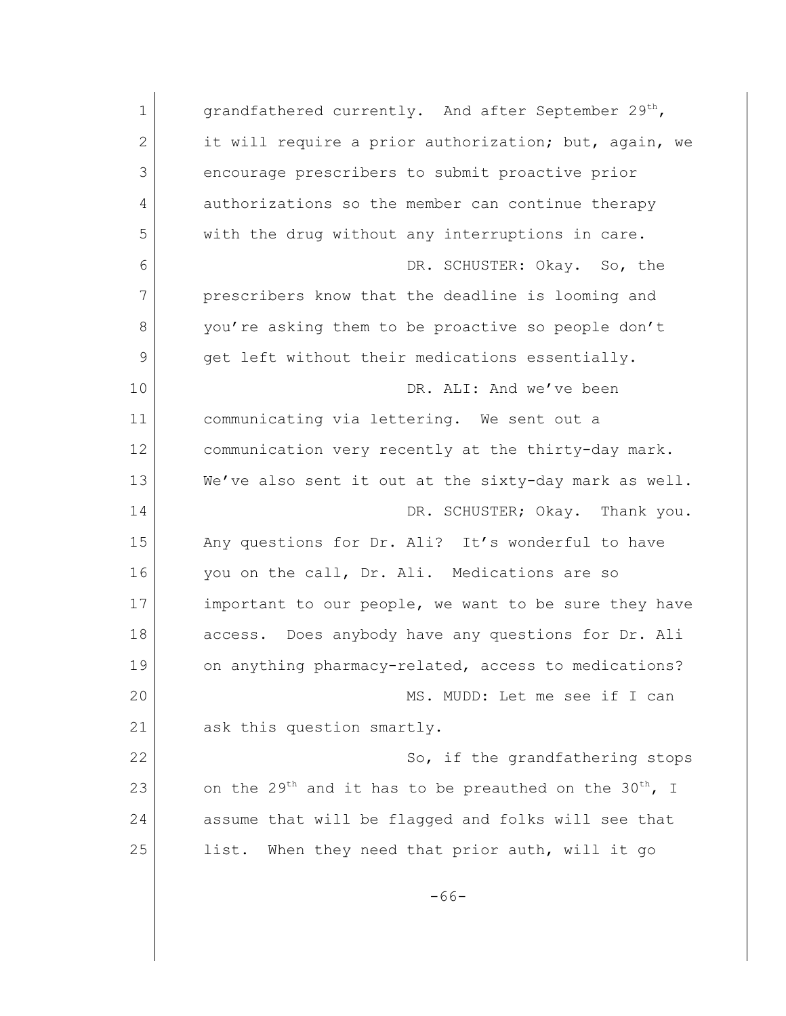| $\mathbf 1$ | grandfathered currently. And after September 29 <sup>th</sup> ,                |
|-------------|--------------------------------------------------------------------------------|
| 2           | it will require a prior authorization; but, again, we                          |
| 3           | encourage prescribers to submit proactive prior                                |
| 4           | authorizations so the member can continue therapy                              |
| 5           | with the drug without any interruptions in care.                               |
| 6           | DR. SCHUSTER: Okay. So, the                                                    |
| 7           | prescribers know that the deadline is looming and                              |
| 8           | you're asking them to be proactive so people don't                             |
| 9           | get left without their medications essentially.                                |
| 10          | DR. ALI: And we've been                                                        |
| 11          | communicating via lettering. We sent out a                                     |
| 12          | communication very recently at the thirty-day mark.                            |
| 13          | We've also sent it out at the sixty-day mark as well.                          |
| 14          | DR. SCHUSTER; Okay. Thank you.                                                 |
| 15          | Any questions for Dr. Ali? It's wonderful to have                              |
| 16          | you on the call, Dr. Ali. Medications are so                                   |
| 17          | important to our people, we want to be sure they have                          |
| 18          | Does anybody have any questions for Dr. Ali<br>access.                         |
| 19          | on anything pharmacy-related, access to medications?                           |
| 20          | MS. MUDD: Let me see if I can                                                  |
| 21          | ask this question smartly.                                                     |
| 22          | So, if the grandfathering stops                                                |
| 23          | on the 29 <sup>th</sup> and it has to be preauthed on the 30 <sup>th</sup> , I |
| 24          | assume that will be flagged and folks will see that                            |
| 25          | list. When they need that prior auth, will it go                               |
|             | $-66-$                                                                         |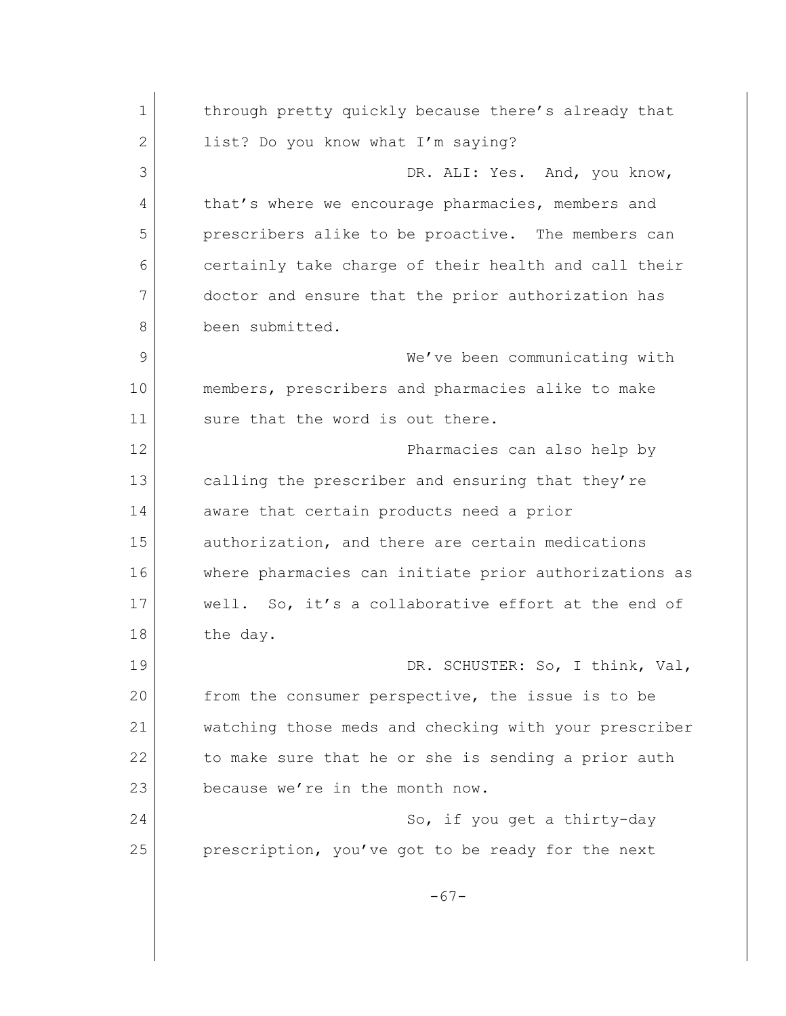1 through pretty quickly because there's already that 2 list? Do you know what I'm saying? 3 DR. ALI: Yes. And, you know, 4 that's where we encourage pharmacies, members and 5 prescribers alike to be proactive. The members can 6 certainly take charge of their health and call their 7 doctor and ensure that the prior authorization has 8 been submitted. 9 We've been communicating with 10 members, prescribers and pharmacies alike to make 11 sure that the word is out there. 12 Pharmacies can also help by 13 calling the prescriber and ensuring that they're 14 aware that certain products need a prior 15 authorization, and there are certain medications 16 where pharmacies can initiate prior authorizations as 17 well. So, it's a collaborative effort at the end of 18 the day. 19 DR. SCHUSTER: So, I think, Val, 20 from the consumer perspective, the issue is to be 21 watching those meds and checking with your prescriber 22 to make sure that he or she is sending a prior auth 23 because we're in the month now. 24 So, if you get a thirty-day 25 prescription, you've got to be ready for the next -67-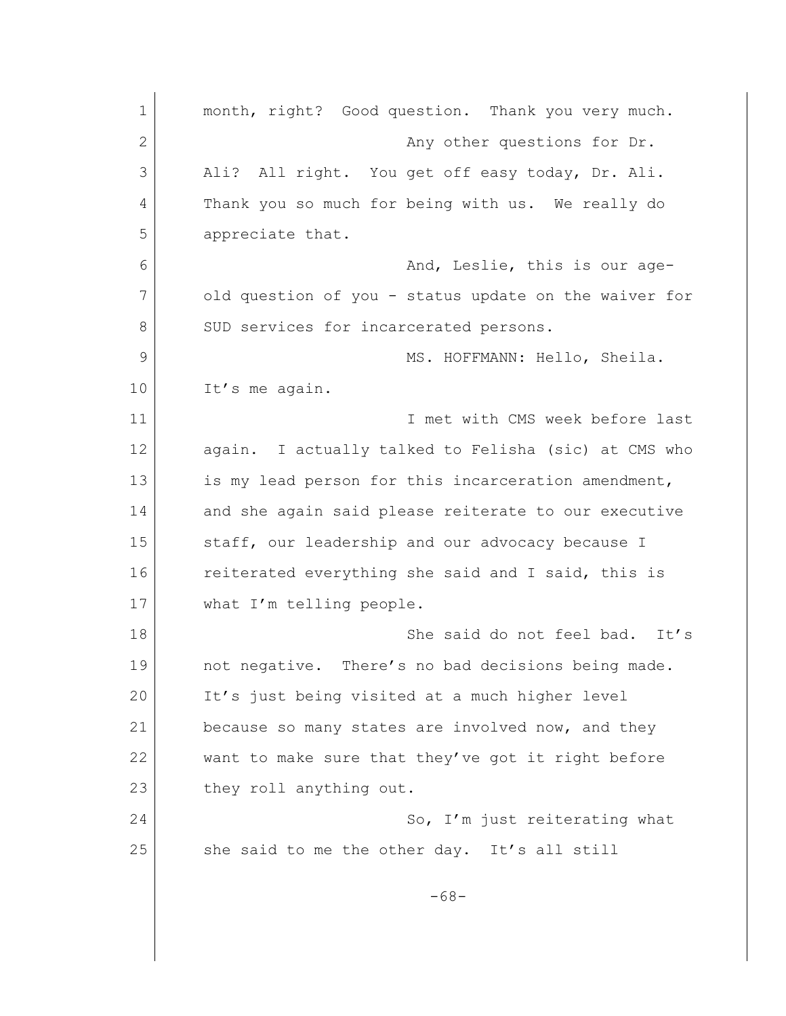| $\mathbf 1$  | month, right? Good question. Thank you very much.     |
|--------------|-------------------------------------------------------|
| $\mathbf{2}$ | Any other questions for Dr.                           |
| 3            | Ali? All right. You get off easy today, Dr. Ali.      |
| 4            | Thank you so much for being with us. We really do     |
| 5            | appreciate that.                                      |
| 6            | And, Leslie, this is our age-                         |
| 7            | old question of you - status update on the waiver for |
| 8            | SUD services for incarcerated persons.                |
| 9            | MS. HOFFMANN: Hello, Sheila.                          |
| 10           | It's me again.                                        |
| 11           | I met with CMS week before last                       |
| 12           | again. I actually talked to Felisha (sic) at CMS who  |
| 13           | is my lead person for this incarceration amendment,   |
| 14           | and she again said please reiterate to our executive  |
| 15           | staff, our leadership and our advocacy because I      |
| 16           | reiterated everything she said and I said, this is    |
| 17           | what I'm telling people.                              |
| 18           | She said do not feel bad. It's                        |
| 19           | not negative. There's no bad decisions being made.    |
| 20           | It's just being visited at a much higher level        |
| 21           | because so many states are involved now, and they     |
| 22           | want to make sure that they've got it right before    |
| 23           | they roll anything out.                               |
| 24           | So, I'm just reiterating what                         |
| 25           | she said to me the other day. It's all still          |
|              |                                                       |
|              | $-68-$                                                |
|              |                                                       |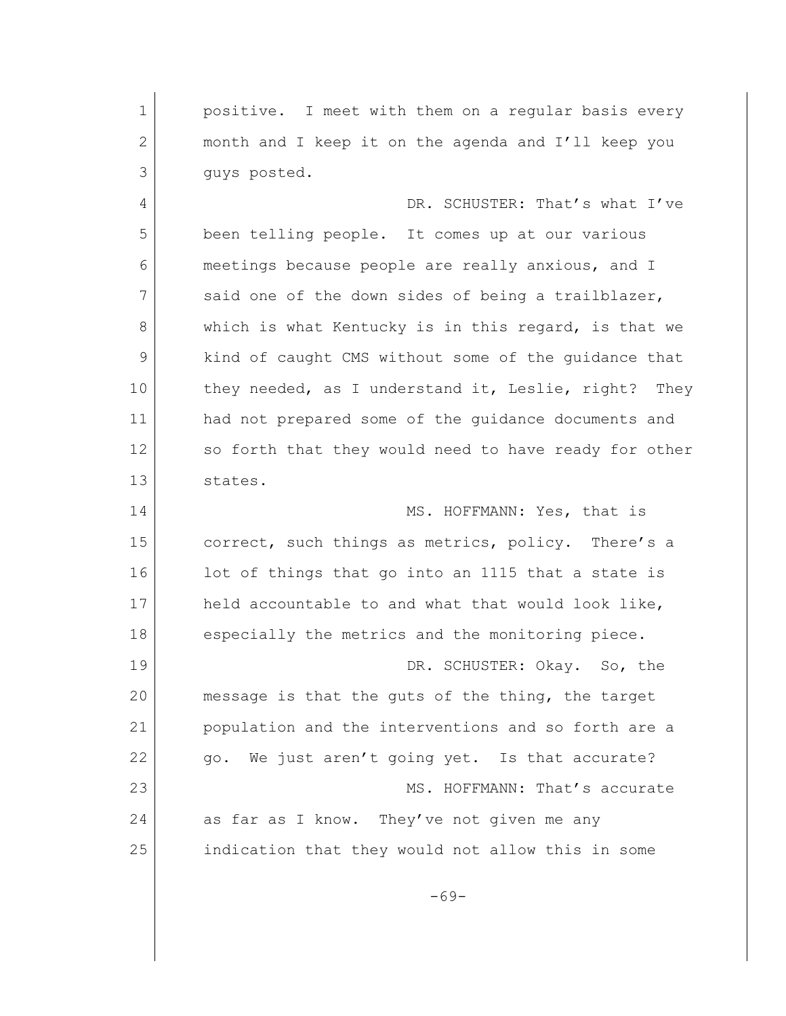1 **positive.** I meet with them on a reqular basis every 2 month and I keep it on the agenda and I'll keep you 3 guys posted. 4 DR. SCHUSTER: That's what I've 5 been telling people. It comes up at our various 6 meetings because people are really anxious, and I 7 said one of the down sides of being a trailblazer, 8 which is what Kentucky is in this regard, is that we 9 kind of caught CMS without some of the guidance that 10 they needed, as I understand it, Leslie, right? They 11 and not prepared some of the quidance documents and 12 so forth that they would need to have ready for other 13 states. 14 MS. HOFFMANN: Yes, that is 15 correct, such things as metrics, policy. There's a 16 lot of things that go into an 1115 that a state is 17 held accountable to and what that would look like, 18 especially the metrics and the monitoring piece. 19 DR. SCHUSTER: Okay. So, the 20 message is that the guts of the thing, the target 21 population and the interventions and so forth are a 22 go. We just aren't going yet. Is that accurate? 23 MS. HOFFMANN: That's accurate 24 as far as I know. They've not given me any 25 indication that they would not allow this in some -69-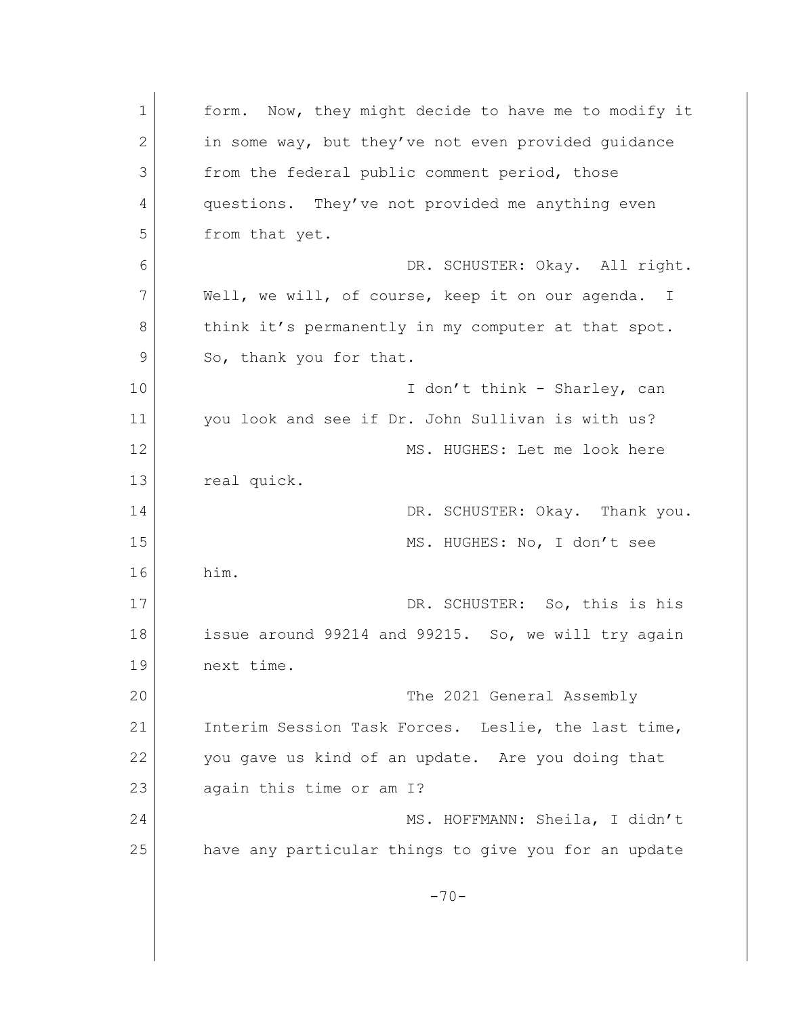1 form. Now, they might decide to have me to modify it 2 in some way, but they've not even provided quidance 3 from the federal public comment period, those 4 questions. They've not provided me anything even 5 from that yet. 6 DR. SCHUSTER: Okay. All right. 7 Well, we will, of course, keep it on our agenda. I 8 think it's permanently in my computer at that spot. 9 So, thank you for that. 10 I don't think - Sharley, can 11 vou look and see if Dr. John Sullivan is with us? 12 MS. HUGHES: Let me look here 13 real quick. 14 DR. SCHUSTER: Okay. Thank you. 15 MS. HUGHES: No, I don't see 16 him. 17 DR. SCHUSTER: So, this is his 18 issue around 99214 and 99215. So, we will try again 19 next time. 20 The 2021 General Assembly 21 Interim Session Task Forces. Leslie, the last time, 22 you gave us kind of an update. Are you doing that 23 again this time or am I? 24 MS. HOFFMANN: Sheila, I didn't 25 have any particular things to give you for an update  $-70-$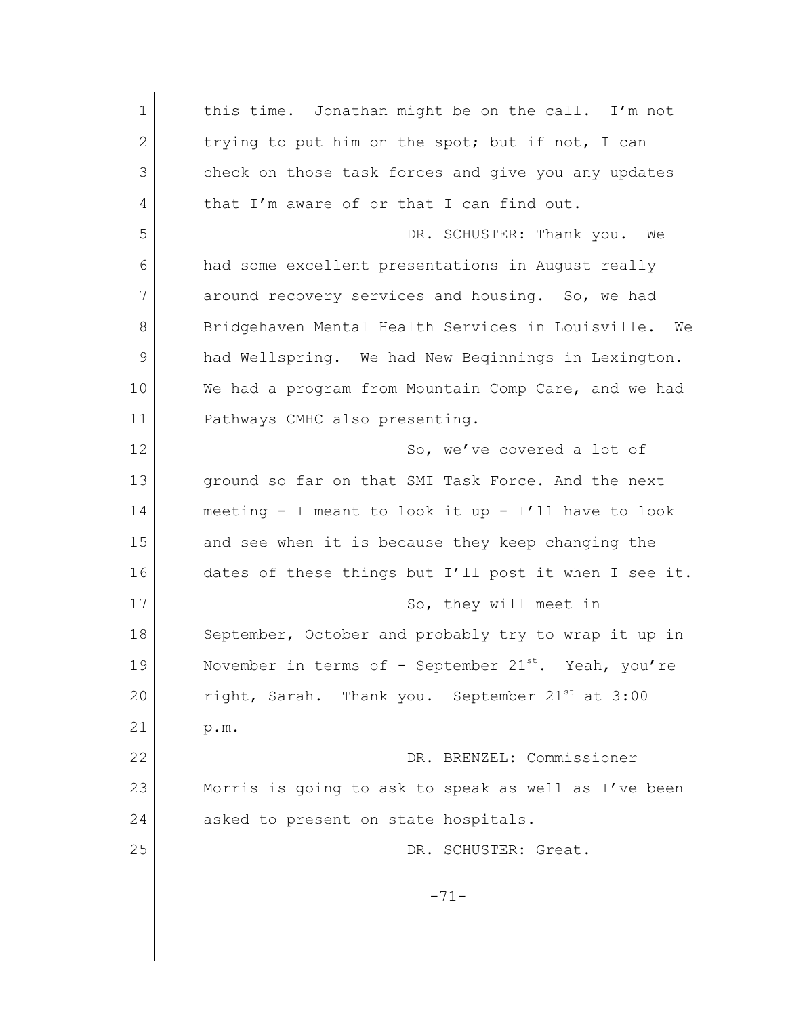1 this time. Jonathan might be on the call. I'm not 2 trying to put him on the spot; but if not, I can 3 check on those task forces and give you any updates 4 that I'm aware of or that I can find out. 5 DR. SCHUSTER: Thank you. We 6 had some excellent presentations in August really 7 around recovery services and housing. So, we had 8 Bridgehaven Mental Health Services in Louisville. We 9 had Wellspring. We had New Beqinnings in Lexington. 10 We had a program from Mountain Comp Care, and we had 11 Pathways CMHC also presenting. 12 So, we've covered a lot of 13 ground so far on that SMI Task Force. And the next 14 meeting - I meant to look it up - I'll have to look 15 and see when it is because they keep changing the 16 dates of these things but I'll post it when I see it. 17 So, they will meet in 18 September, October and probably try to wrap it up in 19 November in terms of - September  $21^{st}$ . Yeah, you're 20 right, Sarah. Thank you. September  $21^{st}$  at 3:00 21 p.m. 22 DR. BRENZEL: Commissioner 23 Morris is going to ask to speak as well as I've been 24 asked to present on state hospitals. 25 DR. SCHUSTER: Great. -71-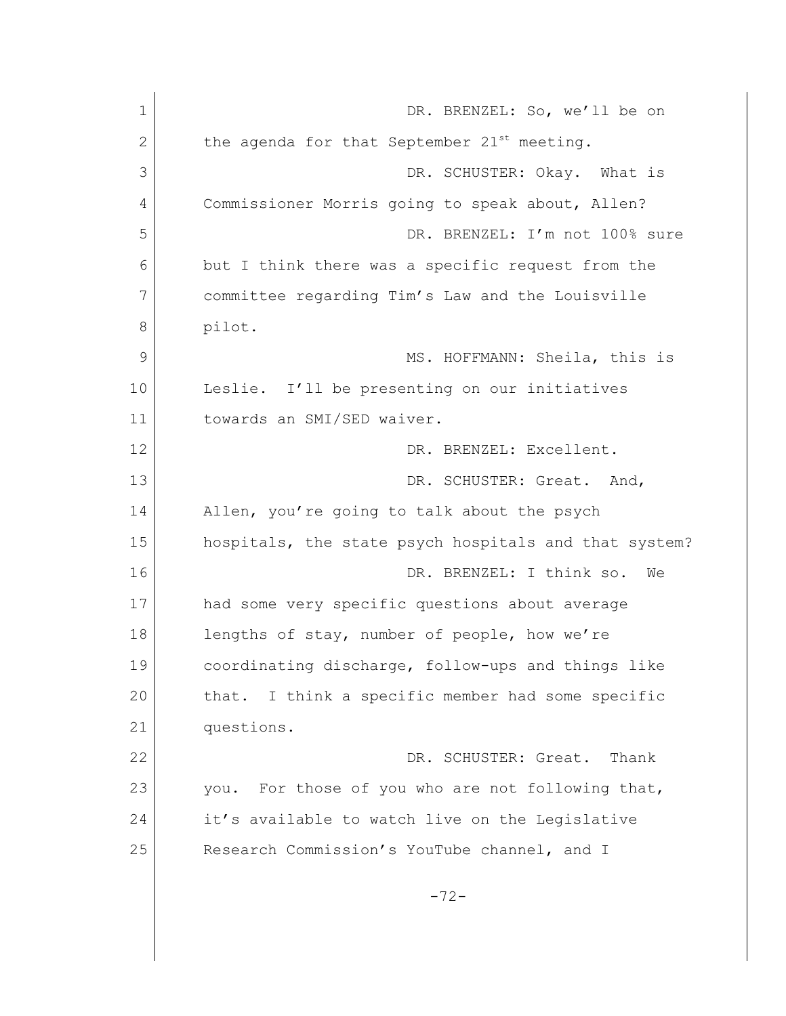| $\mathbf 1$ | DR. BRENZEL: So, we'll be on                            |
|-------------|---------------------------------------------------------|
| 2           | the agenda for that September 21 <sup>st</sup> meeting. |
| 3           | DR. SCHUSTER: Okay. What is                             |
| 4           | Commissioner Morris going to speak about, Allen?        |
| 5           | DR. BRENZEL: I'm not 100% sure                          |
| 6           | but I think there was a specific request from the       |
| 7           | committee regarding Tim's Law and the Louisville        |
| 8           | pilot.                                                  |
| 9           | MS. HOFFMANN: Sheila, this is                           |
| 10          | Leslie. I'll be presenting on our initiatives           |
| 11          | towards an SMI/SED waiver.                              |
| 12          | DR. BRENZEL: Excellent.                                 |
| 13          | DR. SCHUSTER: Great. And,                               |
| 14          | Allen, you're going to talk about the psych             |
| 15          | hospitals, the state psych hospitals and that system?   |
| 16          | DR. BRENZEL: I think so.<br>We                          |
| 17          | had some very specific questions about average          |
| 18          | lengths of stay, number of people, how we're            |
| 19          | coordinating discharge, follow-ups and things like      |
| 20          | I think a specific member had some specific<br>that.    |
| 21          | questions.                                              |
| 22          | DR. SCHUSTER: Great.<br>Thank                           |
| 23          | For those of you who are not following that,<br>you.    |
| 24          | it's available to watch live on the Legislative         |
| 25          | Research Commission's YouTube channel, and I            |
|             |                                                         |
|             | $-72-$                                                  |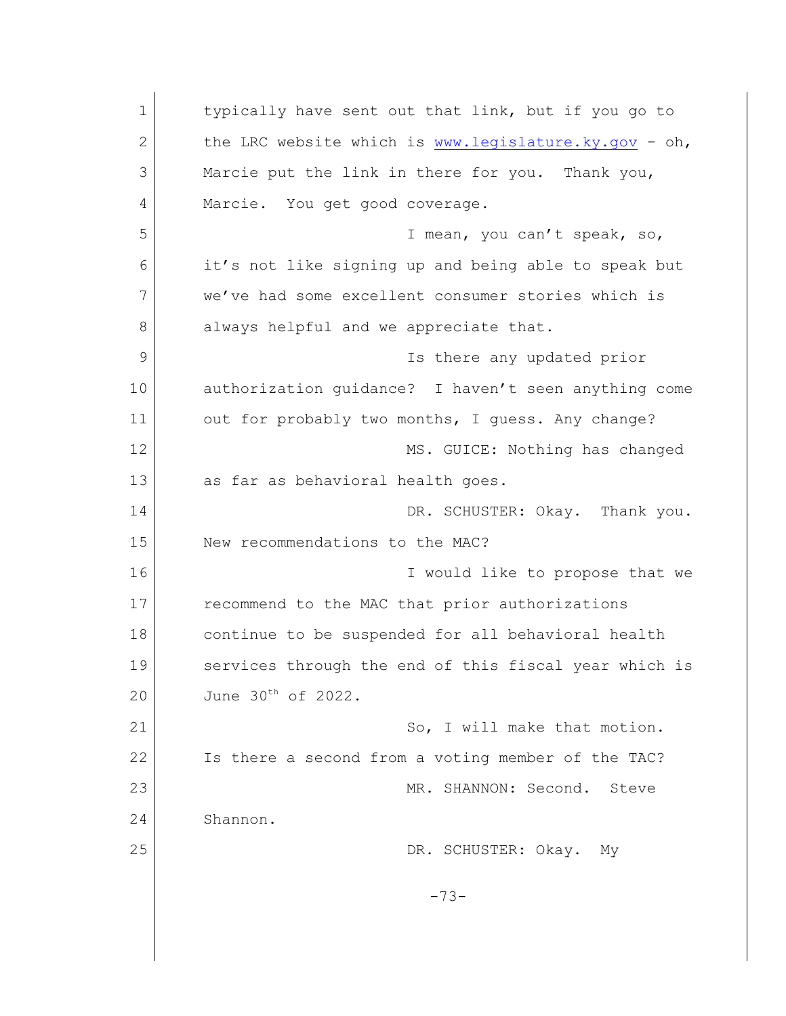1 typically have sent out that link, but if you go to 2 the LRC website which is [www.legislature.ky.gov](http://www.legislature.ky.gov) - oh, 3 Marcie put the link in there for you. Thank you, 4 Marcie. You get good coverage. 5 I mean, you can't speak, so, 6 it's not like signing up and being able to speak but 7 we've had some excellent consumer stories which is 8 always helpful and we appreciate that. 9 Is there any updated prior 10 authorization quidance? I haven't seen anything come 11 out for probably two months, I quess. Any change? 12 | MS. GUICE: Nothing has changed 13 as far as behavioral health goes. 14 DR. SCHUSTER: Okay. Thank you. 15 New recommendations to the MAC? 16 **I** would like to propose that we 17 **recommend to the MAC that prior authorizations** 18 continue to be suspended for all behavioral health 19 Services through the end of this fiscal year which is 20 June 30<sup>th</sup> of 2022. 21 So, I will make that motion. 22 Is there a second from a voting member of the TAC? 23 MR. SHANNON: Second. Steve 24 Shannon. 25 DR. SCHUSTER: Okay. My -73-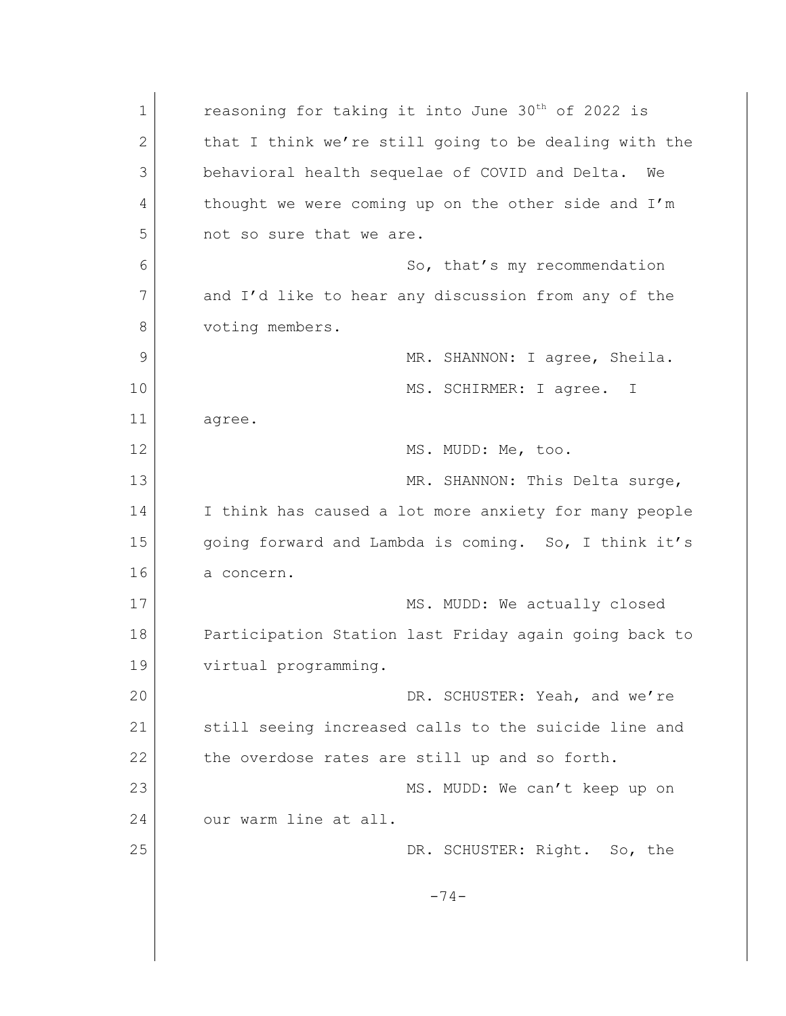1 reasoning for taking it into June 30<sup>th</sup> of 2022 is 2 that I think we're still going to be dealing with the 3 behavioral health sequelae of COVID and Delta. We 4 thought we were coming up on the other side and I'm 5 not so sure that we are. 6 So, that's my recommendation 7 and I'd like to hear any discussion from any of the 8 voting members. 9 MR. SHANNON: I agree, Sheila. 10 MS. SCHIRMER: I agree. I 11 agree. 12 MS. MUDD: Me, too. 13 MR. SHANNON: This Delta surge, 14 I think has caused a lot more anxiety for many people 15 going forward and Lambda is coming. So, I think it's 16 a concern. 17 MS. MUDD: We actually closed 18 Participation Station last Friday again going back to 19 virtual programming. 20 DR. SCHUSTER: Yeah, and we're 21 Still seeing increased calls to the suicide line and 22 the overdose rates are still up and so forth. 23 MS. MUDD: We can't keep up on 24 our warm line at all. 25 DR. SCHUSTER: Right. So, the -74-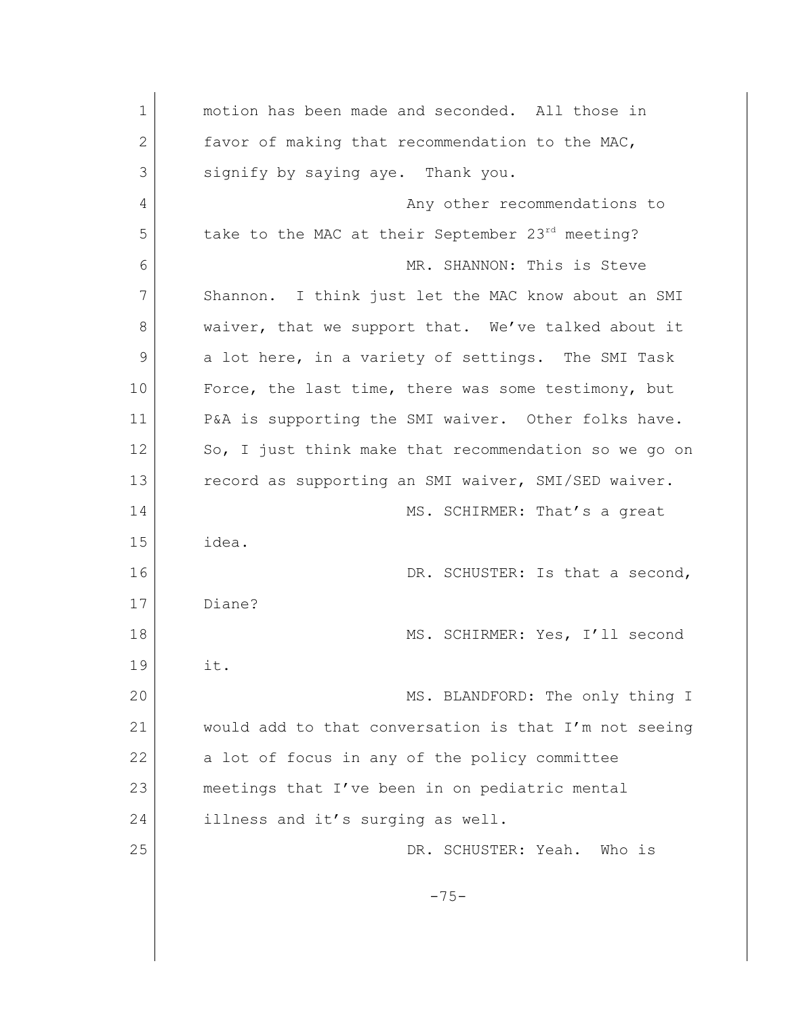| $\mathbf 1$  | motion has been made and seconded. All those in       |
|--------------|-------------------------------------------------------|
| $\mathbf{2}$ | favor of making that recommendation to the MAC,       |
| 3            | signify by saying aye. Thank you.                     |
| 4            | Any other recommendations to                          |
| 5            | take to the MAC at their September 23rd meeting?      |
| 6            | MR. SHANNON: This is Steve                            |
| 7            | Shannon. I think just let the MAC know about an SMI   |
| 8            | waiver, that we support that. We've talked about it   |
| 9            | a lot here, in a variety of settings. The SMI Task    |
| 10           | Force, the last time, there was some testimony, but   |
| 11           | P&A is supporting the SMI waiver. Other folks have.   |
| 12           | So, I just think make that recommendation so we go on |
| 13           | record as supporting an SMI waiver, SMI/SED waiver.   |
| 14           | MS. SCHIRMER: That's a great                          |
| 15           | idea.                                                 |
| 16           | DR. SCHUSTER: Is that a second,                       |
| 17           | Diane?                                                |
| 18           | MS. SCHIRMER: Yes, I'll second                        |
| 19           | it.                                                   |
| 20           | MS. BLANDFORD: The only thing I                       |
| 21           | would add to that conversation is that I'm not seeing |
| 22           | a lot of focus in any of the policy committee         |
| 23           | meetings that I've been in on pediatric mental        |
| 24           | illness and it's surging as well.                     |
| 25           | DR. SCHUSTER: Yeah.<br>Who is                         |
|              |                                                       |
|              | $-75-$                                                |
|              |                                                       |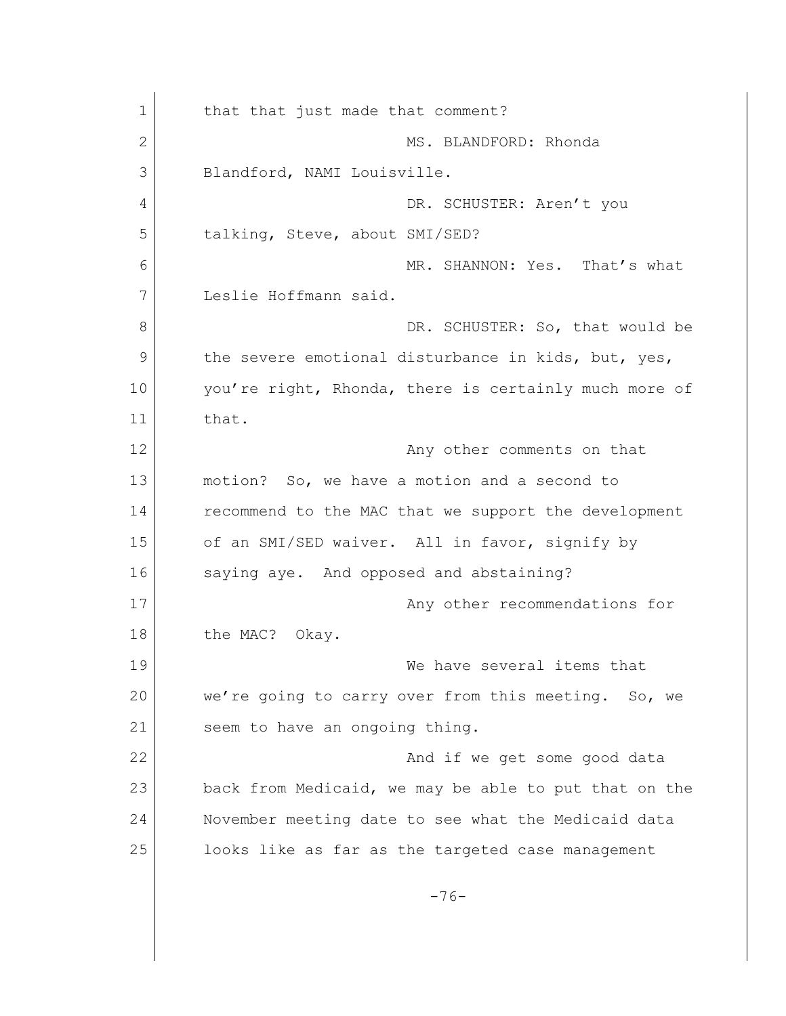1 that that just made that comment? 2 MS. BLANDFORD: Rhonda 3 Blandford, NAMI Louisville. 4 DR. SCHUSTER: Aren't you 5 talking, Steve, about SMI/SED? 6 MR. SHANNON: Yes. That's what 7 Leslie Hoffmann said. 8 DR. SCHUSTER: So, that would be 9 the severe emotional disturbance in kids, but, yes, 10 you're right, Rhonda, there is certainly much more of 11 that. 12 **Any other comments on that** 13 motion? So, we have a motion and a second to 14 recommend to the MAC that we support the development 15 of an SMI/SED waiver. All in favor, signify by 16 saying aye. And opposed and abstaining? 17 Any other recommendations for 18 the MAC? Okay. 19 We have several items that 20 we're going to carry over from this meeting. So, we 21 seem to have an ongoing thing. 22 And if we get some good data 23 back from Medicaid, we may be able to put that on the 24 November meeting date to see what the Medicaid data 25 looks like as far as the targeted case management -76-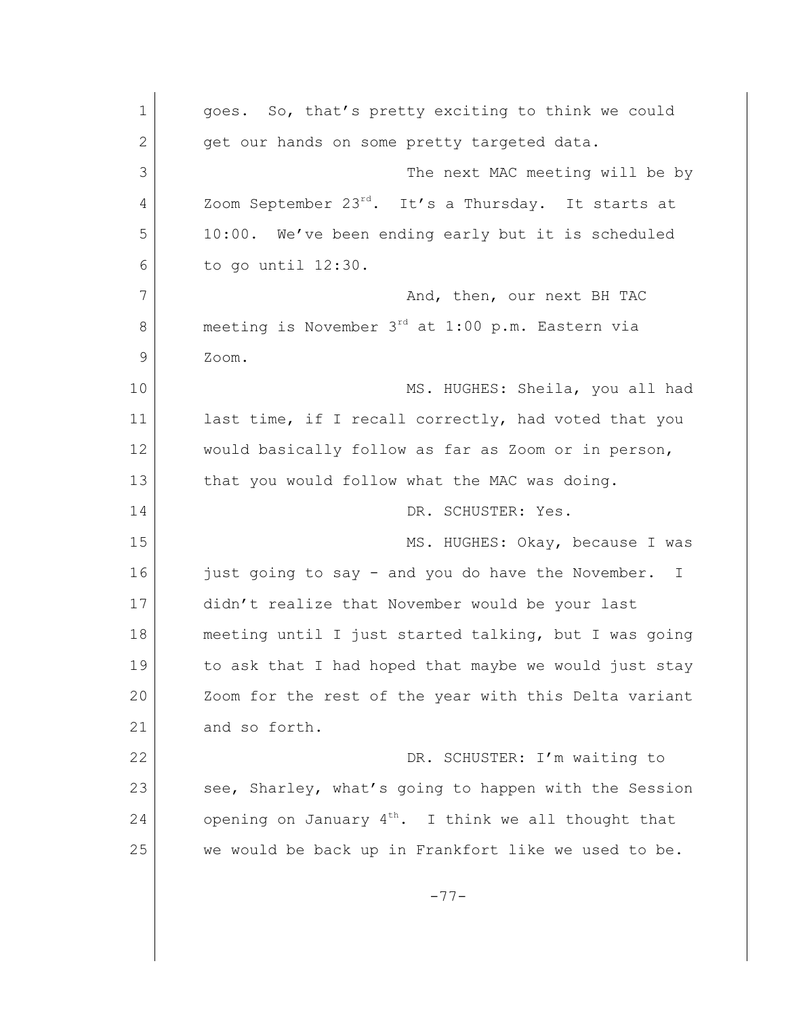1 qoes. So, that's pretty exciting to think we could 2 get our hands on some pretty targeted data. 3 The next MAC meeting will be by 4 Zoom September 23<sup>rd</sup>. It's a Thursday. It starts at 5 10:00. We've been ending early but it is scheduled 6 to go until 12:30. 7 And, then, our next BH TAC 8 meeting is November 3<sup>rd</sup> at 1:00 p.m. Eastern via 9 Zoom. 10 MS. HUGHES: Sheila, you all had 11 last time, if I recall correctly, had voted that you 12 would basically follow as far as Zoom or in person, 13 that you would follow what the MAC was doing. 14 DR. SCHUSTER: Yes. 15 MS. HUGHES: Okay, because I was 16 just going to say - and you do have the November. I 17 didn't realize that November would be your last 18 meeting until I just started talking, but I was going 19 to ask that I had hoped that maybe we would just stay 20 Zoom for the rest of the year with this Delta variant 21 and so forth. 22 DR. SCHUSTER: I'm waiting to 23 see, Sharley, what's going to happen with the Session 24 opening on January  $4^{th}$ . I think we all thought that 25 we would be back up in Frankfort like we used to be. -77-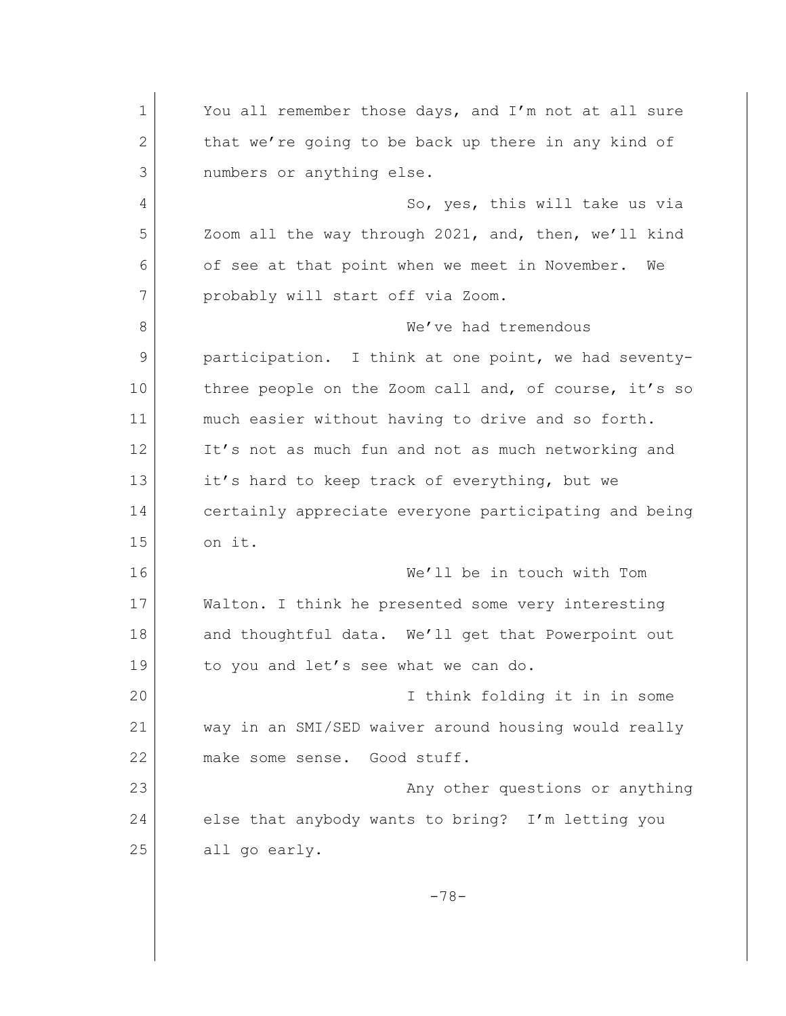1 You all remember those days, and I'm not at all sure 2 that we're going to be back up there in any kind of 3 numbers or anything else. 4 So, yes, this will take us via 5 Zoom all the way through 2021, and, then, we'll kind 6 of see at that point when we meet in November. We 7 probably will start off via Zoom. 8 We've had tremendous 9 participation. I think at one point, we had seventy-10 three people on the Zoom call and, of course, it's so 11 | much easier without having to drive and so forth. 12 It's not as much fun and not as much networking and 13 it's hard to keep track of everything, but we 14 certainly appreciate everyone participating and being 15 on it. 16 We'll be in touch with Tom 17 Walton. I think he presented some very interesting 18 and thoughtful data. We'll get that Powerpoint out 19 to you and let's see what we can do. 20 I think folding it in in some 21 way in an SMI/SED waiver around housing would really 22 make some sense. Good stuff. 23 **Any other questions or anything** 24 else that anybody wants to bring? I'm letting you 25 all go early. -78-